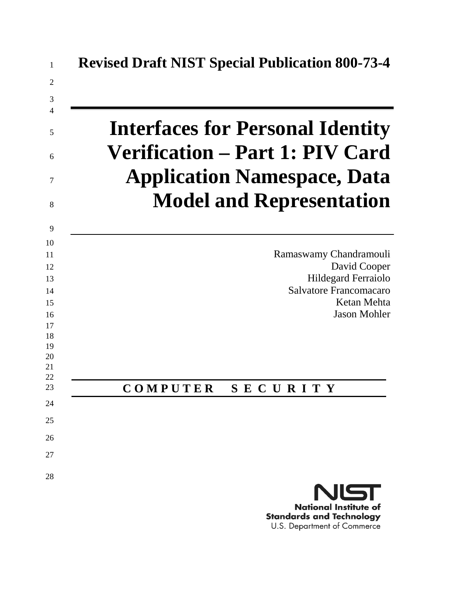|          | <b>Interfaces for Personal Identity</b><br><b>Verification - Part 1: PIV Card</b><br><b>Application Namespace, Data</b>                                          |
|----------|------------------------------------------------------------------------------------------------------------------------------------------------------------------|
|          | <b>Model and Representation</b><br>Ramaswamy Chandramouli<br>David Cooper<br>Hildegard Ferraiolo<br>Salvatore Francomacaro<br>Ketan Mehta<br><b>Jason Mohler</b> |
| COMPUTER | S E<br>URI<br>T Y<br>$\mathbf C$                                                                                                                                 |
|          |                                                                                                                                                                  |
|          |                                                                                                                                                                  |

**National Institute of<br>Standards and Technology**<br>U.S. Department of Commerce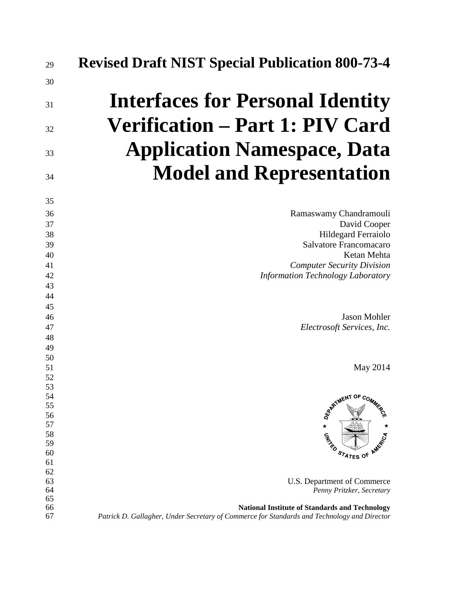| 29       | <b>Revised Draft NIST Special Publication 800-73-4</b>                                      |
|----------|---------------------------------------------------------------------------------------------|
| 30       |                                                                                             |
| 31       | <b>Interfaces for Personal Identity</b>                                                     |
| 32       | <b>Verification – Part 1: PIV Card</b>                                                      |
| 33       | <b>Application Namespace, Data</b>                                                          |
| 34       | <b>Model and Representation</b>                                                             |
| 35       |                                                                                             |
| 36       | Ramaswamy Chandramouli                                                                      |
| 37       | David Cooper                                                                                |
| 38       | Hildegard Ferraiolo                                                                         |
| 39       | Salvatore Francomacaro                                                                      |
| 40       | Ketan Mehta                                                                                 |
| 41       | <b>Computer Security Division</b>                                                           |
| 42       | <b>Information Technology Laboratory</b>                                                    |
| 43       |                                                                                             |
| 44       |                                                                                             |
| 45       |                                                                                             |
| 46       | <b>Jason Mohler</b>                                                                         |
| 47<br>48 | Electrosoft Services, Inc.                                                                  |
| 49       |                                                                                             |
| 50       |                                                                                             |
| 51       | May 2014                                                                                    |
| 52       |                                                                                             |
| 53       |                                                                                             |
| 54       | REATMENT OF COMM                                                                            |
| 55       |                                                                                             |
| 56<br>57 |                                                                                             |
| 58       | $\star$                                                                                     |
| 59       | <b>CALLIS</b>                                                                               |
| 60       | STATES OF                                                                                   |
| 61       |                                                                                             |
| 62       |                                                                                             |
| 63       | U.S. Department of Commerce                                                                 |
| 64<br>65 | Penny Pritzker, Secretary                                                                   |
| 66       | <b>National Institute of Standards and Technology</b>                                       |
| 67       | Patrick D. Gallagher, Under Secretary of Commerce for Standards and Technology and Director |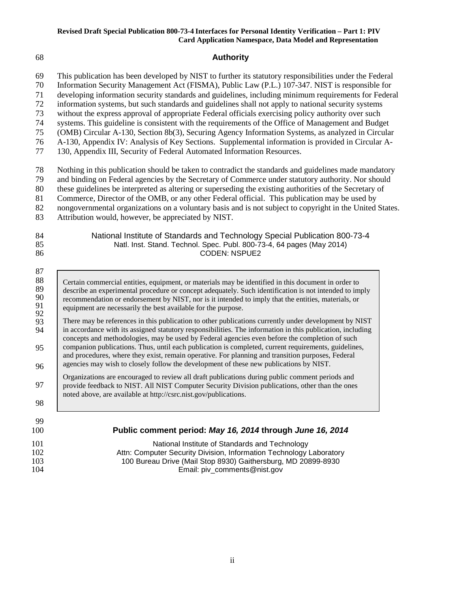## 68 **Authority**

- 69 This publication has been developed by NIST to further its statutory responsibilities under the Federal
- 70 Information Security Management Act (FISMA), Public Law (P.L.) 107-347. NIST is responsible for
- 71 developing information security standards and guidelines, including minimum requirements for Federal<br>72 information systems, but such standards and guidelines shall not apply to national security systems
- 72 information systems, but such standards and guidelines shall not apply to national security systems
- 73 without the express approval of appropriate Federal officials exercising policy authority over such<br>74 systems. This guideline is consistent with the requirements of the Office of Management and Budg systems. This guideline is consistent with the requirements of the Office of Management and Budget
- 75 (OMB) Circular A-130, Section 8b(3), Securing Agency Information Systems, as analyzed in Circular
- 76 A-130, Appendix IV: Analysis of Key Sections. Supplemental information is provided in Circular A-
- 77 130, Appendix III, Security of Federal Automated Information Resources.
- 78 Nothing in this publication should be taken to contradict the standards and guidelines made mandatory
- 79 and binding on Federal agencies by the Secretary of Commerce under statutory authority. Nor should
- 80 these guidelines be interpreted as altering or superseding the existing authorities of the Secretary of
- 81 Commerce, Director of the OMB, or any other Federal official. This publication may be used by
- 82 nongovernmental organizations on a voluntary basis and is not subject to copyright in the United States.
- 83 Attribution would, however, be appreciated by NIST.
- 84 National Institute of Standards and Technology Special Publication 800-73-4<br>85 Natl. Inst. Stand. Technol. Spec. Publ. 800-73-4. 64 pages (May 2014) 85 Natl. Inst. Stand. Technol. Spec. Publ. 800-73-4, 64 pages (May 2014)<br>86 CODEN: NSPUE2 CODEN: NSPUE2
- 87 88 Certain commercial entities, equipment, or materials may be identified in this document in order to 89 90 91 92 93 94 95 96 97 98 99 100 **Public comment period:** *May 16, 2014* **through** *June 16, 2014* 101 **National Institute of Standards and Technology**<br>102 **Attn: Computer Security Division, Information Technology** 102 **Attn: Computer Security Division, Information Technology Laboratory**<br>103 100 Bureau Drive (Mail Stop 8930) Gaithersburg, MD 20899-8930 103 100 Bureau Drive (Mail Stop 8930) Gaithersburg, MD 20899-8930 Email: piv\_comments@nist.gov describe an experimental procedure or concept adequately. Such identification is not intended to imply recommendation or endorsement by NIST, nor is it intended to imply that the entities, materials, or equipment are necessarily the best available for the purpose. There may be references in this publication to other publications currently under development by NIST in accordance with its assigned statutory responsibilities. The information in this publication, including concepts and methodologies, may be used by Federal agencies even before the completion of such companion publications. Thus, until each publication is completed, current requirements, guidelines, and procedures, where they exist, remain operative. For planning and transition purposes, Federal agencies may wish to closely follow the development of these new publications by NIST. Organizations are encouraged to review all draft publications during public comment periods and provide feedback to NIST. All NIST Computer Security Division publications, other than the ones noted above, are available at http://csrc.nist.gov/publications.

ii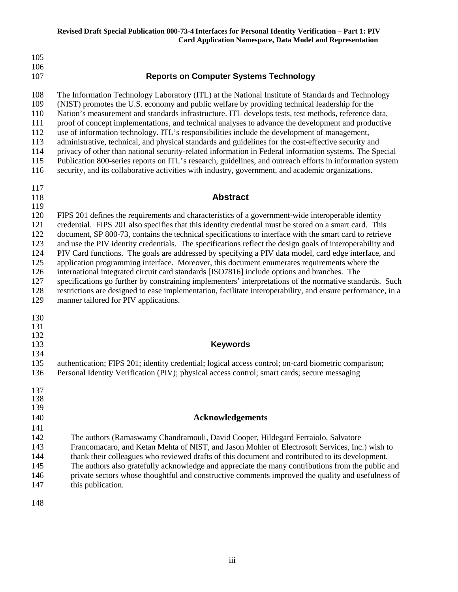| 105 |                                                                                                             |
|-----|-------------------------------------------------------------------------------------------------------------|
| 106 |                                                                                                             |
| 107 | <b>Reports on Computer Systems Technology</b>                                                               |
| 108 | The Information Technology Laboratory (ITL) at the National Institute of Standards and Technology           |
| 109 | (NIST) promotes the U.S. economy and public welfare by providing technical leadership for the               |
| 110 | Nation's measurement and standards infrastructure. ITL develops tests, test methods, reference data,        |
| 111 | proof of concept implementations, and technical analyses to advance the development and productive          |
| 112 | use of information technology. ITL's responsibilities include the development of management,                |
| 113 | administrative, technical, and physical standards and guidelines for the cost-effective security and        |
| 114 | privacy of other than national security-related information in Federal information systems. The Special     |
| 115 | Publication 800-series reports on ITL's research, guidelines, and outreach efforts in information system    |
| 116 | security, and its collaborative activities with industry, government, and academic organizations.           |
| 117 |                                                                                                             |
| 118 | <b>Abstract</b>                                                                                             |
| 119 |                                                                                                             |
| 120 | FIPS 201 defines the requirements and characteristics of a government-wide interoperable identity           |
| 121 | credential. FIPS 201 also specifies that this identity credential must be stored on a smart card. This      |
| 122 | document, SP 800-73, contains the technical specifications to interface with the smart card to retrieve     |
| 123 | and use the PIV identity credentials. The specifications reflect the design goals of interoperability and   |
| 124 | PIV Card functions. The goals are addressed by specifying a PIV data model, card edge interface, and        |
| 125 | application programming interface. Moreover, this document enumerates requirements where the                |
| 126 | international integrated circuit card standards [ISO7816] include options and branches. The                 |
| 127 | specifications go further by constraining implementers' interpretations of the normative standards. Such    |
| 128 | restrictions are designed to ease implementation, facilitate interoperability, and ensure performance, in a |
| 129 | manner tailored for PIV applications.                                                                       |
| 130 |                                                                                                             |
| 131 |                                                                                                             |
| 132 |                                                                                                             |
| 133 | <b>Keywords</b>                                                                                             |
| 134 |                                                                                                             |
| 135 | authentication; FIPS 201; identity credential; logical access control; on-card biometric comparison;        |
| 136 | Personal Identity Verification (PIV); physical access control; smart cards; secure messaging                |
| 137 |                                                                                                             |
| 138 |                                                                                                             |
| 139 |                                                                                                             |
| 140 | <b>Acknowledgements</b>                                                                                     |
| 141 |                                                                                                             |
| 142 | The authors (Ramaswamy Chandramouli, David Cooper, Hildegard Ferraiolo, Salvatore                           |
| 143 | Francomacaro, and Ketan Mehta of NIST, and Jason Mohler of Electrosoft Services, Inc.) wish to              |
| 144 | thank their colleagues who reviewed drafts of this document and contributed to its development.             |
| 145 | The authors also gratefully acknowledge and appreciate the many contributions from the public and           |
| 146 | private sectors whose thoughtful and constructive comments improved the quality and usefulness of           |
| 147 | this publication.                                                                                           |
| 148 |                                                                                                             |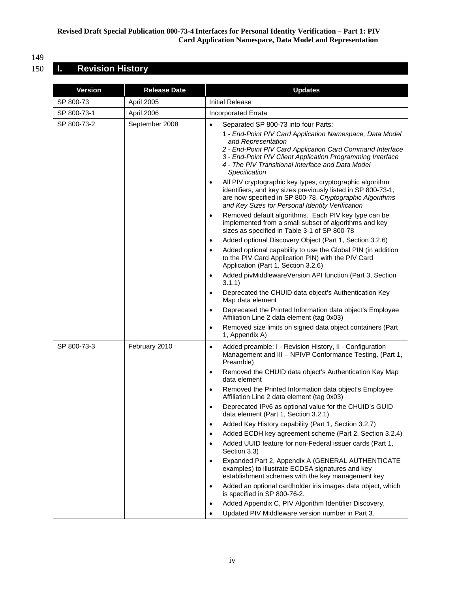149

# 150 **I. Revision History**

| <b>Version</b> | <b>Release Date</b> | <b>Updates</b>                                                                                                                                                                                                                                                                                                                                                                                                                                                                                                                                                                                                                                                                                                                                                                                                                                                                                                                                                                                                                                                                                                                                                                                                                                                                                                     |  |
|----------------|---------------------|--------------------------------------------------------------------------------------------------------------------------------------------------------------------------------------------------------------------------------------------------------------------------------------------------------------------------------------------------------------------------------------------------------------------------------------------------------------------------------------------------------------------------------------------------------------------------------------------------------------------------------------------------------------------------------------------------------------------------------------------------------------------------------------------------------------------------------------------------------------------------------------------------------------------------------------------------------------------------------------------------------------------------------------------------------------------------------------------------------------------------------------------------------------------------------------------------------------------------------------------------------------------------------------------------------------------|--|
| SP 800-73      | April 2005          | <b>Initial Release</b>                                                                                                                                                                                                                                                                                                                                                                                                                                                                                                                                                                                                                                                                                                                                                                                                                                                                                                                                                                                                                                                                                                                                                                                                                                                                                             |  |
| SP 800-73-1    | April 2006          | <b>Incorporated Errata</b>                                                                                                                                                                                                                                                                                                                                                                                                                                                                                                                                                                                                                                                                                                                                                                                                                                                                                                                                                                                                                                                                                                                                                                                                                                                                                         |  |
| SP 800-73-2    | September 2008      | Separated SP 800-73 into four Parts:<br>$\bullet$<br>1 - End-Point PIV Card Application Namespace, Data Model<br>and Representation<br>2 - End-Point PIV Card Application Card Command Interface<br>3 - End-Point PIV Client Application Programming Interface<br>4 - The PIV Transitional Interface and Data Model<br>Specification<br>All PIV cryptographic key types, cryptographic algorithm<br>٠<br>identifiers, and key sizes previously listed in SP 800-73-1,<br>are now specified in SP 800-78, Cryptographic Algorithms<br>and Key Sizes for Personal Identity Verification<br>Removed default algorithms. Each PIV key type can be<br>$\bullet$<br>implemented from a small subset of algorithms and key<br>sizes as specified in Table 3-1 of SP 800-78<br>Added optional Discovery Object (Part 1, Section 3.2.6)<br>٠<br>Added optional capability to use the Global PIN (in addition<br>$\bullet$<br>to the PIV Card Application PIN) with the PIV Card<br>Application (Part 1, Section 3.2.6)<br>Added pivMiddlewareVersion API function (Part 3, Section<br>$\bullet$<br>3.1.1)<br>Deprecated the CHUID data object's Authentication Key<br>$\bullet$<br>Map data element<br>Deprecated the Printed Information data object's Employee<br>$\bullet$<br>Affiliation Line 2 data element (tag 0x03) |  |
| SP 800-73-3    | February 2010       | Removed size limits on signed data object containers (Part<br>$\bullet$<br>1, Appendix A)<br>Added preamble: I - Revision History, II - Configuration<br>$\bullet$<br>Management and III - NPIVP Conformance Testing. (Part 1,<br>Preamble)<br>Removed the CHUID data object's Authentication Key Map<br>٠<br>data element<br>Removed the Printed Information data object's Employee<br>$\bullet$<br>Affiliation Line 2 data element (tag 0x03)<br>Deprecated IPv6 as optional value for the CHUID's GUID<br>$\bullet$<br>data element (Part 1, Section 3.2.1)<br>Added Key History capability (Part 1, Section 3.2.7)<br>$\bullet$<br>Added ECDH key agreement scheme (Part 2, Section 3.2.4)<br>$\bullet$<br>Added UUID feature for non-Federal issuer cards (Part 1,<br>٠<br>Section 3.3)<br>Expanded Part 2, Appendix A (GENERAL AUTHENTICATE<br>٠<br>examples) to illustrate ECDSA signatures and key<br>establishment schemes with the key management key<br>Added an optional cardholder iris images data object, which<br>$\bullet$<br>is specified in SP 800-76-2.<br>Added Appendix C, PIV Algorithm Identifier Discovery.<br>$\bullet$<br>Updated PIV Middleware version number in Part 3.                                                                                                              |  |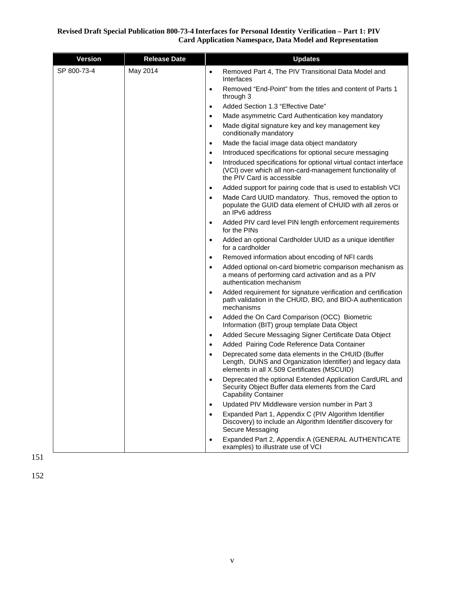| <b>Version</b> | <b>Release Date</b> | <b>Updates</b>                                                                                                                                                              |
|----------------|---------------------|-----------------------------------------------------------------------------------------------------------------------------------------------------------------------------|
| SP 800-73-4    | May 2014            | Removed Part 4, The PIV Transitional Data Model and<br>$\bullet$<br>Interfaces                                                                                              |
|                |                     | Removed "End-Point" from the titles and content of Parts 1<br>$\bullet$<br>through 3                                                                                        |
|                |                     | Added Section 1.3 "Effective Date"<br>$\bullet$                                                                                                                             |
|                |                     | Made asymmetric Card Authentication key mandatory<br>$\bullet$                                                                                                              |
|                |                     | Made digital signature key and key management key<br>$\bullet$<br>conditionally mandatory                                                                                   |
|                |                     | Made the facial image data object mandatory<br>$\bullet$                                                                                                                    |
|                |                     | Introduced specifications for optional secure messaging<br>$\bullet$                                                                                                        |
|                |                     | Introduced specifications for optional virtual contact interface<br>$\bullet$<br>(VCI) over which all non-card-management functionality of<br>the PIV Card is accessible    |
|                |                     | Added support for pairing code that is used to establish VCI<br>$\bullet$                                                                                                   |
|                |                     | Made Card UUID mandatory. Thus, removed the option to<br>$\bullet$<br>populate the GUID data element of CHUID with all zeros or<br>an IPv6 address                          |
|                |                     | Added PIV card level PIN length enforcement requirements<br>$\bullet$<br>for the PINs                                                                                       |
|                |                     | Added an optional Cardholder UUID as a unique identifier<br>٠<br>for a cardholder                                                                                           |
|                |                     | Removed information about encoding of NFI cards<br>$\bullet$                                                                                                                |
|                |                     | Added optional on-card biometric comparison mechanism as<br>a means of performing card activation and as a PIV<br>authentication mechanism                                  |
|                |                     | Added requirement for signature verification and certification<br>$\bullet$<br>path validation in the CHUID, BIO, and BIO-A authentication<br>mechanisms                    |
|                |                     | Added the On Card Comparison (OCC) Biometric<br>$\bullet$<br>Information (BIT) group template Data Object                                                                   |
|                |                     | Added Secure Messaging Signer Certificate Data Object<br>$\bullet$                                                                                                          |
|                |                     | Added Pairing Code Reference Data Container<br>$\bullet$                                                                                                                    |
|                |                     | Deprecated some data elements in the CHUID (Buffer<br>$\bullet$<br>Length, DUNS and Organization Identifier) and legacy data<br>elements in all X.509 Certificates (MSCUID) |
|                |                     | Deprecated the optional Extended Application CardURL and<br>Security Object Buffer data elements from the Card<br><b>Capability Container</b>                               |
|                |                     | Updated PIV Middleware version number in Part 3<br>$\bullet$                                                                                                                |
|                |                     | Expanded Part 1, Appendix C (PIV Algorithm Identifier<br>Discovery) to include an Algorithm Identifier discovery for<br>Secure Messaging                                    |
|                |                     | Expanded Part 2, Appendix A (GENERAL AUTHENTICATE<br>examples) to illustrate use of VCI                                                                                     |

151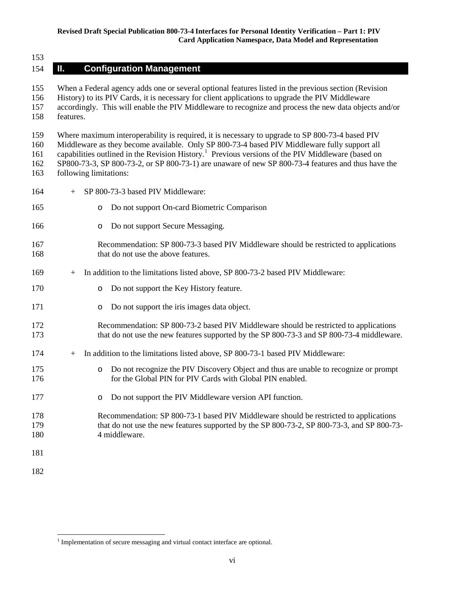## **II. Configuration Management**

 When a Federal agency adds one or several optional features listed in the previous section (Revision History) to its PIV Cards, it is necessary for client applications to upgrade the PIV Middleware accordingly. This will enable the PIV Middleware to recognize and process the new data objects and/or features. Where maximum interoperability is required, it is necessary to upgrade to SP 800-73-4 based PIV Middleware as they become available. Only SP 800-73-4 based PIV Middleware fully support all 61 capabilities outlined in the Revision History.<sup>1</sup> Previous versions of the PIV Middleware (based on SP800-73-3, SP 800-73-2, or SP 800-73-1) are unaware of new SP 800-73-4 features and thus have the following limitations:

- + SP 800-73-3 based PIV Middleware:
- o Do not support On-card Biometric Comparison
- **o** Do not support Secure Messaging.
- Recommendation: SP 800-73-3 based PIV Middleware should be restricted to applications 168 that do not use the above features.
- + In addition to the limitations listed above, SP 800-73-2 based PIV Middleware:
- 170  $\circ$  Do not support the Key History feature.
- 171 o Do not support the iris images data object.
- Recommendation: SP 800-73-2 based PIV Middleware should be restricted to applications that do not use the new features supported by the SP 800-73-3 and SP 800-73-4 middleware.
- + In addition to the limitations listed above, SP 800-73-1 based PIV Middleware:
- 175 o Do not recognize the PIV Discovery Object and thus are unable to recognize or prompt for the Global PIN for PIV Cards with Global PIN enabled. for the Global PIN for PIV Cards with Global PIN enabled.
- o Do not support the PIV Middleware version API function.
- Recommendation: SP 800-73-1 based PIV Middleware should be restricted to applications that do not use the new features supported by the SP 800-73-2, SP 800-73-3, and SP 800-73- 180 4 middleware.
- 
- 

<span id="page-6-0"></span>Implementation of secure messaging and virtual contact interface are optional.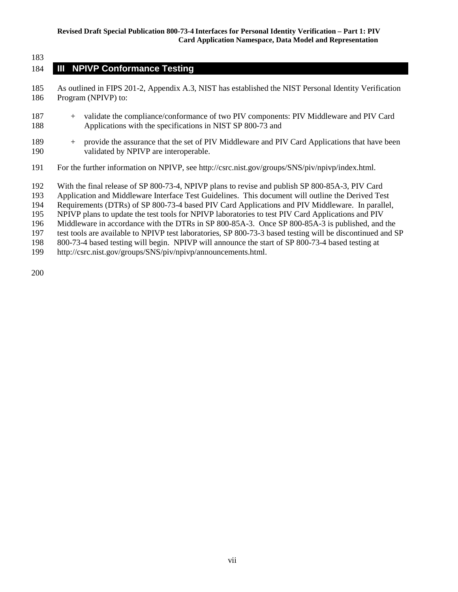## **III NPIVP Conformance Testing**

- As outlined in FIPS 201-2, Appendix A.3, NIST has established the NIST Personal Identity Verification Program (NPIVP) to:
- + validate the compliance/conformance of two PIV components: PIV Middleware and PIV Card Applications with the specifications in NIST SP 800-73 and
- + provide the assurance that the set of PIV Middleware and PIV Card Applications that have been validated by NPIVP are interoperable.
- For the further information on NPIVP, see http://csrc.nist.gov/groups/SNS/piv/npivp/index.html.
- With the final release of SP 800-73-4, NPIVP plans to revise and publish SP 800-85A-3, PIV Card
- Application and Middleware Interface Test Guidelines. This document will outline the Derived Test
- Requirements (DTRs) of SP 800-73-4 based PIV Card Applications and PIV Middleware. In parallel,
- NPIVP plans to update the test tools for NPIVP laboratories to test PIV Card Applications and PIV
- Middleware in accordance with the DTRs in SP 800-85A-3. Once SP 800-85A-3 is published, and the
- test tools are available to NPIVP test laboratories, SP 800-73-3 based testing will be discontinued and SP
- 800-73-4 based testing will begin. NPIVP will announce the start of SP 800-73-4 based testing at
- http://csrc.nist.gov/groups/SNS/piv/npivp/announcements.html.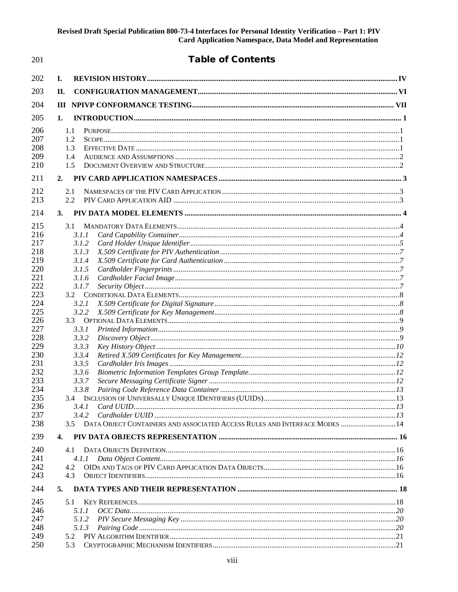| 201        | <b>Table of Contents</b>                                                          |  |
|------------|-----------------------------------------------------------------------------------|--|
| 202        | L.                                                                                |  |
| 203        | II.                                                                               |  |
| 204        | Ш                                                                                 |  |
| 205        | 1.                                                                                |  |
|            |                                                                                   |  |
| 206<br>207 | 1.1<br>1.2                                                                        |  |
| 208        | 1.3                                                                               |  |
| 209        | 1.4                                                                               |  |
| 210        | 1.5                                                                               |  |
| 211        | 2.                                                                                |  |
| 212        | 2.1                                                                               |  |
| 213        | 2.2                                                                               |  |
| 214        | 3.                                                                                |  |
| 215        | 3.1                                                                               |  |
| 216        | 3.1.1                                                                             |  |
| 217        | 3.1.2                                                                             |  |
| 218<br>219 | 3.1.3<br>3.1.4                                                                    |  |
| 220        | 3.1.5                                                                             |  |
| 221        | 3.1.6                                                                             |  |
| 222        | 3.1.7                                                                             |  |
| 223        | $3.2^{\circ}$                                                                     |  |
| 224        | 3.2.1                                                                             |  |
| 225<br>226 | 3.2.2                                                                             |  |
| 227        | $3.3^{\circ}$<br>3.3.1                                                            |  |
| 228        | 3.3.2                                                                             |  |
| 229        | 3.3.3                                                                             |  |
| 230        | 3.3.4                                                                             |  |
| 231        | 3.3.5                                                                             |  |
| 232        | 3.3.6                                                                             |  |
| 233<br>234 | 3.3.7                                                                             |  |
| 235        |                                                                                   |  |
| 236        | 3.4.1                                                                             |  |
| 237        | 3.4.2                                                                             |  |
| 238        | DATA OBJECT CONTAINERS AND ASSOCIATED ACCESS RULES AND INTERFACE MODES  14<br>3.5 |  |
| 239        | 4.                                                                                |  |
| 240        | 4.1                                                                               |  |
| 241        | 4.1.1                                                                             |  |
| 242<br>243 | 4.2<br>4.3                                                                        |  |
| 244        | 5.                                                                                |  |
| 245        | 5.1                                                                               |  |
| 246        | 5.1.1                                                                             |  |
| 247        | 5.1.2                                                                             |  |
| 248        | 5.1.3                                                                             |  |
| 249        | 5.2                                                                               |  |
| 250        | 5.3                                                                               |  |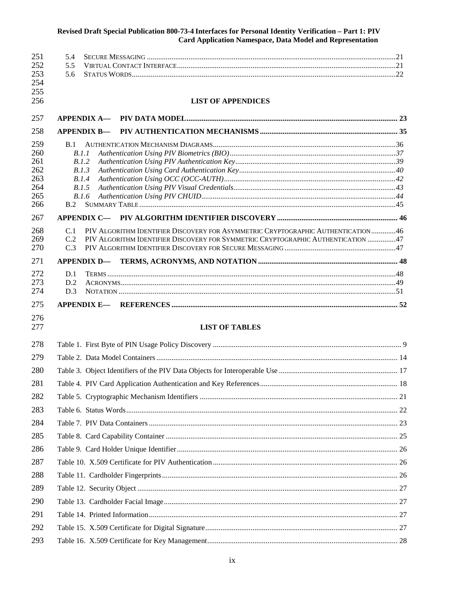| 251        | 5.4                                                                                     |  |
|------------|-----------------------------------------------------------------------------------------|--|
| 252<br>253 | 5.5<br>5.6                                                                              |  |
| 254        |                                                                                         |  |
| 255        |                                                                                         |  |
| 256        | <b>LIST OF APPENDICES</b>                                                               |  |
| 257        |                                                                                         |  |
| 258        |                                                                                         |  |
| 259        | <b>B.1</b>                                                                              |  |
| 260        | B.1.1                                                                                   |  |
| 261        | B.1.2                                                                                   |  |
| 262<br>263 | B.1.3<br>B.1.4                                                                          |  |
| 264        | B.1.5                                                                                   |  |
| 265        | B.1.6                                                                                   |  |
| 266        | B.2                                                                                     |  |
| 267        |                                                                                         |  |
| 268        | C.1<br>PIV ALGORITHM IDENTIFIER DISCOVERY FOR ASYMMETRIC CRYPTOGRAPHIC AUTHENTICATION46 |  |
| 269        | C.2<br>PIV ALGORITHM IDENTIFIER DISCOVERY FOR SYMMETRIC CRYPTOGRAPHIC AUTHENTICATION 47 |  |
| 270        | C.3                                                                                     |  |
| 271        |                                                                                         |  |
| 272        | D.1                                                                                     |  |
| 273        | D.2                                                                                     |  |
| 274        | D.3                                                                                     |  |
| 275        |                                                                                         |  |
| 276<br>277 | <b>LIST OF TABLES</b>                                                                   |  |
| 278        |                                                                                         |  |
| 279        |                                                                                         |  |
| 280        |                                                                                         |  |
| 281        |                                                                                         |  |
| 282        |                                                                                         |  |
| 283        |                                                                                         |  |
| 284        |                                                                                         |  |
| 285        |                                                                                         |  |
| 286        |                                                                                         |  |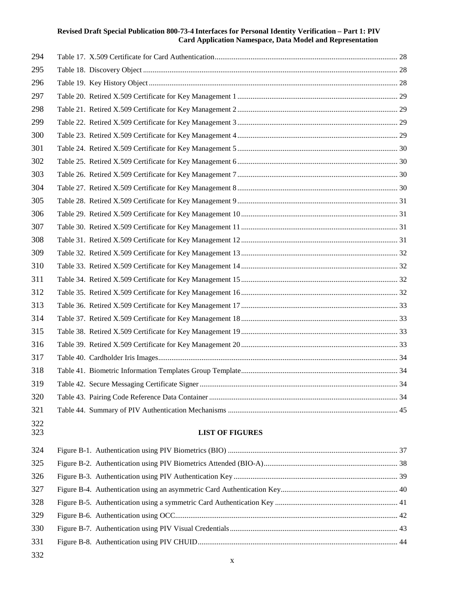| 294        |                        |  |
|------------|------------------------|--|
| 295        |                        |  |
| 296        |                        |  |
| 297        |                        |  |
| 298        |                        |  |
| 299        |                        |  |
| 300        |                        |  |
| 301        |                        |  |
| 302        |                        |  |
| 303        |                        |  |
| 304        |                        |  |
| 305        |                        |  |
| 306        |                        |  |
| 307        |                        |  |
| 308        |                        |  |
| 309        |                        |  |
| 310        |                        |  |
| 311        |                        |  |
| 312        |                        |  |
| 313        |                        |  |
| 314        |                        |  |
| 315        |                        |  |
| 316        |                        |  |
| 317        |                        |  |
| 318        |                        |  |
| 319        |                        |  |
| 320        |                        |  |
| 321        |                        |  |
| 322<br>323 | <b>LIST OF FIGURES</b> |  |
| 324        |                        |  |
| 325        |                        |  |
| 326        |                        |  |
| 327        |                        |  |
| 328        |                        |  |
| 329        |                        |  |
| 330        |                        |  |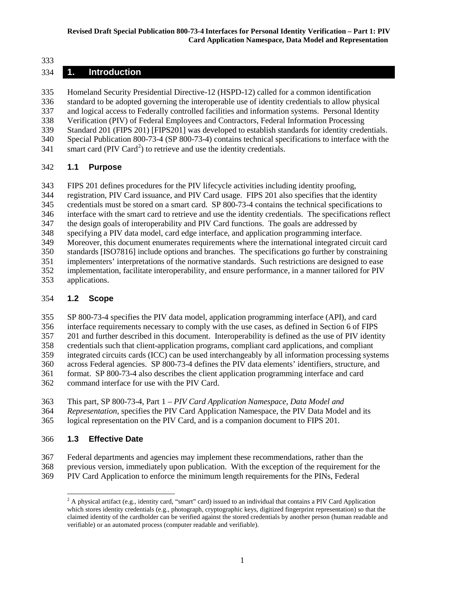## 

## **1. Introduction**

 Homeland Security Presidential Directive-12 (HSPD-12) called for a common identification standard to be adopted governing the interoperable use of identity credentials to allow physical and logical access to Federally controlled facilities and information systems. Personal Identity Verification (PIV) of Federal Employees and Contractors, Federal Information Processing Standard 201 (FIPS 201) [FIPS201] was developed to establish standards for identity credentials. Special Publication 800-73-4 (SP 800-73-4) contains technical specifications to interface with the

smart card (PIV Card<sup>[2](#page-11-0)</sup>) to retrieve and use the identity credentials.

## **1.1 Purpose**

 FIPS 201 defines procedures for the PIV lifecycle activities including identity proofing, registration, PIV Card issuance, and PIV Card usage. FIPS 201 also specifies that the identity credentials must be stored on a smart card. SP 800-73-4 contains the technical specifications to interface with the smart card to retrieve and use the identity credentials. The specifications reflect the design goals of interoperability and PIV Card functions. The goals are addressed by specifying a PIV data model, card edge interface, and application programming interface. Moreover, this document enumerates requirements where the international integrated circuit card standards [ISO7816] include options and branches. The specifications go further by constraining implementers' interpretations of the normative standards. Such restrictions are designed to ease implementation, facilitate interoperability, and ensure performance, in a manner tailored for PIV applications.

## **1.2 Scope**

 SP 800-73-4 specifies the PIV data model, application programming interface (API), and card interface requirements necessary to comply with the use cases, as defined in Section 6 of FIPS 201 and further described in this document. Interoperability is defined as the use of PIV identity credentials such that client-application programs, compliant card applications, and compliant integrated circuits cards (ICC) can be used interchangeably by all information processing systems across Federal agencies. SP 800-73-4 defines the PIV data elements' identifiers, structure, and format. SP 800-73-4 also describes the client application programming interface and card command interface for use with the PIV Card.

- This part, SP 800-73-4, Part 1 *PIV Card Application Namespace, Data Model and*
- *Representation*, specifies the PIV Card Application Namespace, the PIV Data Model and its logical representation on the PIV Card, and is a companion document to FIPS 201.

## **1.3 Effective Date**

- Federal departments and agencies may implement these recommendations, rather than the
- previous version, immediately upon publication. With the exception of the requirement for the
- <span id="page-11-0"></span>PIV Card Application to enforce the minimum length requirements for the PINs, Federal

 A physical artifact (e.g., identity card, "smart" card) issued to an individual that contains a PIV Card Application which stores identity credentials (e.g., photograph, cryptographic keys, digitized fingerprint representation) so that the claimed identity of the cardholder can be verified against the stored credentials by another person (human readable and verifiable) or an automated process (computer readable and verifiable).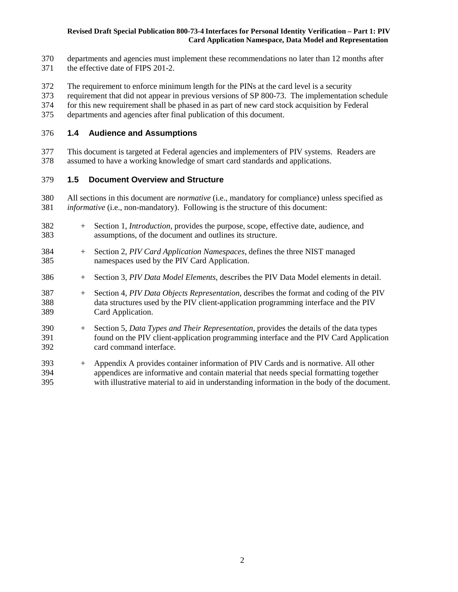- departments and agencies must implement these recommendations no later than 12 months after
- the effective date of FIPS 201-2.
- The requirement to enforce minimum length for the PINs at the card level is a security
- requirement that did not appear in previous versions of SP 800-73. The implementation schedule
- for this new requirement shall be phased in as part of new card stock acquisition by Federal
- departments and agencies after final publication of this document.

## **1.4 Audience and Assumptions**

 This document is targeted at Federal agencies and implementers of PIV systems. Readers are assumed to have a working knowledge of smart card standards and applications.

## **1.5 Document Overview and Structure**

- All sections in this document are *normative* (i.e., mandatory for compliance) unless specified as *informative* (i.e., non-mandatory). Following is the structure of this document:
- + Section 1, *Introduction*, provides the purpose, scope, effective date, audience, and assumptions, of the document and outlines its structure. + Section 2, *PIV Card Application Namespaces*, defines the three NIST managed namespaces used by the PIV Card Application.
- + Section 3, *PIV Data Model Elements*, describes the PIV Data Model elements in detail.
- + Section 4, *PIV Data Objects Representation*, describes the format and coding of the PIV data structures used by the PIV client-application programming interface and the PIV Card Application.
- + Section 5, *Data Types and Their Representation*, provides the details of the data types found on the PIV client-application programming interface and the PIV Card Application card command interface.
- + Appendix A provides container information of PIV Cards and is normative. All other appendices are informative and contain material that needs special formatting together with illustrative material to aid in understanding information in the body of the document.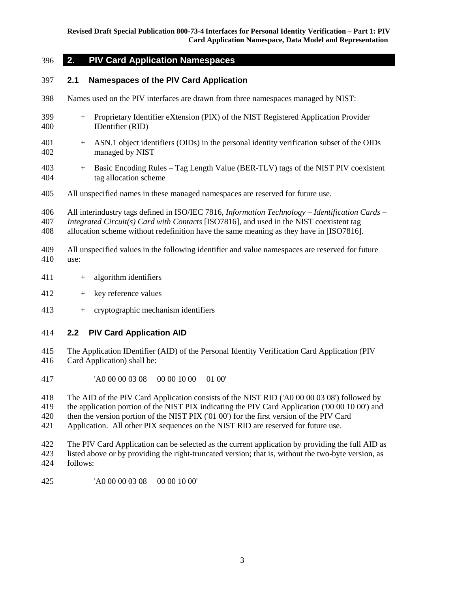**2. PIV Card Application Namespaces**

## **2.1 Namespaces of the PIV Card Application**

- Names used on the PIV interfaces are drawn from three namespaces managed by NIST:
- + Proprietary Identifier eXtension (PIX) of the NIST Registered Application Provider IDentifier (RID)
- + ASN.1 object identifiers (OIDs) in the personal identity verification subset of the OIDs managed by NIST
- + Basic Encoding Rules Tag Length Value (BER-TLV) tags of the NIST PIV coexistent tag allocation scheme
- All unspecified names in these managed namespaces are reserved for future use.
- All interindustry tags defined in ISO/IEC 7816, *Information Technology – Identification Cards –*
- *Integrated Circuit(s) Card with Contacts* [ISO7816], and used in the NIST coexistent tag
- allocation scheme without redefinition have the same meaning as they have in [ISO7816].
- All unspecified values in the following identifier and value namespaces are reserved for future use:
- $411 +$  algorithm identifiers
- $412 + \text{key reference values}$
- + cryptographic mechanism identifiers

## **2.2 PIV Card Application AID**

- The Application IDentifier (AID) of the Personal Identity Verification Card Application (PIV Card Application) shall be:
- 'A0 00 00 03 08 00 00 10 00 01 00'

The AID of the PIV Card Application consists of the NIST RID ('A0 00 00 03 08') followed by

the application portion of the NIST PIX indicating the PIV Card Application ('00 00 10 00') and

then the version portion of the NIST PIX ('01 00') for the first version of the PIV Card

Application. All other PIX sequences on the NIST RID are reserved for future use.

- The PIV Card Application can be selected as the current application by providing the full AID as
- listed above or by providing the right-truncated version; that is, without the two-byte version, as follows:
- 'A0 00 00 03 08 00 00 10 00'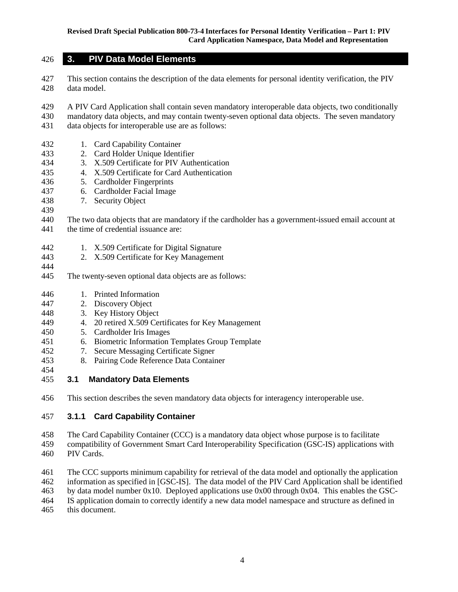## **3. PIV Data Model Elements**

- This section contains the description of the data elements for personal identity verification, the PIV data model.
- A PIV Card Application shall contain seven mandatory interoperable data objects, two conditionally
- mandatory data objects, and may contain twenty-seven optional data objects. The seven mandatory data objects for interoperable use are as follows:
- 1. Card Capability Container
- 2. Card Holder Unique Identifier
- 3. X.509 Certificate for PIV Authentication
- 4. X.509 Certificate for Card Authentication
- 5. Cardholder Fingerprints
- 6. Cardholder Facial Image
- 7. Security Object
- 
- The two data objects that are mandatory if the cardholder has a government-issued email account at
- the time of credential issuance are:
- 1. X.509 Certificate for Digital Signature
- 2. X.509 Certificate for Key Management
- 

- The twenty-seven optional data objects are as follows:
- 1. Printed Information
- 2. Discovery Object
- 3. Key History Object
- 4. 20 retired X.509 Certificates for Key Management
- 5. Cardholder Iris Images
- 6. Biometric Information Templates Group Template
- 7. Secure Messaging Certificate Signer
- 8. Pairing Code Reference Data Container
- **3.1 Mandatory Data Elements**
- This section describes the seven mandatory data objects for interagency interoperable use.

## **3.1.1 Card Capability Container**

- The Card Capability Container (CCC) is a mandatory data object whose purpose is to facilitate
- compatibility of Government Smart Card Interoperability Specification (GSC-IS) applications with
- PIV Cards.
- The CCC supports minimum capability for retrieval of the data model and optionally the application
- information as specified in [GSC-IS]. The data model of the PIV Card Application shall be identified
- by data model number 0x10. Deployed applications use 0x00 through 0x04. This enables the GSC-
- IS application domain to correctly identify a new data model namespace and structure as defined in
- this document.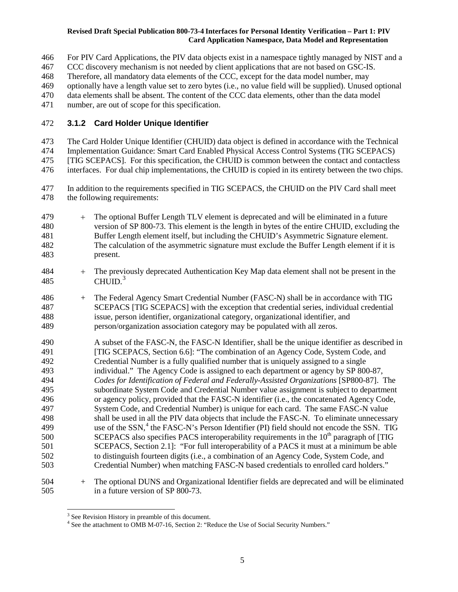- For PIV Card Applications, the PIV data objects exist in a namespace tightly managed by NIST and a
- CCC discovery mechanism is not needed by client applications that are not based on GSC-IS.
- Therefore, all mandatory data elements of the CCC, except for the data model number, may
- optionally have a length value set to zero bytes (i.e., no value field will be supplied). Unused optional
- data elements shall be absent. The content of the CCC data elements, other than the data model
- number, are out of scope for this specification.

## **3.1.2 Card Holder Unique Identifier**

The Card Holder Unique Identifier (CHUID) data object is defined in accordance with the Technical

 Implementation Guidance: Smart Card Enabled Physical Access Control Systems (TIG SCEPACS) [TIG SCEPACS]. For this specification, the CHUID is common between the contact and contactless

- interfaces. For dual chip implementations, the CHUID is copied in its entirety between the two chips.
- In addition to the requirements specified in TIG SCEPACS, the CHUID on the PIV Card shall meet the following requirements:
- + The optional Buffer Length TLV element is deprecated and will be eliminated in a future version of SP 800-73. This element is the length in bytes of the entire CHUID, excluding the Buffer Length element itself, but including the CHUID's Asymmetric Signature element. The calculation of the asymmetric signature must exclude the Buffer Length element if it is present.
- + The previously deprecated Authentication Key Map data element shall not be present in the 485 CHUID.
- + The Federal Agency Smart Credential Number (FASC-N) shall be in accordance with TIG SCEPACS [TIG SCEPACS] with the exception that credential series, individual credential issue, person identifier, organizational category, organizational identifier, and person/organization association category may be populated with all zeros.
- A subset of the FASC-N, the FASC-N Identifier, shall be the unique identifier as described in [TIG SCEPACS, Section 6.6]: "The combination of an Agency Code, System Code, and Credential Number is a fully qualified number that is uniquely assigned to a single individual." The Agency Code is assigned to each department or agency by SP 800-87, *Codes for Identification of Federal and Federally-Assisted Organizations* [SP800-87]. The subordinate System Code and Credential Number value assignment is subject to department or agency policy, provided that the FASC-N identifier (i.e., the concatenated Agency Code, System Code, and Credential Number) is unique for each card. The same FASC-N value shall be used in all the PIV data objects that include the FASC-N. To eliminate unnecessary [4](#page-15-1)99 use of the SSN, $<sup>4</sup>$  the FASC-N's Person Identifier (PI) field should not encode the SSN. TIG</sup> SCEPACS also specifies PACS interoperability requirements in the  $10<sup>th</sup>$  paragraph of [TIG SCEPACS, Section 2.1]: "For full interoperability of a PACS it must at a minimum be able to distinguish fourteen digits (i.e., a combination of an Agency Code, System Code, and Credential Number) when matching FASC-N based credentials to enrolled card holders."
- <span id="page-15-1"></span><span id="page-15-0"></span> + The optional DUNS and Organizational Identifier fields are deprecated and will be eliminated in a future version of SP 800-73.

<sup>&</sup>lt;sup>3</sup> See Revision History in preamble of this document.<br><sup>4</sup> See the attachment to OMB M-07-16, Section 2: "Reduce the Use of Social Security Numbers."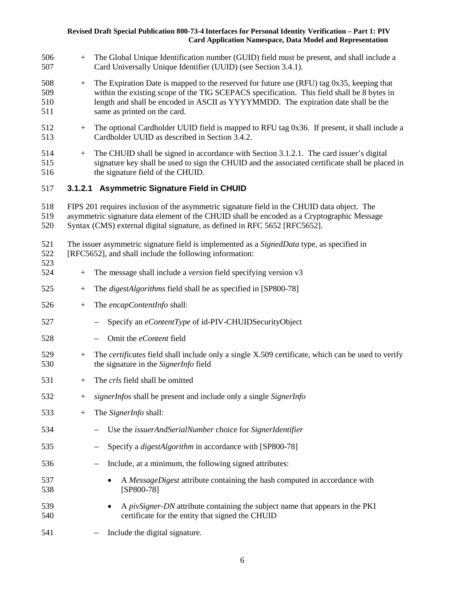- + The Global Unique Identification number (GUID) field must be present, and shall include a Card Universally Unique Identifier (UUID) (see Section 3.4.1).
- + The Expiration Date is mapped to the reserved for future use (RFU) tag 0x35, keeping that within the existing scope of the TIG SCEPACS specification. This field shall be 8 bytes in length and shall be encoded in ASCII as YYYYMMDD. The expiration date shall be the same as printed on the card.
- + The optional Cardholder UUID field is mapped to RFU tag 0x36. If present, it shall include a Cardholder UUID as described in Section 3.4.2.
- + The CHUID shall be signed in accordance with Section 3.1.2.1. The card issuer's digital signature key shall be used to sign the CHUID and the associated certificate shall be placed in the signature field of the CHUID.
- **3.1.2.1 Asymmetric Signature Field in CHUID**

 FIPS 201 requires inclusion of the asymmetric signature field in the CHUID data object. The asymmetric signature data element of the CHUID shall be encoded as a Cryptographic Message

Syntax (CMS) external digital signature, as defined in RFC 5652 [RFC5652].

 The issuer asymmetric signature field is implemented as a *SignedData* type, as specified in [RFC5652], and shall include the following information:

- + The message shall include a *version* field specifying version v3
- + The *digestAlgorithms* field shall be as specified in [SP800-78]
- + The *encapContentInfo* shall:
- Specify an *eContentType* of id-PIV-CHUIDSecurityObject
- Omit the *eContent* field
- + The *certificates* field shall include only a single X.509 certificate, which can be used to verify the signature in the *SignerInfo* field
- + The *crls* field shall be omitted
- + *signerInfo*s shall be present and include only a single *SignerInfo*
- + The *SignerInfo* shall:
- Use the *issuerAndSerialNumber* choice for *SignerIdentifier*
- Specify a *digestAlgorithm* in accordance with [SP800-78]
- Include, at a minimum, the following signed attributes:
- A *MessageDigest* attribute containing the hash computed in accordance with [SP800-78]
- A *pivSigner-DN* attribute containing the subject name that appears in the PKI certificate for the entity that signed the CHUID
- Include the digital signature.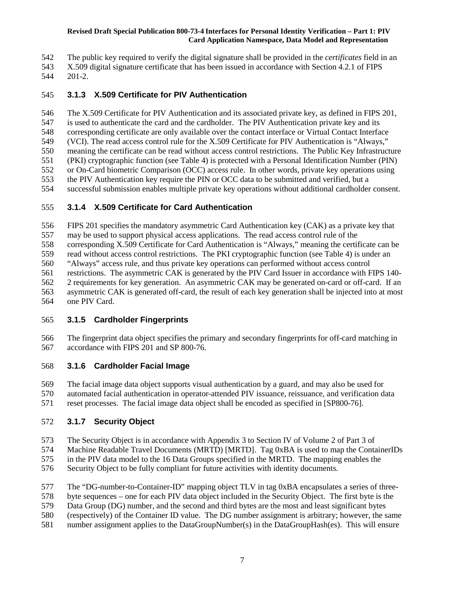The public key required to verify the digital signature shall be provided in the *certificates* field in an

- X.509 digital signature certificate that has been issued in accordance with Section 4.2.1 of FIPS 201-2.
- **3.1.3 X.509 Certificate for PIV Authentication**

The X.509 Certificate for PIV Authentication and its associated private key, as defined in FIPS 201,

- is used to authenticate the card and the cardholder. The PIV Authentication private key and its
- corresponding certificate are only available over the contact interface or Virtual Contact Interface (VCI). The read access control rule for the X.509 Certificate for PIV Authentication is "Always,"
- meaning the certificate can be read without access control restrictions. The Public Key Infrastructure
- (PKI) cryptographic function (see Table 4) is protected with a Personal Identification Number (PIN)
- or On-Card biometric Comparison (OCC) access rule. In other words, private key operations using
- the PIV Authentication key require the PIN or OCC data to be submitted and verified, but a
- successful submission enables multiple private key operations without additional cardholder consent.

## **3.1.4 X.509 Certificate for Card Authentication**

FIPS 201 specifies the mandatory asymmetric Card Authentication key (CAK) as a private key that

may be used to support physical access applications. The read access control rule of the

- corresponding X.509 Certificate for Card Authentication is "Always," meaning the certificate can be
- read without access control restrictions. The PKI cryptographic function (see Table 4) is under an
- "Always" access rule, and thus private key operations can performed without access control
- restrictions. The asymmetric CAK is generated by the PIV Card Issuer in accordance with FIPS 140-
- 2 requirements for key generation. An asymmetric CAK may be generated on-card or off-card. If an
- asymmetric CAK is generated off-card, the result of each key generation shall be injected into at most one PIV Card.

# **3.1.5 Cardholder Fingerprints**

 The fingerprint data object specifies the primary and secondary fingerprints for off-card matching in accordance with FIPS 201 and SP 800-76.

# **3.1.6 Cardholder Facial Image**

 The facial image data object supports visual authentication by a guard, and may also be used for automated facial authentication in operator-attended PIV issuance, reissuance, and verification data reset processes. The facial image data object shall be encoded as specified in [SP800-76].

# **3.1.7 Security Object**

- The Security Object is in accordance with Appendix 3 to Section IV of Volume 2 of Part 3 of
- Machine Readable Travel Documents (MRTD) [MRTD]. Tag 0xBA is used to map the ContainerIDs
- in the PIV data model to the 16 Data Groups specified in the MRTD. The mapping enables the
- Security Object to be fully compliant for future activities with identity documents.
- The "DG-number-to-Container-ID" mapping object TLV in tag 0xBA encapsulates a series of three-
- byte sequences one for each PIV data object included in the Security Object. The first byte is the
- Data Group (DG) number, and the second and third bytes are the most and least significant bytes
- (respectively) of the Container ID value. The DG number assignment is arbitrary; however, the same
- number assignment applies to the DataGroupNumber(s) in the DataGroupHash(es). This will ensure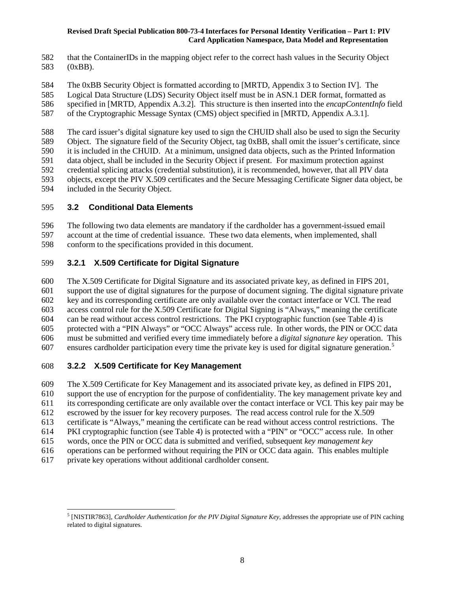that the ContainerIDs in the mapping object refer to the correct hash values in the Security Object (0xBB).

The 0xBB Security Object is formatted according to [MRTD, Appendix 3 to Section IV]. The

 Logical Data Structure (LDS) Security Object itself must be in ASN.1 DER format, formatted as specified in [MRTD, Appendix A.3.2]. This structure is then inserted into the *encapContentInfo* field

of the Cryptographic Message Syntax (CMS) object specified in [MRTD, Appendix A.3.1].

 The card issuer's digital signature key used to sign the CHUID shall also be used to sign the Security Object. The signature field of the Security Object, tag 0xBB, shall omit the issuer's certificate, since it is included in the CHUID. At a minimum, unsigned data objects, such as the Printed Information data object, shall be included in the Security Object if present. For maximum protection against credential splicing attacks (credential substitution), it is recommended, however, that all PIV data objects, except the PIV X.509 certificates and the Secure Messaging Certificate Signer data object, be

included in the Security Object.

## **3.2 Conditional Data Elements**

 The following two data elements are mandatory if the cardholder has a government-issued email account at the time of credential issuance. These two data elements, when implemented, shall conform to the specifications provided in this document.

## **3.2.1 X.509 Certificate for Digital Signature**

 The X.509 Certificate for Digital Signature and its associated private key, as defined in FIPS 201, support the use of digital signatures for the purpose of document signing. The digital signature private key and its corresponding certificate are only available over the contact interface or VCI. The read access control rule for the X.509 Certificate for Digital Signing is "Always," meaning the certificate can be read without access control restrictions. The PKI cryptographic function (see Table 4) is protected with a "PIN Always" or "OCC Always" access rule. In other words, the PIN or OCC data must be submitted and verified every time immediately before a *digital signature key* operation. This ensures cardholder participation every time the private key is used for digital signature generation.<sup>[5](#page-18-0)</sup>

## **3.2.2 X.509 Certificate for Key Management**

 The X.509 Certificate for Key Management and its associated private key, as defined in FIPS 201, support the use of encryption for the purpose of confidentiality. The key management private key and its corresponding certificate are only available over the contact interface or VCI. This key pair may be escrowed by the issuer for key recovery purposes. The read access control rule for the X.509 certificate is "Always," meaning the certificate can be read without access control restrictions. The PKI cryptographic function (see Table 4) is protected with a "PIN" or "OCC" access rule. In other words, once the PIN or OCC data is submitted and verified, subsequent *key management key* operations can be performed without requiring the PIN or OCC data again. This enables multiple

private key operations without additional cardholder consent.

<span id="page-18-0"></span> [NISTIR7863], *Cardholder Authentication for the PIV Digital Signature Key*, addresses the appropriate use of PIN caching related to digital signatures.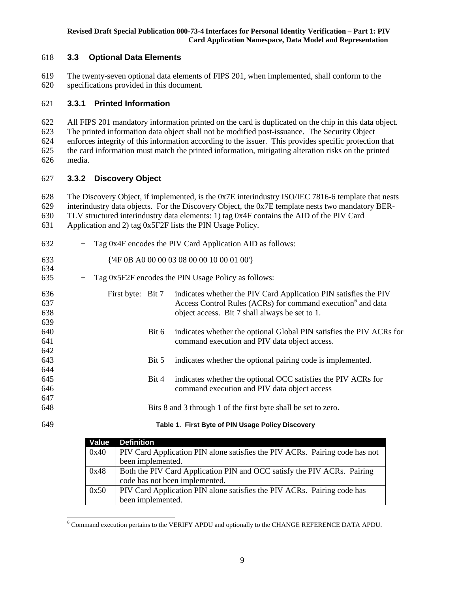## **3.3 Optional Data Elements**

 The twenty-seven optional data elements of FIPS 201, when implemented, shall conform to the specifications provided in this document.

## **3.3.1 Printed Information**

 All FIPS 201 mandatory information printed on the card is duplicated on the chip in this data object. The printed information data object shall not be modified post-issuance. The Security Object enforces integrity of this information according to the issuer. This provides specific protection that the card information must match the printed information, mitigating alteration risks on the printed media.

## **3.3.2 Discovery Object**

The Discovery Object, if implemented, is the 0x7E interindustry ISO/IEC 7816-6 template that nests

- interindustry data objects. For the Discovery Object, the 0x7E template nests two mandatory BER-
- TLV structured interindustry data elements: 1) tag 0x4F contains the AID of the PIV Card
- Application and 2) tag 0x5F2F lists the PIN Usage Policy.
- $632 + Tag 0x4F$  encodes the PIV Card Application AID as follows: {'4F 0B A0 00 00 03 08 00 00 10 00 01 00'} + Tag 0x5F2F encodes the PIN Usage Policy as follows: First byte: Bit 7 indicates whether the PIV Card Application PIN satisfies the PIV Access Control Rules (ACRs) for command execution<sup>[6](#page-19-0)</sup> and data object access. Bit 7 shall always be set to 1. Bit 6 indicates whether the optional Global PIN satisfies the PIV ACRs for command execution and PIV data object access. Bit 5 indicates whether the optional pairing code is implemented. Bit 4 indicates whether the optional OCC satisfies the PIV ACRs for command execution and PIV data object access Bits 8 and 3 through 1 of the first byte shall be set to zero.
- 
- **Table 1. First Byte of PIN Usage Policy Discovery**

| Value | <b>Definition</b>                                                           |
|-------|-----------------------------------------------------------------------------|
| 0x40  | PIV Card Application PIN alone satisfies the PIV ACRs. Pairing code has not |
|       | been implemented.                                                           |
| 0x48  | Both the PIV Card Application PIN and OCC satisfy the PIV ACRs. Pairing     |
|       | code has not been implemented.                                              |
| 0x50  | PIV Card Application PIN alone satisfies the PIV ACRs. Pairing code has     |
|       | been implemented.                                                           |

<span id="page-19-0"></span>Command execution pertains to the VERIFY APDU and optionally to the CHANGE REFERENCE DATA APDU.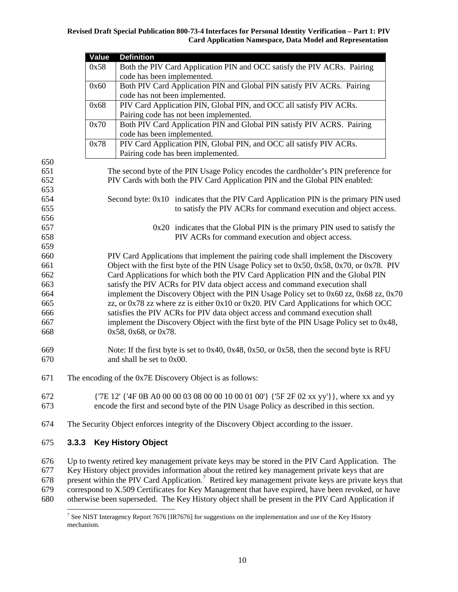|               | <b>Value</b> | <b>Definition</b>                                                                                                                                                                  |
|---------------|--------------|------------------------------------------------------------------------------------------------------------------------------------------------------------------------------------|
|               | 0x58         | Both the PIV Card Application PIN and OCC satisfy the PIV ACRs. Pairing                                                                                                            |
|               |              | code has been implemented.                                                                                                                                                         |
|               | 0x60         | Both PIV Card Application PIN and Global PIN satisfy PIV ACRs. Pairing                                                                                                             |
|               |              | code has not been implemented.                                                                                                                                                     |
|               | 0x68         | PIV Card Application PIN, Global PIN, and OCC all satisfy PIV ACRs.                                                                                                                |
|               |              | Pairing code has not been implemented.                                                                                                                                             |
|               | 0x70         | Both PIV Card Application PIN and Global PIN satisfy PIV ACRS. Pairing                                                                                                             |
|               |              | code has been implemented.                                                                                                                                                         |
|               | 0x78         | PIV Card Application PIN, Global PIN, and OCC all satisfy PIV ACRs.                                                                                                                |
|               |              | Pairing code has been implemented.                                                                                                                                                 |
| 650           |              |                                                                                                                                                                                    |
| 651           |              | The second byte of the PIN Usage Policy encodes the cardholder's PIN preference for                                                                                                |
| 652           |              | PIV Cards with both the PIV Card Application PIN and the Global PIN enabled:                                                                                                       |
| 653           |              |                                                                                                                                                                                    |
| 654           |              | Second byte: 0x10 indicates that the PIV Card Application PIN is the primary PIN used                                                                                              |
| 655           |              | to satisfy the PIV ACRs for command execution and object access.                                                                                                                   |
| 656           |              |                                                                                                                                                                                    |
| 657           |              | 0x20 indicates that the Global PIN is the primary PIN used to satisfy the                                                                                                          |
| 658           |              | PIV ACRs for command execution and object access.                                                                                                                                  |
| 659           |              |                                                                                                                                                                                    |
| 660           |              | PIV Card Applications that implement the pairing code shall implement the Discovery                                                                                                |
| 661           |              | Object with the first byte of the PIN Usage Policy set to 0x50, 0x58, 0x70, or 0x78. PIV                                                                                           |
| 662           |              | Card Applications for which both the PIV Card Application PIN and the Global PIN                                                                                                   |
| 663           |              | satisfy the PIV ACRs for PIV data object access and command execution shall                                                                                                        |
| 664           |              | implement the Discovery Object with the PIN Usage Policy set to 0x60 zz, 0x68 zz, 0x70                                                                                             |
| 665           |              | zz, or $0x78$ zz where zz is either $0x10$ or $0x20$ . PIV Card Applications for which OCC                                                                                         |
| 666           |              | satisfies the PIV ACRs for PIV data object access and command execution shall                                                                                                      |
| 667           |              | implement the Discovery Object with the first byte of the PIN Usage Policy set to 0x48,                                                                                            |
| 668           |              | 0x58, 0x68, or 0x78.                                                                                                                                                               |
| 669           |              | Note: If the first byte is set to $0x40$ , $0x48$ , $0x50$ , or $0x58$ , then the second byte is RFU                                                                               |
| 670           |              | and shall be set to 0x00.                                                                                                                                                          |
|               |              |                                                                                                                                                                                    |
| 671           |              | The encoding of the 0x7E Discovery Object is as follows:                                                                                                                           |
| 672<br>673    |              | {'7E 12' {'4F 0B A0 00 00 03 08 00 00 10 00 01 00'} {'5F 2F 02 xx yy'}}, where xx and yy<br>encode the first and second byte of the PIN Usage Policy as described in this section. |
| 674           |              | The Security Object enforces integrity of the Discovery Object according to the issuer.                                                                                            |
| $\sim$ $\sim$ |              |                                                                                                                                                                                    |

## **3.3.3 Key History Object**

 Up to twenty retired key management private keys may be stored in the PIV Card Application. The Key History object provides information about the retired key management private keys that are  $p_{\text{resent}}$  between within the PIV Card Application.<sup>[7](#page-20-0)</sup> Retired key management private keys are private keys that correspond to X.509 Certificates for Key Management that have expired, have been revoked, or have otherwise been superseded. The Key History object shall be present in the PIV Card Application if

<span id="page-20-0"></span><sup>&</sup>lt;sup>7</sup> See NIST Interagency Report 7676 [IR7676] for suggestions on the implementation and use of the Key History mechanism.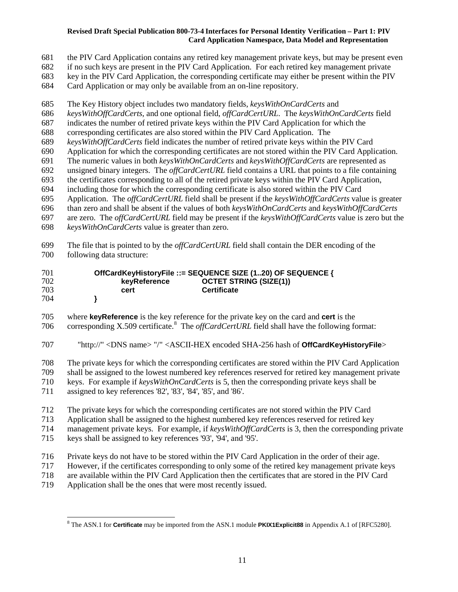the PIV Card Application contains any retired key management private keys, but may be present even

- if no such keys are present in the PIV Card Application. For each retired key management private
- key in the PIV Card Application, the corresponding certificate may either be present within the PIV
- Card Application or may only be available from an on-line repository.

The Key History object includes two mandatory fields, *keysWithOnCardCerts* and

- *keysWithOffCardCerts*, and one optional field, *offCardCertURL*. The *keysWithOnCardCerts* field
- indicates the number of retired private keys within the PIV Card Application for which the
- corresponding certificates are also stored within the PIV Card Application. The
- *keysWithOffCardCerts* field indicates the number of retired private keys within the PIV Card
- Application for which the corresponding certificates are not stored within the PIV Card Application.
- The numeric values in both *keysWithOnCardCerts* and *keysWithOffCardCerts* are represented as
- unsigned binary integers. The *offCardCertURL* field contains a URL that points to a file containing the certificates corresponding to all of the retired private keys within the PIV Card Application,
- including those for which the corresponding certificate is also stored within the PIV Card
- Application. The *offCardCertURL* field shall be present if the *keysWithOffCardCerts* value is greater
- than zero and shall be absent if the values of both *keysWithOnCardCerts* and *keysWithOffCardCerts*
- are zero. The *offCardCertURL* field may be present if the *keysWithOffCardCerts* value is zero but the *keysWithOnCardCerts* value is greater than zero.
- The file that is pointed to by the *offCardCertURL* field shall contain the DER encoding of the following data structure:

| 701 |              | OffCardKeyHistoryFile ::= SEQUENCE SIZE (120) OF SEQUENCE { |  |  |
|-----|--------------|-------------------------------------------------------------|--|--|
| 702 | keyReference | <b>OCTET STRING (SIZE(1))</b>                               |  |  |
| 703 | cert         | <b>Certificate</b>                                          |  |  |
| 704 |              |                                                             |  |  |

 where **keyReference** is the key reference for the private key on the card and **cert** is the 706 corresponding X.509 certificate.<sup>[8](#page-21-0)</sup> The *offCardCertURL* field shall have the following format:

707 "http://" <DNS name> "/" <ASCII-HEX encoded SHA-256 hash of **OffCardKeyHistoryFile**>

The private keys for which the corresponding certificates are stored within the PIV Card Application

shall be assigned to the lowest numbered key references reserved for retired key management private

- keys. For example if *keysWithOnCardCerts* is 5, then the corresponding private keys shall be
- assigned to key references '82', '83', '84', '85', and '86'.
- The private keys for which the corresponding certificates are not stored within the PIV Card
- Application shall be assigned to the highest numbered key references reserved for retired key
- management private keys. For example, if *keysWithOffCardCerts* is 3, then the corresponding private
- keys shall be assigned to key references '93', '94', and '95'.
- Private keys do not have to be stored within the PIV Card Application in the order of their age.
- However, if the certificates corresponding to only some of the retired key management private keys
- are available within the PIV Card Application then the certificates that are stored in the PIV Card
- <span id="page-21-0"></span>Application shall be the ones that were most recently issued.

The ASN.1 for **Certificate** may be imported from the ASN.1 module **PKIX1Explicit88** in Appendix A.1 of [RFC5280].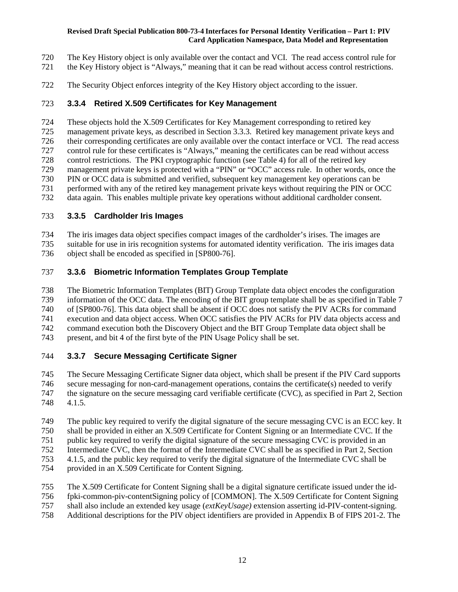- The Key History object is only available over the contact and VCI. The read access control rule for
- the Key History object is "Always," meaning that it can be read without access control restrictions.
- The Security Object enforces integrity of the Key History object according to the issuer.

## **3.3.4 Retired X.509 Certificates for Key Management**

 These objects hold the X.509 Certificates for Key Management corresponding to retired key management private keys, as described in Section 3.3.3. Retired key management private keys and their corresponding certificates are only available over the contact interface or VCI. The read access control rule for these certificates is "Always," meaning the certificates can be read without access control restrictions. The PKI cryptographic function (see Table 4) for all of the retired key management private keys is protected with a "PIN" or "OCC" access rule. In other words, once the

- PIN or OCC data is submitted and verified, subsequent key management key operations can be
- performed with any of the retired key management private keys without requiring the PIN or OCC
- data again. This enables multiple private key operations without additional cardholder consent.

## **3.3.5 Cardholder Iris Images**

 The iris images data object specifies compact images of the cardholder's irises. The images are suitable for use in iris recognition systems for automated identity verification. The iris images data object shall be encoded as specified in [SP800-76].

## **3.3.6 Biometric Information Templates Group Template**

 The Biometric Information Templates (BIT) Group Template data object encodes the configuration information of the OCC data. The encoding of the BIT group template shall be as specified in Table 7 of [SP800-76]. This data object shall be absent if OCC does not satisfy the PIV ACRs for command execution and data object access. When OCC satisfies the PIV ACRs for PIV data objects access and command execution both the Discovery Object and the BIT Group Template data object shall be present, and bit 4 of the first byte of the PIN Usage Policy shall be set.

## **3.3.7 Secure Messaging Certificate Signer**

 The Secure Messaging Certificate Signer data object, which shall be present if the PIV Card supports secure messaging for non-card-management operations, contains the certificate(s) needed to verify the signature on the secure messaging card verifiable certificate (CVC), as specified in Part 2, Section 4.1.5.

- The public key required to verify the digital signature of the secure messaging CVC is an ECC key. It
- shall be provided in either an X.509 Certificate for Content Signing or an Intermediate CVC. If the
- public key required to verify the digital signature of the secure messaging CVC is provided in an
- Intermediate CVC, then the format of the Intermediate CVC shall be as specified in Part 2, Section
- 4.1.5, and the public key required to verify the digital signature of the Intermediate CVC shall be
- provided in an X.509 Certificate for Content Signing.
- The X.509 Certificate for Content Signing shall be a digital signature certificate issued under the id-
- fpki-common-piv-contentSigning policy of [COMMON]. The X.509 Certificate for Content Signing
- shall also include an extended key usage (*extKeyUsage)* extension asserting id-PIV-content-signing.
- Additional descriptions for the PIV object identifiers are provided in Appendix B of FIPS 201-2. The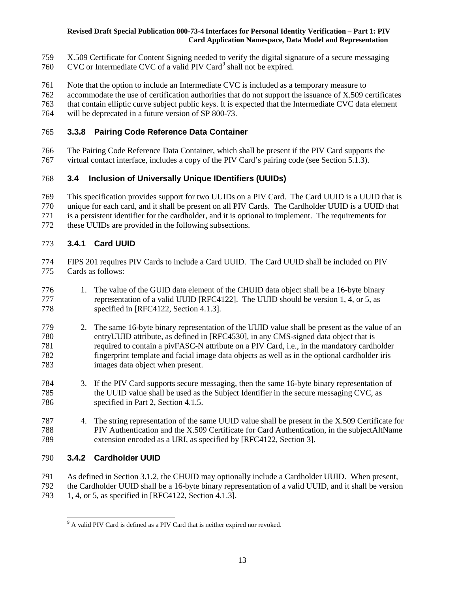- X.509 Certificate for Content Signing needed to verify the digital signature of a secure messaging
- 760 CVC or Intermediate CVC of a valid PIV Card<sup>[9](#page-23-0)</sup> shall not be expired.
- Note that the option to include an Intermediate CVC is included as a temporary measure to
- accommodate the use of certification authorities that do not support the issuance of X.509 certificates
- that contain elliptic curve subject public keys. It is expected that the Intermediate CVC data element
- will be deprecated in a future version of SP 800-73.

## **3.3.8 Pairing Code Reference Data Container**

 The Pairing Code Reference Data Container, which shall be present if the PIV Card supports the virtual contact interface, includes a copy of the PIV Card's pairing code (see Section 5.1.3).

## **3.4 Inclusion of Universally Unique IDentifiers (UUIDs)**

- This specification provides support for two UUIDs on a PIV Card. The Card UUID is a UUID that is
- unique for each card, and it shall be present on all PIV Cards. The Cardholder UUID is a UUID that is a persistent identifier for the cardholder, and it is optional to implement. The requirements for
- these UUIDs are provided in the following subsections.

## **3.4.1 Card UUID**

- FIPS 201 requires PIV Cards to include a Card UUID. The Card UUID shall be included on PIV Cards as follows:
- 776 1. The value of the GUID data element of the CHUID data object shall be a 16-byte binary 777 representation of a valid UUID [RFC4122]. The UUID should be version 1, 4, or 5, as specified in [RFC4122, Section 4.1.3].
- 2. The same 16-byte binary representation of the UUID value shall be present as the value of an entryUUID attribute, as defined in [RFC4530], in any CMS-signed data object that is required to contain a pivFASC-N attribute on a PIV Card, i.e., in the mandatory cardholder fingerprint template and facial image data objects as well as in the optional cardholder iris images data object when present.
- 3. If the PIV Card supports secure messaging, then the same 16-byte binary representation of the UUID value shall be used as the Subject Identifier in the secure messaging CVC, as specified in Part 2, Section 4.1.5.
- 4. The string representation of the same UUID value shall be present in the X.509 Certificate for PIV Authentication and the X.509 Certificate for Card Authentication, in the subjectAltName extension encoded as a URI, as specified by [RFC4122, Section 3].

## **3.4.2 Cardholder UUID**

- As defined in Section 3.1.2, the CHUID may optionally include a Cardholder UUID. When present,
- <span id="page-23-0"></span> the Cardholder UUID shall be a 16-byte binary representation of a valid UUID, and it shall be version 1, 4, or 5, as specified in [RFC4122, Section 4.1.3].

A valid PIV Card is defined as a PIV Card that is neither expired nor revoked.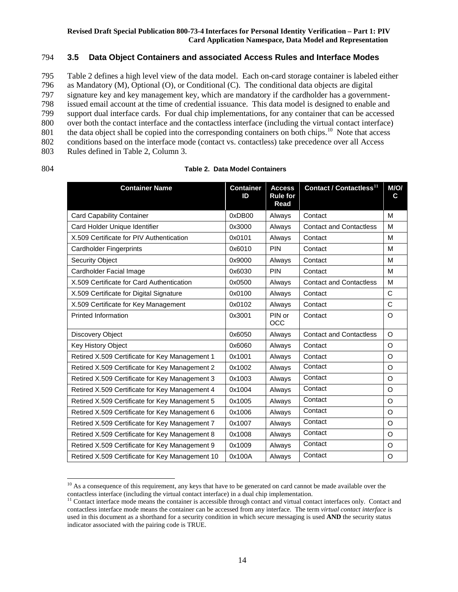## 794 **3.5 Data Object Containers and associated Access Rules and Interface Modes**

 Table 2 defines a high level view of the data model. Each on-card storage container is labeled either as Mandatory (M), Optional (O), or Conditional (C). The conditional data objects are digital signature key and key management key, which are mandatory if the cardholder has a government- issued email account at the time of credential issuance. This data model is designed to enable and 799 support dual interface cards. For dual chip implementations, for any container that can be accessed<br>800 over both the contact interface and the contactless interface (including the virtual contact interface) over both the contact interface and the contactless interface (including the virtual contact interface) 801 the data object shall be copied into the corresponding containers on both chips.<sup>[10](#page-24-0)</sup> Note that access conditions based on the interface mode (contact vs. contactless) take precedence over all Access Rules defined in Table 2, Column 3.

| I<br>I<br>۰,<br>×<br>۰.<br>× |
|------------------------------|
|------------------------------|

### 804 **Table 2. Data Model Containers**

| <b>Container Name</b>                           | <b>Container</b><br>ID | <b>Access</b><br><b>Rule for</b><br>Read | <b>Contact / Contactless<sup>11</sup></b> | M/O/<br>C |
|-------------------------------------------------|------------------------|------------------------------------------|-------------------------------------------|-----------|
| <b>Card Capability Container</b>                | 0xDB00                 | Always                                   | Contact                                   | М         |
| Card Holder Unique Identifier                   | 0x3000                 | Always                                   | <b>Contact and Contactless</b>            | M         |
| X.509 Certificate for PIV Authentication        | 0x0101                 | Always                                   | Contact                                   | M         |
| <b>Cardholder Fingerprints</b>                  | 0x6010                 | <b>PIN</b>                               | Contact                                   | M         |
| <b>Security Object</b>                          | 0x9000                 | Always                                   | Contact                                   | M         |
| Cardholder Facial Image                         | 0x6030                 | <b>PIN</b>                               | Contact                                   | M         |
| X.509 Certificate for Card Authentication       | 0x0500                 | Always                                   | <b>Contact and Contactless</b>            | M         |
| X.509 Certificate for Digital Signature         | 0x0100                 | Always                                   | Contact                                   | C         |
| X.509 Certificate for Key Management            | 0x0102                 | Always                                   | Contact                                   | C         |
| <b>Printed Information</b>                      | 0x3001                 | PIN or<br><b>OCC</b>                     | Contact                                   | $\Omega$  |
| Discovery Object                                | 0x6050                 | Always                                   | <b>Contact and Contactless</b>            | $\Omega$  |
| Key History Object                              | 0x6060                 | Always                                   | Contact                                   | $\circ$   |
| Retired X.509 Certificate for Key Management 1  | 0x1001                 | Always                                   | Contact                                   | $\circ$   |
| Retired X.509 Certificate for Key Management 2  | 0x1002                 | Always                                   | Contact                                   | $\Omega$  |
| Retired X.509 Certificate for Key Management 3  | 0x1003                 | Always                                   | Contact                                   | $\Omega$  |
| Retired X.509 Certificate for Key Management 4  | 0x1004                 | Always                                   | Contact                                   | $\Omega$  |
| Retired X.509 Certificate for Key Management 5  | 0x1005                 | Always                                   | Contact                                   | $\Omega$  |
| Retired X.509 Certificate for Key Management 6  | 0x1006                 | Always                                   | Contact                                   | $\Omega$  |
| Retired X.509 Certificate for Key Management 7  | 0x1007                 | Always                                   | Contact                                   | $\circ$   |
| Retired X.509 Certificate for Key Management 8  | 0x1008                 | Always                                   | Contact                                   | $\Omega$  |
| Retired X.509 Certificate for Key Management 9  | 0x1009                 | Always                                   | Contact                                   | $\circ$   |
| Retired X.509 Certificate for Key Management 10 | 0x100A                 | Always                                   | Contact                                   | O         |

<span id="page-24-0"></span> $10$  As a consequence of this requirement, any keys that have to be generated on card cannot be made available over the contactless interface (including the virtual contact interface) in a dual chip implementation.

<span id="page-24-1"></span> $11$  Contact interface mode means the container is accessible through contact and virtual contact interfaces only. Contact and contactless interface mode means the container can be accessed from any interface. The term *virtual contact interface* is used in this document as a shorthand for a security condition in which secure messaging is used **AND** the security status indicator associated with the pairing code is TRUE.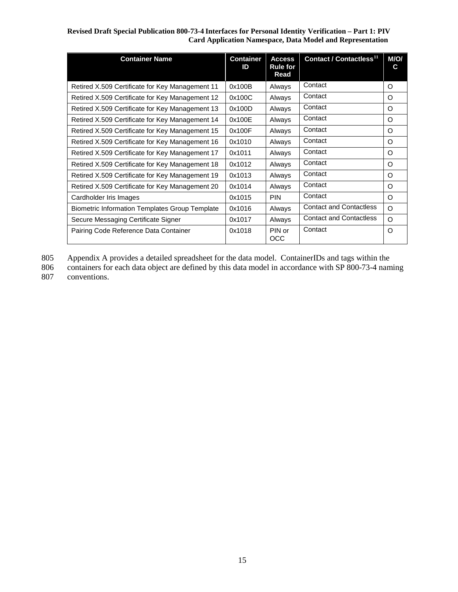| <b>Container Name</b>                                 | <b>Container</b><br>ID | <b>Access</b><br><b>Rule for</b><br>Read | Contact / Contactless <sup>11</sup> | <b>M/O/</b><br>C |
|-------------------------------------------------------|------------------------|------------------------------------------|-------------------------------------|------------------|
| Retired X.509 Certificate for Key Management 11       | 0x100B                 | Always                                   | Contact                             | O                |
| Retired X.509 Certificate for Key Management 12       | 0x100C                 | Always                                   | Contact                             | O                |
| Retired X.509 Certificate for Key Management 13       | 0x100D                 | Always                                   | Contact                             | $\circ$          |
| Retired X.509 Certificate for Key Management 14       | 0x100E                 | Always                                   | Contact                             | $\Omega$         |
| Retired X.509 Certificate for Key Management 15       | 0x100F                 | Always                                   | Contact                             | $\Omega$         |
| Retired X.509 Certificate for Key Management 16       | 0x1010                 | Always                                   | Contact                             | $\Omega$         |
| Retired X.509 Certificate for Key Management 17       | 0x1011                 | Always                                   | Contact                             | $\Omega$         |
| Retired X.509 Certificate for Key Management 18       | 0x1012                 | Always                                   | Contact                             | $\Omega$         |
| Retired X.509 Certificate for Key Management 19       | 0x1013                 | Always                                   | Contact                             | O                |
| Retired X.509 Certificate for Key Management 20       | 0x1014                 | Always                                   | Contact                             | O                |
| Cardholder Iris Images                                | 0x1015                 | <b>PIN</b>                               | Contact                             | $\Omega$         |
| <b>Biometric Information Templates Group Template</b> | 0x1016                 | Always                                   | <b>Contact and Contactless</b>      | $\Omega$         |
| Secure Messaging Certificate Signer                   | 0x1017                 | Always                                   | <b>Contact and Contactless</b>      | $\Omega$         |
| Pairing Code Reference Data Container                 | 0x1018                 | PIN or<br><b>OCC</b>                     | Contact                             | $\Omega$         |

805 Appendix A provides a detailed spreadsheet for the data model. ContainerIDs and tags within the containers for each data object are defined by this data model in accordance with SP 800-73-4 nam

806 containers for each data object are defined by this data model in accordance with SP 800-73-4 naming conventions. conventions.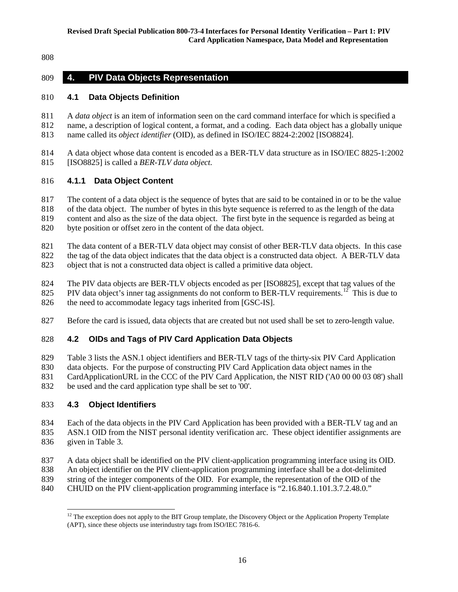## **4. PIV Data Objects Representation**

## **4.1 Data Objects Definition**

- A *data object* is an item of information seen on the card command interface for which is specified a name, a description of logical content, a format, and a coding. Each data object has a globally unique
- name called its *object identifier* (OID)*,* as defined in ISO/IEC 8824-2:2002 [ISO8824].

 A data object whose data content is encoded as a BER-TLV data structure as in ISO/IEC 8825-1:2002 [ISO8825] is called a *BER-TLV data object.* 

## **4.1.1 Data Object Content**

The content of a data object is the sequence of bytes that are said to be contained in or to be the value

 of the data object. The number of bytes in this byte sequence is referred to as the length of the data content and also as the size of the data object. The first byte in the sequence is regarded as being at

byte position or offset zero in the content of the data object.

- The data content of a BER-TLV data object may consist of other BER-TLV data objects. In this case
- 822 the tag of the data object indicates that the data object is a constructed data object. A BER-TLV data
- object that is not a constructed data object is called a primitive data object.
- The PIV data objects are BER-TLV objects encoded as per [ISO8825], except that tag values of the
- 825 PIV data object's inner tag assignments do not conform to BER-TLV requirements.<sup>[12](#page-26-0)</sup> This is due to
- 826 the need to accommodate legacy tags inherited from [GSC-IS].
- Before the card is issued, data objects that are created but not used shall be set to zero-length value.

## **4.2 OIDs and Tags of PIV Card Application Data Objects**

Table 3 lists the ASN.1 object identifiers and BER-TLV tags of the thirty-six PIV Card Application

- data objects. For the purpose of constructing PIV Card Application data object names in the
- 831 CardApplicationURL in the CCC of the PIV Card Application, the NIST RID ('A0 00 00 03 08') shall
- be used and the card application type shall be set to '00'.

## **4.3 Object Identifiers**

 Each of the data objects in the PIV Card Application has been provided with a BER-TLV tag and an ASN.1 OID from the NIST personal identity verification arc. These object identifier assignments are given in Table 3.

- 837 A data object shall be identified on the PIV client-application programming interface using its OID.
- An object identifier on the PIV client-application programming interface shall be a dot-delimited
- string of the integer components of the OID. For example, the representation of the OID of the
- <span id="page-26-0"></span>CHUID on the PIV client-application programming interface is "2.16.840.1.101.3.7.2.48.0."

 The exception does not apply to the BIT Group template, the Discovery Object or the Application Property Template (APT), since these objects use interindustry tags from ISO/IEC 7816-6.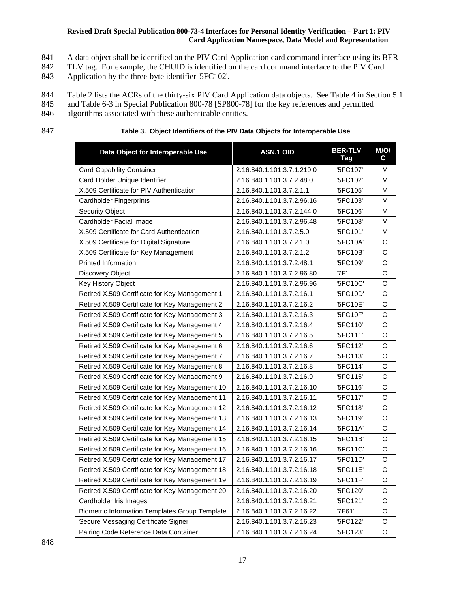- 841 A data object shall be identified on the PIV Card Application card command interface using its BER-<br>842 TLV tag. For example, the CHUID is identified on the card command interface to the PIV Card
- TLV tag. For example, the CHUID is identified on the card command interface to the PIV Card
- 843 Application by the three-byte identifier '5FC102'.
- 844 Table 2 lists the ACRs of the thirty-six PIV Card Application data objects. See Table 4 in Section 5.1
- 845 and Table 6-3 in Special Publication 800-78 [SP800-78] for the key references and permitted
- 846 algorithms associated with these authenticable entities.
- 

### 847 **Table 3. Object Identifiers of the PIV Data Objects for Interoperable Use**

| Data Object for Interoperable Use                     | ASN.1 OID                  | <b>BER-TLV</b><br>Tag | M/O/<br>C    |
|-------------------------------------------------------|----------------------------|-----------------------|--------------|
| <b>Card Capability Container</b>                      | 2.16.840.1.101.3.7.1.219.0 | '5FC107'              | М            |
| Card Holder Unique Identifier                         | 2.16.840.1.101.3.7.2.48.0  | '5FC102'              | м            |
| X.509 Certificate for PIV Authentication              | 2.16.840.1.101.3.7.2.1.1   | '5FC105'              | М            |
| <b>Cardholder Fingerprints</b>                        | 2.16.840.1.101.3.7.2.96.16 | '5FC103'              | M            |
| Security Object                                       | 2.16.840.1.101.3.7.2.144.0 | '5FC106'              | м            |
| Cardholder Facial Image                               | 2.16.840.1.101.3.7.2.96.48 | '5FC108'              | M            |
| X.509 Certificate for Card Authentication             | 2.16.840.1.101.3.7.2.5.0   | '5FC101'              | M            |
| X.509 Certificate for Digital Signature               | 2.16.840.1.101.3.7.2.1.0   | '5FC10A'              | С            |
| X.509 Certificate for Key Management                  | 2.16.840.1.101.3.7.2.1.2   | '5FC10B'              | $\mathsf{C}$ |
| <b>Printed Information</b>                            | 2.16.840.1.101.3.7.2.48.1  | '5FC109'              | O            |
| Discovery Object                                      | 2.16.840.1.101.3.7.2.96.80 | '7E'                  | O            |
| Key History Object                                    | 2.16.840.1.101.3.7.2.96.96 | '5FC10C'              | O            |
| Retired X.509 Certificate for Key Management 1        | 2.16.840.1.101.3.7.2.16.1  | '5FC10D'              | O            |
| Retired X.509 Certificate for Key Management 2        | 2.16.840.1.101.3.7.2.16.2  | '5FC10E'              | O            |
| Retired X.509 Certificate for Key Management 3        | 2.16.840.1.101.3.7.2.16.3  | '5FC10F'              | O            |
| Retired X.509 Certificate for Key Management 4        | 2.16.840.1.101.3.7.2.16.4  | '5FC110'              | $\circ$      |
| Retired X.509 Certificate for Key Management 5        | 2.16.840.1.101.3.7.2.16.5  | '5FC111'              | O            |
| Retired X.509 Certificate for Key Management 6        | 2.16.840.1.101.3.7.2.16.6  | '5FC112'              | O            |
| Retired X.509 Certificate for Key Management 7        | 2.16.840.1.101.3.7.2.16.7  | '5FC113'              | O            |
| Retired X.509 Certificate for Key Management 8        | 2.16.840.1.101.3.7.2.16.8  | '5FC114'              | O            |
| Retired X.509 Certificate for Key Management 9        | 2.16.840.1.101.3.7.2.16.9  | '5FC115'              | O            |
| Retired X.509 Certificate for Key Management 10       | 2.16.840.1.101.3.7.2.16.10 | '5FC116'              | O            |
| Retired X.509 Certificate for Key Management 11       | 2.16.840.1.101.3.7.2.16.11 | '5FC117'              | O            |
| Retired X.509 Certificate for Key Management 12       | 2.16.840.1.101.3.7.2.16.12 | '5FC118'              | O            |
| Retired X.509 Certificate for Key Management 13       | 2.16.840.1.101.3.7.2.16.13 | '5FC119'              | $\mathsf O$  |
| Retired X.509 Certificate for Key Management 14       | 2.16.840.1.101.3.7.2.16.14 | '5FC11A'              | O            |
| Retired X.509 Certificate for Key Management 15       | 2.16.840.1.101.3.7.2.16.15 | '5FC11B'              | O            |
| Retired X.509 Certificate for Key Management 16       | 2.16.840.1.101.3.7.2.16.16 | '5FC11C'              | O            |
| Retired X.509 Certificate for Key Management 17       | 2.16.840.1.101.3.7.2.16.17 | '5FC11D'              | $\mathsf O$  |
| Retired X.509 Certificate for Key Management 18       | 2.16.840.1.101.3.7.2.16.18 | '5FC11E'              | $\circ$      |
| Retired X.509 Certificate for Key Management 19       | 2.16.840.1.101.3.7.2.16.19 | '5FC11F'              | O            |
| Retired X.509 Certificate for Key Management 20       | 2.16.840.1.101.3.7.2.16.20 | '5FC120'              | O            |
| Cardholder Iris Images                                | 2.16.840.1.101.3.7.2.16.21 | '5FC121'              | O            |
| <b>Biometric Information Templates Group Template</b> | 2.16.840.1.101.3.7.2.16.22 | '7F61'                | O            |
| Secure Messaging Certificate Signer                   | 2.16.840.1.101.3.7.2.16.23 | '5FC122'              | O            |
| Pairing Code Reference Data Container                 | 2.16.840.1.101.3.7.2.16.24 | '5FC123'              | O            |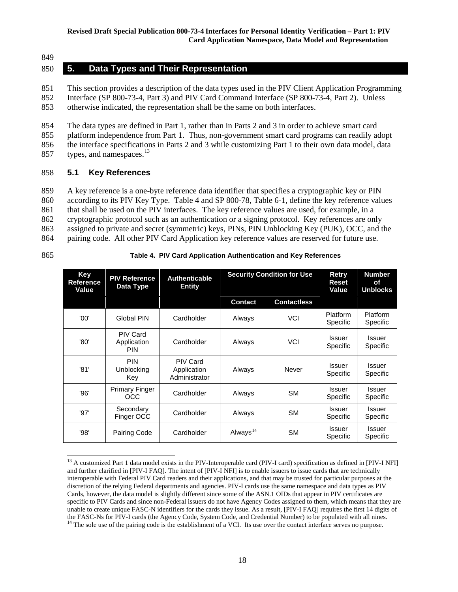849

## 850 **5. Data Types and Their Representation**

851 This section provides a description of the data types used in the PIV Client Application Programming 852 Interface (SP 800-73-4, Part 3) and PIV Card Command Interface (SP 800-73-4, Part 2). Unless 853 otherwise indicated, the representation shall be the same on both interfaces.

 The data types are defined in Part 1, rather than in Parts 2 and 3 in order to achieve smart card platform independence from Part 1. Thus, non-government smart card programs can readily adopt the interface specifications in Parts 2 and 3 while customizing Part 1 to their own data model, data 857 types, and namespaces. $13$ 

## 858 **5.1 Key References**

859 A key reference is a one-byte reference data identifier that specifies a cryptographic key or PIN 860 according to its PIV Key Type. Table 4 and SP 800-78, Table 6-1, define the key reference values

861 that shall be used on the PIV interfaces. The key reference values are used, for example, in a

- 862 cryptographic protocol such as an authentication or a signing protocol. Key references are only 863 assigned to private and secret (symmetric) keys, PINs, PIN Unblocking Key (PUK), OCC, and the
- 864 pairing code. All other PIV Card Application key reference values are reserved for future use.

| 865 | Table 4. PIV Card Application Authentication and Key References |
|-----|-----------------------------------------------------------------|
|     |                                                                 |

| Key<br>Reference<br>Value | <b>PIV Reference</b><br>Data Type            | <b>Authenticable</b><br><b>Entity</b>           | <b>Security Condition for Use</b> |                    |                      |                           | Retry<br>Reset<br>Value | <b>Number</b><br>οf<br><b>Unblocks</b> |
|---------------------------|----------------------------------------------|-------------------------------------------------|-----------------------------------|--------------------|----------------------|---------------------------|-------------------------|----------------------------------------|
|                           |                                              |                                                 | Contact                           | <b>Contactless</b> |                      |                           |                         |                                        |
| '00'                      | Global PIN                                   | Cardholder                                      | Always                            | <b>VCI</b>         | Platform<br>Specific | Platform<br>Specific      |                         |                                        |
| '80'                      | <b>PIV Card</b><br>Application<br><b>PIN</b> | Cardholder                                      | Always                            | <b>VCI</b>         | Issuer<br>Specific   | Issuer<br>Specific        |                         |                                        |
| '81'                      | <b>PIN</b><br>Unblocking<br>Key              | <b>PIV Card</b><br>Application<br>Administrator | Always                            | Never              | Issuer<br>Specific   | <b>Issuer</b><br>Specific |                         |                                        |
| '96'                      | <b>Primary Finger</b><br>OCC                 | Cardholder                                      | Always                            | <b>SM</b>          | Issuer<br>Specific   | <b>Issuer</b><br>Specific |                         |                                        |
| '97'                      | Secondary<br>Finger OCC                      | Cardholder                                      | Always                            | <b>SM</b>          | Issuer<br>Specific   | <b>Issuer</b><br>Specific |                         |                                        |
| '98'                      | <b>Pairing Code</b>                          | Cardholder                                      | Always <sup>14</sup>              | <b>SM</b>          | Issuer<br>Specific   | Issuer<br>Specific        |                         |                                        |

<span id="page-28-0"></span><sup>&</sup>lt;sup>13</sup> A customized Part 1 data model exists in the PIV-Interoperable card (PIV-I card) specification as defined in [PIV-I NFI] and further clarified in [PIV-I FAQ]. The intent of [PIV-I NFI] is to enable issuers to issue cards that are technically interoperable with Federal PIV Card readers and their applications, and that may be trusted for particular purposes at the discretion of the relying Federal departments and agencies. PIV-I cards use the same namespace and data types as PIV Cards, however, the data model is slightly different since some of the ASN.1 OIDs that appear in PIV certificates are specific to PIV Cards and since non-Federal issuers do not have Agency Codes assigned to them, which means that they are unable to create unique FASC-N identifiers for the cards they issue. As a result, [PIV-I FAQ] requires the first 14 digits of the FASC-Ns for PIV-I cards (the Agency Code, System Code, and Credential Number) to be populate

<span id="page-28-1"></span> $<sup>14</sup>$  The sole use of the pairing code is the establishment of a VCI. Its use over the contact interface serves no purpose.</sup>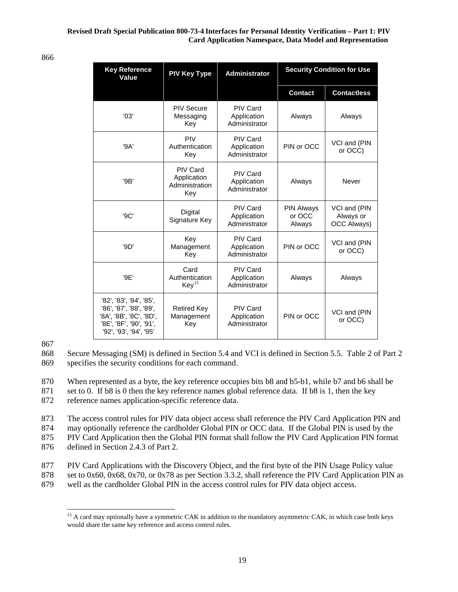| ٧<br>×<br>×<br>۰.<br>۰.<br>۰. |
|-------------------------------|
|-------------------------------|

| <b>Key Reference</b><br>Value                                                                                                      | <b>PIV Key Type</b>                                     | <b>Administrator</b>                            |                                       | <b>Security Condition for Use</b>        |
|------------------------------------------------------------------------------------------------------------------------------------|---------------------------------------------------------|-------------------------------------------------|---------------------------------------|------------------------------------------|
|                                                                                                                                    |                                                         |                                                 | <b>Contact</b>                        | <b>Contactless</b>                       |
| '03'                                                                                                                               | <b>PIV Secure</b><br>Messaging<br>Key                   | PIV Card<br>Application<br>Administrator        | Always                                | Always                                   |
| '9A'                                                                                                                               | <b>PIV</b><br>Authentication<br>Key                     | <b>PIV Card</b><br>Application<br>Administrator | PIN or OCC                            | VCI and (PIN<br>or OCC)                  |
| '9B'                                                                                                                               | <b>PIV Card</b><br>Application<br>Administration<br>Key | PIV Card<br>Application<br>Administrator        | Always                                | Never                                    |
| '9C'                                                                                                                               | Digital<br>Signature Key                                | PIV Card<br>Application<br>Administrator        | <b>PIN Always</b><br>or OCC<br>Always | VCI and (PIN<br>Always or<br>OCC Always) |
| '9D'                                                                                                                               | Key<br>Management<br>Key                                | PIV Card<br>Application<br>Administrator        | PIN or OCC                            | VCI and (PIN<br>or OCC)                  |
| '9E'                                                                                                                               | Card<br>Authentication<br>Key <sup>15</sup>             | PIV Card<br>Application<br>Administrator        | Always                                | Always                                   |
| '82', '83', '84', '85',<br>'86', '87', '88', '89',<br>'8A', '8B', '8C', '8D',<br>'8E', '8F', '90', '91',<br>'92', '93', '94', '95' | <b>Retired Key</b><br>Management<br>Key                 | PIV Card<br>Application<br>Administrator        | PIN or OCC                            | VCI and (PIN<br>or OCC)                  |

867

868 Secure Messaging (SM) is defined in Section 5.4 and VCI is defined in Section 5.5. Table 2 of Part 2 869 specifies the security conditions for each command.

870 When represented as a byte, the key reference occupies bits b8 and b5-b1, while b7 and b6 shall be

871 set to 0. If b8 is 0 then the key reference names global reference data. If b8 is 1, then the key

872 reference names application-specific reference data.

873 The access control rules for PIV data object access shall reference the PIV Card Application PIN and 874 may optionally reference the cardholder Global PIN or OCC data. If the Global PIN is used by the 875 PIV Card Application then the Global PIN format shall follow the PIV Card Application PIN format

876 defined in Section 2.4.3 of Part 2.

- 877 PIV Card Applications with the Discovery Object, and the first byte of the PIN Usage Policy value
- 878 set to 0x60, 0x68, 0x70, or 0x78 as per Section 3.3.2, shall reference the PIV Card Application PIN as
- <span id="page-29-0"></span>879 well as the cardholder Global PIN in the access control rules for PIV data object access.

<sup>&</sup>lt;sup>15</sup> A card may optionally have a symmetric CAK in addition to the mandatory asymmetric CAK, in which case both keys would share the same key reference and access control rules.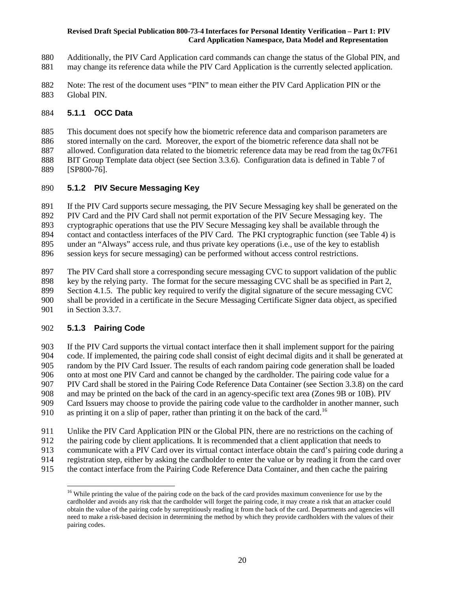- Additionally, the PIV Card Application card commands can change the status of the Global PIN, and
- may change its reference data while the PIV Card Application is the currently selected application.
- Note: The rest of the document uses "PIN" to mean either the PIV Card Application PIN or the Global PIN.

## **5.1.1 OCC Data**

 This document does not specify how the biometric reference data and comparison parameters are stored internally on the card. Moreover, the export of the biometric reference data shall not be allowed. Configuration data related to the biometric reference data may be read from the tag 0x7F61 BIT Group Template data object (see Section 3.3.6). Configuration data is defined in Table 7 of [SP800-76].

## **5.1.2 PIV Secure Messaging Key**

If the PIV Card supports secure messaging, the PIV Secure Messaging key shall be generated on the

PIV Card and the PIV Card shall not permit exportation of the PIV Secure Messaging key. The

cryptographic operations that use the PIV Secure Messaging key shall be available through the

 contact and contactless interfaces of the PIV Card. The PKI cryptographic function (see Table 4) is under an "Always" access rule, and thus private key operations (i.e., use of the key to establish

session keys for secure messaging) can be performed without access control restrictions.

The PIV Card shall store a corresponding secure messaging CVC to support validation of the public

key by the relying party. The format for the secure messaging CVC shall be as specified in Part 2,

Section 4.1.5. The public key required to verify the digital signature of the secure messaging CVC

shall be provided in a certificate in the Secure Messaging Certificate Signer data object, as specified

in Section 3.3.7.

## **5.1.3 Pairing Code**

 If the PIV Card supports the virtual contact interface then it shall implement support for the pairing code. If implemented, the pairing code shall consist of eight decimal digits and it shall be generated at random by the PIV Card Issuer. The results of each random pairing code generation shall be loaded onto at most one PIV Card and cannot be changed by the cardholder. The pairing code value for a PIV Card shall be stored in the Pairing Code Reference Data Container (see Section 3.3.8) on the card and may be printed on the back of the card in an agency-specific text area (Zones 9B or 10B). PIV Card Issuers may choose to provide the pairing code value to the cardholder in another manner, such 910 as printing it on a slip of paper, rather than printing it on the back of the card.<sup>[16](#page-30-0)</sup>

Unlike the PIV Card Application PIN or the Global PIN, there are no restrictions on the caching of

the pairing code by client applications. It is recommended that a client application that needs to

communicate with a PIV Card over its virtual contact interface obtain the card's pairing code during a

registration step, either by asking the cardholder to enter the value or by reading it from the card over

<span id="page-30-0"></span>the contact interface from the Pairing Code Reference Data Container, and then cache the pairing

<sup>&</sup>lt;sup>16</sup> While printing the value of the pairing code on the back of the card provides maximum convenience for use by the cardholder and avoids any risk that the cardholder will forget the pairing code, it may create a risk that an attacker could obtain the value of the pairing code by surreptitiously reading it from the back of the card. Departments and agencies will need to make a risk-based decision in determining the method by which they provide cardholders with the values of their pairing codes.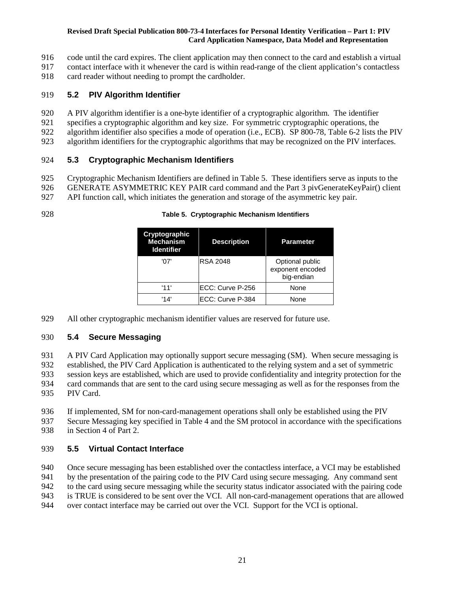- code until the card expires. The client application may then connect to the card and establish a virtual
- contact interface with it whenever the card is within read-range of the client application's contactless
- 918 card reader without needing to prompt the cardholder.

## **5.2 PIV Algorithm Identifier**

- A PIV algorithm identifier is a one-byte identifier of a cryptographic algorithm. The identifier specifies a cryptographic algorithm and key size. For symmetric cryptographic operations, the
- algorithm identifier also specifies a mode of operation (i.e., ECB). SP 800-78, Table 6-2 lists the PIV
- algorithm identifiers for the cryptographic algorithms that may be recognized on the PIV interfaces.

# **5.3 Cryptographic Mechanism Identifiers**

 Cryptographic Mechanism Identifiers are defined in Table 5. These identifiers serve as inputs to the GENERATE ASYMMETRIC KEY PAIR card command and the Part 3 pivGenerateKeyPair() client API function call, which initiates the generation and storage of the asymmetric key pair.

| 928 | Table 5. Cryptographic Mechanism Identifiers |
|-----|----------------------------------------------|
|-----|----------------------------------------------|

| Cryptographic<br><b>Mechanism</b><br><b>Identifier</b> | <b>Description</b> | <b>Parameter</b>                                  |
|--------------------------------------------------------|--------------------|---------------------------------------------------|
| '07'                                                   | <b>RSA 2048</b>    | Optional public<br>exponent encoded<br>big-endian |
| '11'                                                   | ECC: Curve P-256   | None                                              |
| '14'                                                   | ECC: Curve P-384   | None                                              |

All other cryptographic mechanism identifier values are reserved for future use.

## **5.4 Secure Messaging**

 A PIV Card Application may optionally support secure messaging (SM). When secure messaging is established, the PIV Card Application is authenticated to the relying system and a set of symmetric session keys are established, which are used to provide confidentiality and integrity protection for the card commands that are sent to the card using secure messaging as well as for the responses from the PIV Card.

If implemented, SM for non-card-management operations shall only be established using the PIV

- Secure Messaging key specified in Table 4 and the SM protocol in accordance with the specifications
- in Section 4 of Part 2.

## **5.5 Virtual Contact Interface**

940 Once secure messaging has been established over the contactless interface, a VCI may be established<br>941 by the presentation of the pairing code to the PIV Card using secure messaging. Any command sent by the presentation of the pairing code to the PIV Card using secure messaging. Any command sent

- to the card using secure messaging while the security status indicator associated with the pairing code
- is TRUE is considered to be sent over the VCI. All non-card-management operations that are allowed
- over contact interface may be carried out over the VCI. Support for the VCI is optional.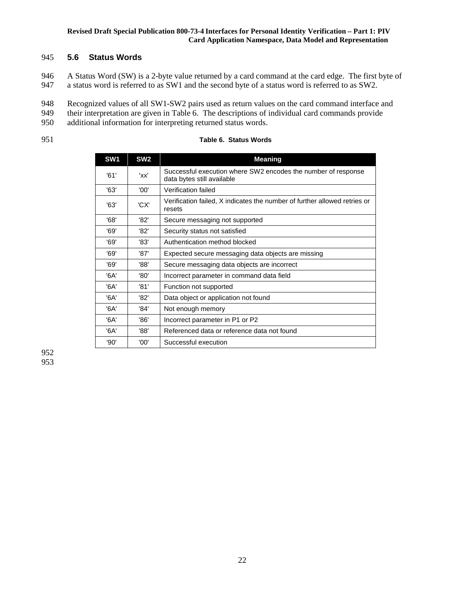## 945 **5.6 Status Words**

946 A Status Word (SW) is a 2-byte value returned by a card command at the card edge. The first byte of 947 a status word is referred to as SW1 and the second byte of a status word is referred to as SW2.

948 Recognized values of all SW1-SW2 pairs used as return values on the card command interface and

949 their interpretation are given in Table 6. The descriptions of individual card commands provide

950 additional information for interpreting returned status words.

## 951 **Table 6. Status Words**

| SW <sub>1</sub> | SW <sub>2</sub> | <b>Meaning</b>                                                                              |
|-----------------|-----------------|---------------------------------------------------------------------------------------------|
| '61'            | 'xx'            | Successful execution where SW2 encodes the number of response<br>data bytes still available |
| '63'            | '00'            | Verification failed                                                                         |
| '63'            | 'CX'            | Verification failed, X indicates the number of further allowed retries or<br>resets         |
| '68'            | '82'            | Secure messaging not supported                                                              |
| '69'            | '82'            | Security status not satisfied                                                               |
| '69'            | '83'            | Authentication method blocked                                                               |
| '69'            | '87'            | Expected secure messaging data objects are missing                                          |
| '69'            | '88'            | Secure messaging data objects are incorrect                                                 |
| '6A'            | '80'            | Incorrect parameter in command data field                                                   |
| '6A'            | '81'            | Function not supported                                                                      |
| '6A'            | '82'            | Data object or application not found                                                        |
| '6A'            | '84'            | Not enough memory                                                                           |
| '6A'            | '86'            | Incorrect parameter in P1 or P2                                                             |
| '6A'            | '88'            | Referenced data or reference data not found                                                 |
| '90'            | '00'            | Successful execution                                                                        |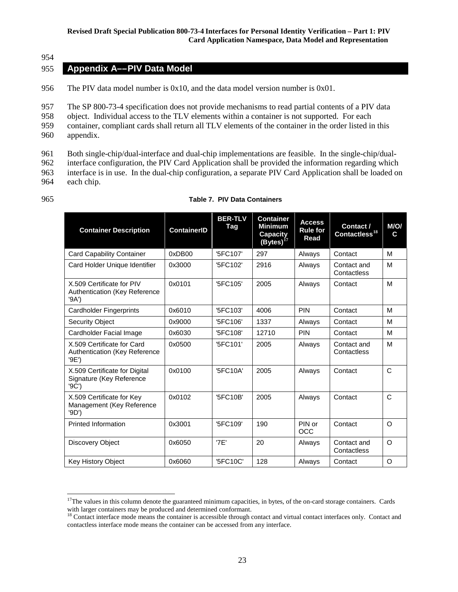954

## 955 **Appendix A––PIV Data Model**

956 The PIV data model number is 0x10, and the data model version number is 0x01.

957 The SP 800-73-4 specification does not provide mechanisms to read partial contents of a PIV data

958 object. Individual access to the TLV elements within a container is not supported. For each

959 container, compliant cards shall return all TLV elements of the container in the order listed in this 960 appendix.

961 Both single-chip/dual-interface and dual-chip implementations are feasible. In the single-chip/dual-962 interface configuration, the PIV Card Application shall be provided the information regarding which 963 interface is in use. In the dual-chip configuration, a separate PIV Card Application shall be loaded on

964 each chip.

| <b>Container Description</b>                                               | <b>ContainerID</b> | <b>BER-TLV</b><br>Tag | <b>Container</b><br><b>Minimum</b><br><b>Capacity</b><br>$(Bytes)^{17}$ | <b>Access</b><br><b>Rule for</b><br>Read | Contact /<br>Contactless $^{18}$ | M/O/<br>C    |
|----------------------------------------------------------------------------|--------------------|-----------------------|-------------------------------------------------------------------------|------------------------------------------|----------------------------------|--------------|
| <b>Card Capability Container</b>                                           | 0xDB00             | '5FC107'              | 297                                                                     | Always                                   | Contact                          | M            |
| Card Holder Unique Identifier                                              | 0x3000             | '5FC102'              | 2916                                                                    | Always                                   | Contact and<br>Contactless       | M            |
| X.509 Certificate for PIV<br><b>Authentication (Key Reference</b><br>'9A') | 0x0101             | '5FC105'              | 2005                                                                    | Always                                   | Contact                          | M            |
| <b>Cardholder Fingerprints</b>                                             | 0x6010             | '5FC103'              | 4006                                                                    | <b>PIN</b>                               | Contact                          | M            |
| <b>Security Object</b>                                                     | 0x9000             | '5FC106'              | 1337                                                                    | Always                                   | Contact                          | M            |
| Cardholder Facial Image                                                    | 0x6030             | '5FC108'              | 12710                                                                   | <b>PIN</b>                               | Contact                          | M            |
| X.509 Certificate for Card<br>Authentication (Key Reference<br>'9E')       | 0x0500             | '5FC101'              | 2005                                                                    | Always                                   | Contact and<br>Contactless       | M            |
| X.509 Certificate for Digital<br>Signature (Key Reference<br>'9C')         | 0x0100             | '5FC10A'              | 2005                                                                    | Always                                   | Contact                          | C            |
| X.509 Certificate for Key<br>Management (Key Reference<br>'9D')            | 0x0102             | '5FC10B'              | 2005                                                                    | Always                                   | Contact                          | $\mathsf{C}$ |
| <b>Printed Information</b>                                                 | 0x3001             | '5FC109'              | 190                                                                     | PIN or<br><b>OCC</b>                     | Contact                          | $\circ$      |
| <b>Discovery Object</b>                                                    | 0x6050             | '7E'                  | 20                                                                      | Always                                   | Contact and<br>Contactless       | $\Omega$     |
| <b>Key History Object</b>                                                  | 0x6060             | '5FC10C'              | 128                                                                     | Always                                   | Contact                          | O            |

### 965 **Table 7. PIV Data Containers**

<span id="page-33-0"></span> $17$ The values in this column denote the guaranteed minimum capacities, in bytes, of the on-card storage containers. Cards with larger containers may be produced and determined conformant.<br><sup>18</sup> Contact interface mode means the container is accessible through contact and virtual contact interfaces only. Contact and

<span id="page-33-1"></span>contactless interface mode means the container can be accessed from any interface.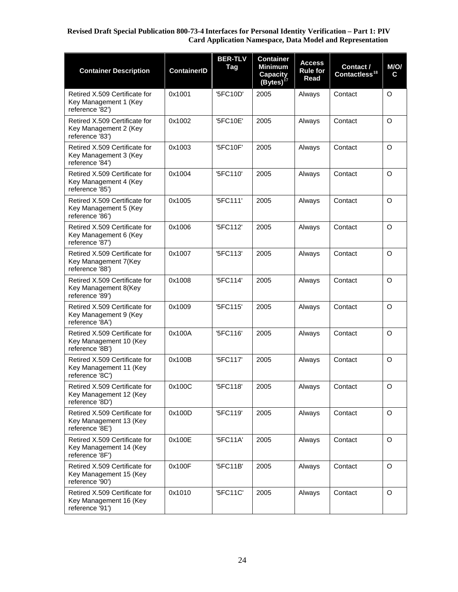| <b>Container Description</b>                                               | <b>ContainerID</b> | <b>BER-TLV</b><br><b>Tag</b> | <b>Container</b><br><b>Minimum</b><br><b>Capacity</b><br>(Bytes) <sup>17</sup> | <b>Access</b><br><b>Rule for</b><br>Read | Contact /<br>Contactless $^{18}$ | M/O/<br>C |
|----------------------------------------------------------------------------|--------------------|------------------------------|--------------------------------------------------------------------------------|------------------------------------------|----------------------------------|-----------|
| Retired X.509 Certificate for<br>Key Management 1 (Key<br>reference '82')  | 0x1001             | '5FC10D'                     | 2005                                                                           | Always                                   | Contact                          | O         |
| Retired X.509 Certificate for<br>Key Management 2 (Key<br>reference '83')  | 0x1002             | '5FC10E'                     | 2005                                                                           | Always                                   | Contact                          | $\circ$   |
| Retired X.509 Certificate for<br>Key Management 3 (Key<br>reference '84')  | 0x1003             | '5FC10F'                     | 2005                                                                           | Always                                   | Contact                          | O         |
| Retired X.509 Certificate for<br>Key Management 4 (Key<br>reference '85')  | 0x1004             | '5FC110'                     | 2005                                                                           | Always                                   | Contact                          | $\Omega$  |
| Retired X.509 Certificate for<br>Key Management 5 (Key<br>reference '86')  | 0x1005             | '5FC111'                     | 2005                                                                           | Always                                   | Contact                          | O         |
| Retired X.509 Certificate for<br>Key Management 6 (Key<br>reference '87')  | 0x1006             | '5FC112'                     | 2005                                                                           | Always                                   | Contact                          | O         |
| Retired X.509 Certificate for<br>Key Management 7(Key<br>reference '88')   | 0x1007             | '5FC113'                     | 2005                                                                           | Always                                   | Contact                          | $\circ$   |
| Retired X.509 Certificate for<br>Key Management 8(Key<br>reference '89')   | 0x1008             | '5FC114'                     | 2005                                                                           | Always                                   | Contact                          | O         |
| Retired X.509 Certificate for<br>Key Management 9 (Key<br>reference '8A')  | 0x1009             | '5FC115'                     | 2005                                                                           | Always                                   | Contact                          | $\circ$   |
| Retired X.509 Certificate for<br>Key Management 10 (Key<br>reference '8B') | 0x100A             | '5FC116'                     | 2005                                                                           | Always                                   | Contact                          | $\Omega$  |
| Retired X.509 Certificate for<br>Key Management 11 (Key<br>reference '8C') | 0x100B             | '5FC117'                     | 2005                                                                           | Always                                   | Contact                          | O         |
| Retired X.509 Certificate for<br>Key Management 12 (Key<br>reference '8D') | 0x100C             | '5FC118'                     | 2005                                                                           | Always                                   | Contact                          | O         |
| Retired X.509 Certificate for<br>Key Management 13 (Key<br>reference '8E') | 0x100D             | '5FC119'                     | 2005                                                                           | Always                                   | Contact                          | O         |
| Retired X.509 Certificate for<br>Key Management 14 (Key<br>reference '8F') | 0x100E             | '5FC11A'                     | 2005                                                                           | Always                                   | Contact                          | O         |
| Retired X.509 Certificate for<br>Key Management 15 (Key<br>reference '90') | 0x100F             | '5FC11B'                     | 2005                                                                           | Always                                   | Contact                          | O         |
| Retired X.509 Certificate for<br>Key Management 16 (Key<br>reference '91') | 0x1010             | '5FC11C'                     | 2005                                                                           | Always                                   | Contact                          | O         |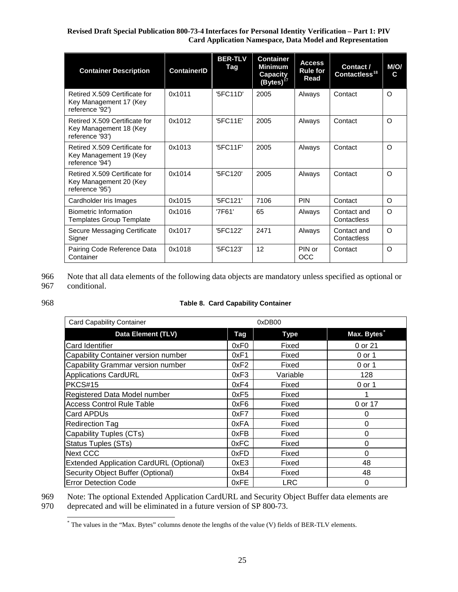| <b>Container Description</b>                                               | <b>ContainerID</b> | <b>BER-TLV</b><br>Tag | <b>Container</b><br><b>Minimum</b><br>Capacity<br>$(Bytes)^{17}$ | <b>Access</b><br><b>Rule for</b><br>Read | Contact /<br>Contactless <sup>18</sup> | M/O/<br>C |
|----------------------------------------------------------------------------|--------------------|-----------------------|------------------------------------------------------------------|------------------------------------------|----------------------------------------|-----------|
| Retired X.509 Certificate for<br>Key Management 17 (Key<br>reference '92') | 0x1011             | '5FC11D'              | 2005                                                             | Always                                   | Contact                                | $\Omega$  |
| Retired X.509 Certificate for<br>Key Management 18 (Key<br>reference '93') | 0x1012             | '5FC11F'              | 2005                                                             | Always                                   | Contact                                | $\Omega$  |
| Retired X.509 Certificate for<br>Key Management 19 (Key<br>reference '94') | 0x1013             | '5FC11F'              | 2005                                                             | Always                                   | Contact                                | O         |
| Retired X.509 Certificate for<br>Key Management 20 (Key<br>reference '95') | 0x1014             | '5FC120'              | 2005                                                             | Always                                   | Contact                                | $\Omega$  |
| Cardholder Iris Images                                                     | 0x1015             | '5FC121'              | 7106                                                             | <b>PIN</b>                               | Contact                                | $\Omega$  |
| <b>Biometric Information</b><br><b>Templates Group Template</b>            | 0x1016             | '7F61'                | 65                                                               | Always                                   | Contact and<br>Contactless             | $\Omega$  |
| Secure Messaging Certificate<br>Signer                                     | 0x1017             | '5FC122'              | 2471                                                             | Always                                   | Contact and<br>Contactless             | $\Omega$  |
| Pairing Code Reference Data<br>Container                                   | 0x1018             | '5FC123'              | 12                                                               | PIN or<br>OCC                            | Contact                                | O         |

966 Note that all data elements of the following data objects are mandatory unless specified as optional or 967 conditional.

### 968 **Table 8. Card Capability Container**

| <b>Card Capability Container</b><br>0xDB00     |      |             |             |  |
|------------------------------------------------|------|-------------|-------------|--|
| <b>Data Element (TLV)</b>                      | Tag  | <b>Type</b> | Max. Bytes* |  |
| Card Identifier                                | 0xF0 | Fixed       | 0 or 21     |  |
| Capability Container version number            | 0xF1 | Fixed       | 0 or 1      |  |
| Capability Grammar version number              | 0xF2 | Fixed       | 0 or 1      |  |
| <b>Applications CardURL</b>                    | 0xF3 | Variable    | 128         |  |
| PKCS#15                                        | 0xF4 | Fixed       | 0 or 1      |  |
| Registered Data Model number                   | 0xF5 | Fixed       |             |  |
| <b>Access Control Rule Table</b>               | 0xF6 | Fixed       | 0 or 17     |  |
| Card APDUs                                     | 0xF7 | Fixed       | 0           |  |
| <b>Redirection Tag</b>                         | 0xFA | Fixed       | 0           |  |
| Capability Tuples (CTs)                        | 0xFB | Fixed       | 0           |  |
| Status Tuples (STs)                            | 0xFC | Fixed       | 0           |  |
| Next CCC                                       | 0xFD | Fixed       | 0           |  |
| <b>Extended Application CardURL (Optional)</b> | 0xE3 | Fixed       | 48          |  |
| Security Object Buffer (Optional)              | 0xB4 | Fixed       | 48          |  |
| <b>Error Detection Code</b>                    | 0xFE | <b>LRC</b>  | 0           |  |

969 Note: The optional Extended Application CardURL and Security Object Buffer data elements are<br>970 deprecated and will be eliminated in a future version of SP 800-73.

<span id="page-35-0"></span>deprecated and will be eliminated in a future version of SP 800-73.

 <sup>\*</sup> The values in the "Max. Bytes" columns denote the lengths of the value (V) fields of BER-TLV elements.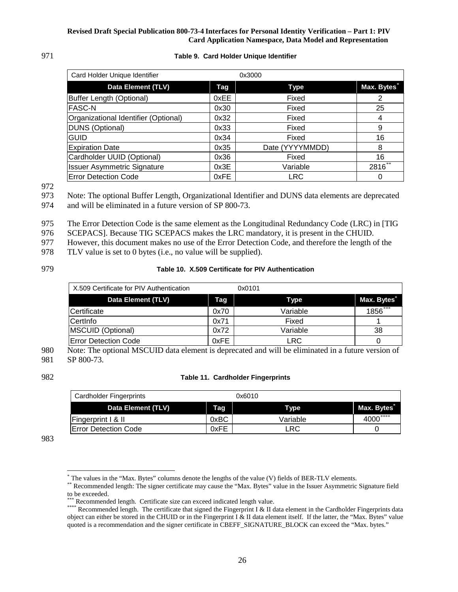### 971 **Table 9. Card Holder Unique Identifier**

| Card Holder Unique Identifier        |      | 0x3000          |                         |
|--------------------------------------|------|-----------------|-------------------------|
| <b>Data Element (TLV)</b>            | Tag  | Type            | Max. Bytes <sup>*</sup> |
| Buffer Length (Optional)             | 0xEE | Fixed           | 2                       |
| <b>FASC-N</b>                        | 0x30 | Fixed           | 25                      |
| Organizational Identifier (Optional) | 0x32 | Fixed           | 4                       |
| DUNS (Optional)                      | 0x33 | Fixed           | 9                       |
| <b>GUID</b>                          | 0x34 | Fixed           | 16                      |
| <b>Expiration Date</b>               | 0x35 | Date (YYYYMMDD) | 8                       |
| Cardholder UUID (Optional)           | 0x36 | Fixed           | 16                      |
| <b>Issuer Asymmetric Signature</b>   | 0x3E | Variable        | 2816**                  |
| <b>Error Detection Code</b>          | 0xFE | <b>LRC</b>      |                         |

972

973 Note: The optional Buffer Length, Organizational Identifier and DUNS data elements are deprecated

974 and will be eliminated in a future version of SP 800-73.

975 The Error Detection Code is the same element as the Longitudinal Redundancy Code (LRC) in [TIG

976 SCEPACS]. Because TIG SCEPACS makes the LRC mandatory, it is present in the CHUID.

977 However, this document makes no use of the Error Detection Code, and therefore the length of the

978 TLV value is set to 0 bytes (i.e., no value will be supplied).

## 979 **Table 10. X.509 Certificate for PIV Authentication**

| X.509 Certificate for PIV Authentication |      | 0x0101   |                         |
|------------------------------------------|------|----------|-------------------------|
| Data Element (TLV)                       | Tag  | Type     | Max. Bytes <sup>®</sup> |
| <b>Certificate</b>                       | 0x70 | Variable | $1856***$               |
| CertInfo                                 | 0x71 | Fixed    |                         |
| MSCUID (Optional)                        | 0x72 | Variable | 38                      |
| <b>Error Detection Code</b>              | 0xFE | ∟RC.     |                         |

980 Note: The optional MSCUID data element is deprecated and will be eliminated in a future version of 981 SP 800-73.

### 982 **Table 11. Cardholder Fingerprints**

| Cardholder Fingerprints       |      | 0x6010   |                         |
|-------------------------------|------|----------|-------------------------|
| Data Element (TLV)            | Tag  | Type     | Max. Bytes <sup>*</sup> |
| <b>Fingerprint I &amp; II</b> | 0xBC | Variable | $4000***$               |
| <b>IError Detection Code</b>  | 0xFE | LRC      |                         |

The values in the "Max. Bytes" columns denote the lengths of the value  $(V)$  fields of BER-TLV elements.  $*$  Recommended length: The signer certificate may cause the "Max. Bytes" value in the Issuer Asymmetric Signature fi

<span id="page-36-1"></span><span id="page-36-0"></span>to be exceeded.

<span id="page-36-3"></span><span id="page-36-2"></span><sup>\*\*\*</sup> Recommended length. Certificate size can exceed indicated length value.<br>\*\*\*\* Recommended length. The certificate that signed the Fingerprint I & II data element in the Cardholder Fingerprints data object can either be stored in the CHUID or in the Fingerprint I & II data element itself. If the latter, the "Max. Bytes" value quoted is a recommendation and the signer certificate in CBEFF\_SIGNATURE\_BLOCK can exceed the "Max. bytes."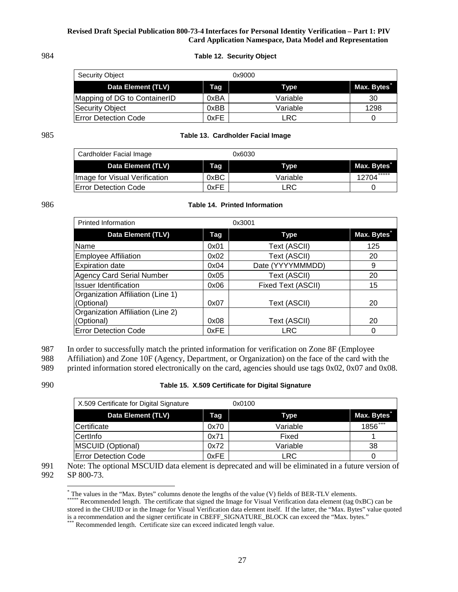### 984 **Table 12. Security Object**

| <b>Security Object</b>       |      | 0x9000   |                         |
|------------------------------|------|----------|-------------------------|
| Data Element (TLV)           | Tag  | Type     | Max. Bytes <sup>*</sup> |
| Mapping of DG to ContainerID | 0xBA | Variable | 30                      |
| Security Object              | 0xBB | Variable | 1298                    |
| <b>IError Detection Code</b> | 0xFE | LRC      |                         |

### 985 **Table 13. Cardholder Facial Image**

| Cardholder Facial Image       |      | 0x6030      |                         |
|-------------------------------|------|-------------|-------------------------|
| Data Element (TLV)            | Tag  | <b>Type</b> | Max. Bytes <sup>®</sup> |
| Image for Visual Verification | 0xBC | Variable    | $12704***$              |
| <b>IError Detection Code</b>  | 0xFE | LRC         |                         |

### 986 **Table 14. Printed Information**

| <b>Printed Information</b>        |      | 0x3001             |             |
|-----------------------------------|------|--------------------|-------------|
| <b>Data Element (TLV)</b>         | Tag  | <b>Type</b>        | Max. Bytes* |
| Name                              | 0x01 | Text (ASCII)       | 125         |
| <b>Employee Affiliation</b>       | 0x02 | Text (ASCII)       | 20          |
| <b>Expiration date</b>            | 0x04 | Date (YYYYMMMDD)   | 9           |
| <b>Agency Card Serial Number</b>  | 0x05 | Text (ASCII)       | 20          |
| <b>Issuer Identification</b>      | 0x06 | Fixed Text (ASCII) | 15          |
| Organization Affiliation (Line 1) |      |                    |             |
| (Optional)                        | 0x07 | Text (ASCII)       | 20          |
| Organization Affiliation (Line 2) |      |                    |             |
| (Optional)                        | 0x08 | Text (ASCII)       | 20          |
| <b>Error Detection Code</b>       | 0xFE | <b>LRC</b>         | 0           |

987 In order to successfully match the printed information for verification on Zone 8F (Employee

988 Affiliation) and Zone 10F (Agency, Department, or Organization) on the face of the card with the

989 printed information stored electronically on the card, agencies should use tags 0x02, 0x07 and 0x08.

### 990 **Table 15. X.509 Certificate for Digital Signature**

| X.509 Certificate for Digital Signature |      | 0x0100   |                         |
|-----------------------------------------|------|----------|-------------------------|
| Data Element (TLV)                      | Tag  | Type     | Max. Bytes <sup>®</sup> |
| ICertificate                            | 0x70 | Variable | $1856***$               |
| CertInfo                                | 0x71 | Fixed    |                         |
| MSCUID (Optional)                       | 0x72 | Variable | 38                      |
| <b>Error Detection Code</b>             | 0xFE | LRC      |                         |

<span id="page-37-1"></span><span id="page-37-0"></span>991 Note: The optional MSCUID data element is deprecated and will be eliminated in a future version of SP 800-73. SP 800-73.

<sup>\*</sup> The values in the "Max. Bytes" columns denote the lengths of the value (V) fields of BER-TLV elements.<br>\*\*\*\*\* Recommended length. The certificate that signed the Image for Visual Verification data element (tag 0xBC) can stored in the CHUID or in the Image for Visual Verification data element itself. If the latter, the "Max. Bytes" value quoted is a recommendation and the signer certificate in CBEFF\_SIGNATURE\_BLOCK can exceed the "Max. bytes."<br>\*\*\* Recommended length. Certificate size can exceed indicated length value.

<span id="page-37-2"></span>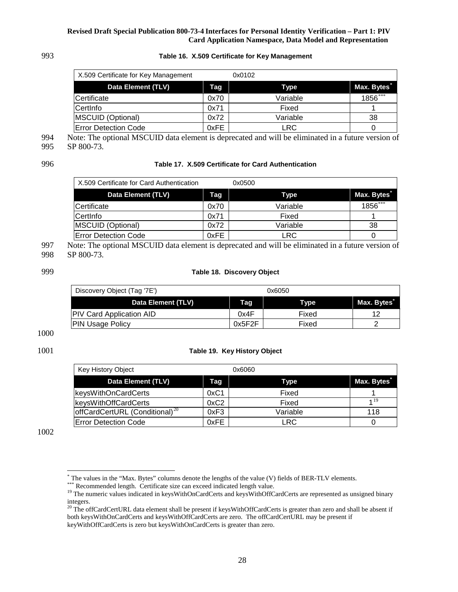### 993 **Table 16. X.509 Certificate for Key Management**

| X.509 Certificate for Key Management |      | 0x0102   |                         |
|--------------------------------------|------|----------|-------------------------|
| Data Element (TLV)                   | Tag  | Type     | Max. Bytes <sup>*</sup> |
| <b>Certificate</b>                   | 0x70 | Variable | 1856***                 |
| CertInfo                             | 0x71 | Fixed    |                         |
| MSCUID (Optional)                    | 0x72 | Variable | 38                      |
| <b>IError Detection Code</b>         | 0xFE | LRC      |                         |

994 Note: The optional MSCUID data element is deprecated and will be eliminated in a future version of 995 SP 800-73.

### 996 **Table 17. X.509 Certificate for Card Authentication**

| X.509 Certificate for Card Authentication |      | 0x0500      |            |
|-------------------------------------------|------|-------------|------------|
| Data Element (TLV)                        | Taq  | <b>Type</b> | Max. Bytes |
| Certificate                               | 0x70 | Variable    | $1856***$  |
| <b>Certinfo</b>                           | 0x71 | Fixed       |            |
| MSCUID (Optional)                         | 0x72 | Variable    | 38         |
| <b>IError Detection Code</b>              | 0xFE | LRC         |            |

997 Note: The optional MSCUID data element is deprecated and will be eliminated in a future version of 998 SP 800-73.

## 999 **Table 18. Discovery Object**

| Discovery Object (Tag '7E')     |        | 0x6050 |            |  |
|---------------------------------|--------|--------|------------|--|
| Data Element (TLV)              | Tag    | Type   | Max. Bytes |  |
| <b>PIV Card Application AID</b> | 0x4F   | Fixed  | 12         |  |
| <b>PIN Usage Policy</b>         | 0x5F2F | Fixed  |            |  |

### 1000

## 1001 **Table 19. Key History Object**

| Key History Object                         |      | 0x6060      |                         |
|--------------------------------------------|------|-------------|-------------------------|
| Data Element (TLV)                         | Tag  | <b>Type</b> | Max. Bytes <sup>®</sup> |
| keysWithOnCardCerts                        | 0xC1 | Fixed       |                         |
| keysWithOffCardCerts                       | 0xC2 | Fixed       | 419                     |
| offCardCertURL (Conditional) <sup>20</sup> | 0xF3 | Variable    | 118                     |
| <b>IError Detection Code</b>               | 0xFE | LRC         |                         |

<span id="page-38-1"></span><span id="page-38-0"></span><sup>\*</sup> The values in the "Max. Bytes" columns denote the lengths of the value (V) fields of BER-TLV elements.<br>\*\*\* Recommended length. Certificate size can exceed indicated length value.<br><sup>19</sup> The numeric values indicated in key integers.<br><sup>20</sup> The offCardCertURL data element shall be present if keysWithOffCardCerts is greater than zero and shall be absent if

<span id="page-38-3"></span><span id="page-38-2"></span>both keysWithOnCardCerts and keysWithOffCardCerts are zero. The offCardCertURL may be present if keyWithOffCardCerts is zero but keysWithOnCardCerts is greater than zero.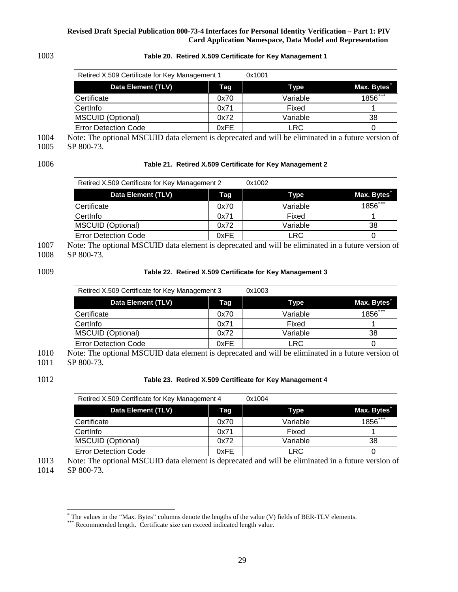### 1003 **Table 20. Retired X.509 Certificate for Key Management 1**

| Retired X.509 Certificate for Key Management 1 |      | 0x1001   |                         |
|------------------------------------------------|------|----------|-------------------------|
| Data Element (TLV)                             | Tag  | Type     | Max. Bytes <sup>*</sup> |
| Certificate                                    | 0x70 | Variable | $1856***$               |
| CertInfo                                       | 0x71 | Fixed    |                         |
| MSCUID (Optional)                              | 0x72 | Variable | 38                      |
| <b>Error Detection Code</b>                    | 0xFE | LRC      |                         |

1004 Note: The optional MSCUID data element is deprecated and will be eliminated in a future version of 1005 SP 800-73.

### 1006 **Table 21. Retired X.509 Certificate for Key Management 2**

| Retired X.509 Certificate for Key Management 2 |      | 0x1002   |                         |
|------------------------------------------------|------|----------|-------------------------|
| Data Element (TLV)                             | Tag  | Type     | Max. Bytes <sup>®</sup> |
| <b>ICertificate</b>                            | 0x70 | Variable | $1856***$               |
| CertInfo                                       | 0x71 | Fixed    |                         |
| MSCUID (Optional)                              | 0x72 | Variable | 38                      |
| <b>Error Detection Code</b>                    | 0xFE | LRC      |                         |

1007 Note: The optional MSCUID data element is deprecated and will be eliminated in a future version of 1008 SP 800-73.

### 1009 **Table 22. Retired X.509 Certificate for Key Management 3**

| Retired X.509 Certificate for Key Management 3 |      | 0x1003   |                         |
|------------------------------------------------|------|----------|-------------------------|
| Data Element (TLV)                             | Tag  | Type     | Max. Bytes <sup>®</sup> |
| Certificate                                    | 0x70 | Variable | $1856***$               |
| CertInfo                                       | 0x71 | Fixed    |                         |
| MSCUID (Optional)                              | 0x72 | Variable | 38                      |
| <b>Error Detection Code</b>                    | 0xFE | LRC      |                         |

1010 Note: The optional MSCUID data element is deprecated and will be eliminated in a future version of 1011 SP 800-73.

## 1012 **Table 23. Retired X.509 Certificate for Key Management 4**

| Retired X.509 Certificate for Key Management 4 |      | 0x1004      |            |
|------------------------------------------------|------|-------------|------------|
| Data Element (TLV)                             | Tag  | <b>Type</b> | Max. Bytes |
| Certificate                                    | 0x70 | Variable    | $1856***$  |
| CertInfo                                       | 0x71 | Fixed       |            |
| MSCUID (Optional)                              | 0x72 | Variable    | 38         |
| <b>Error Detection Code</b>                    | 0xFE | LRC         |            |

1013 Note: The optional MSCUID data element is deprecated and will be eliminated in a future version of 1014 SP 800-73.

<span id="page-39-1"></span><span id="page-39-0"></span><sup>\*</sup> The values in the "Max. Bytes" columns denote the lengths of the value (V) fields of BER-TLV elements. \*\*\* Recommended length. Certificate size can exceed indicated length value.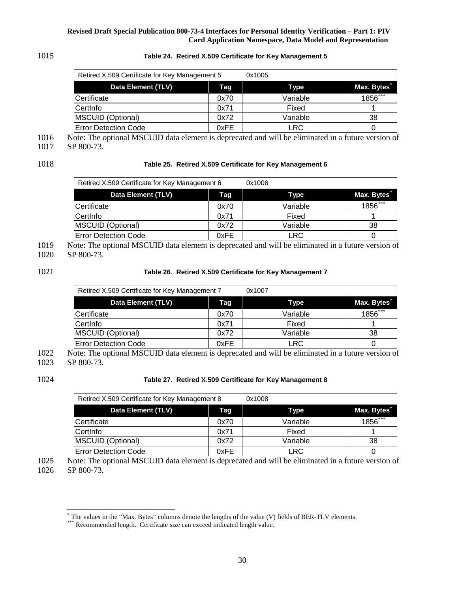### 1015 **Table 24. Retired X.509 Certificate for Key Management 5**

| Retired X.509 Certificate for Key Management 5 |      | 0x1005      |                         |
|------------------------------------------------|------|-------------|-------------------------|
| Data Element (TLV)                             | Taq  | <b>Type</b> | Max. Bytes <sup>*</sup> |
| Certificate                                    | 0x70 | Variable    | $1856***$               |
| CertInfo                                       | 0x71 | Fixed       |                         |
| MSCUID (Optional)                              | 0x72 | Variable    | 38                      |
| <b>Error Detection Code</b>                    | 0xFE | LRC         |                         |

1016 Note: The optional MSCUID data element is deprecated and will be eliminated in a future version of

1017 SP 800-73.

### 1018 **Table 25. Retired X.509 Certificate for Key Management 6**

| Retired X.509 Certificate for Key Management 6 |      | 0x1006   |            |
|------------------------------------------------|------|----------|------------|
| Data Element (TLV)                             | Tag  | Type     | Max. Bytes |
| Certificate                                    | 0x70 | Variable | $1856***$  |
| CertInfo                                       | 0x71 | Fixed    |            |
| MSCUID (Optional)                              | 0x72 | Variable | 38         |
| <b>Error Detection Code</b>                    | 0xFE | LRC.     |            |

1019 Note: The optional MSCUID data element is deprecated and will be eliminated in a future version of 1020 SP 800-73.

## 1021 **Table 26. Retired X.509 Certificate for Key Management 7**

| Retired X.509 Certificate for Key Management 7 |      | 0x1007      |                         |
|------------------------------------------------|------|-------------|-------------------------|
| Data Element (TLV)                             | Tag  | <b>Type</b> | Max. Bytes <sup>®</sup> |
| Certificate                                    | 0x70 | Variable    | $1856***$               |
| CertInfo                                       | 0x71 | Fixed       |                         |
| MSCUID (Optional)                              | 0x72 | Variable    | 38                      |
| <b>Error Detection Code</b>                    | 0xFE | LRC         |                         |

1022 Note: The optional MSCUID data element is deprecated and will be eliminated in a future version of 1023 SP 800-73.

## 1024 **Table 27. Retired X.509 Certificate for Key Management 8**

| Retired X.509 Certificate for Key Management 8 |      | 0x1008   |            |
|------------------------------------------------|------|----------|------------|
| Data Element (TLV)                             | Tag  | Type     | Max. Bytes |
| Certificate                                    | 0x70 | Variable | 1856***    |
| CertInfo                                       | 0x71 | Fixed    |            |
| MSCUID (Optional)                              | 0x72 | Variable | 38         |
| <b>Error Detection Code</b>                    | 0xFE | LRC      |            |

1025 Note: The optional MSCUID data element is deprecated and will be eliminated in a future version of 1026 SP 800-73.

<span id="page-40-1"></span><span id="page-40-0"></span><sup>\*</sup> The values in the "Max. Bytes" columns denote the lengths of the value (V) fields of BER-TLV elements. \*\*\* Recommended length. Certificate size can exceed indicated length value.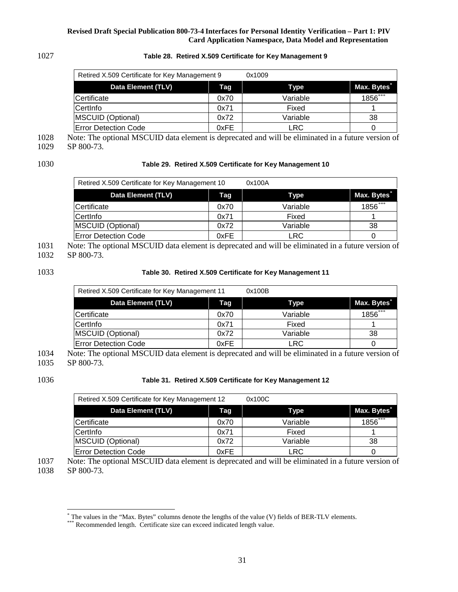### 1027 **Table 28. Retired X.509 Certificate for Key Management 9**

| Retired X.509 Certificate for Key Management 9 |      | 0x1009      |                         |
|------------------------------------------------|------|-------------|-------------------------|
| Data Element (TLV)                             | Tag  | <b>Type</b> | Max. Bytes <sup>*</sup> |
| Certificate                                    | 0x70 | Variable    | $1856***$               |
| CertInfo                                       | 0x71 | Fixed       |                         |
| MSCUID (Optional)                              | 0x72 | Variable    | 38                      |
| <b>Error Detection Code</b>                    | 0xFE | LRC         |                         |

1028 Note: The optional MSCUID data element is deprecated and will be eliminated in a future version of 1029 SP 800-73.

### 1030 **Table 29. Retired X.509 Certificate for Key Management 10**

| Retired X.509 Certificate for Key Management 10 |      | 0x100A   |                         |
|-------------------------------------------------|------|----------|-------------------------|
| Data Element (TLV)                              | Taq  | Type     | Max. Bytes <sup>*</sup> |
| Certificate                                     | 0x70 | Variable | $1856***$               |
| CertInfo                                        | 0x71 | Fixed    |                         |
| MSCUID (Optional)                               | 0x72 | Variable | 38                      |
| <b>Error Detection Code</b>                     | 0xFE | LRC.     |                         |

1031 Note: The optional MSCUID data element is deprecated and will be eliminated in a future version of 1032 SP 800-73.

## 1033 **Table 30. Retired X.509 Certificate for Key Management 11**

| Retired X.509 Certificate for Key Management 11 |      | 0x100B     |                         |
|-------------------------------------------------|------|------------|-------------------------|
| Data Element (TLV)                              | Tag  | Type       | Max. Bytes <sup>*</sup> |
| Certificate                                     | 0x70 | Variable   | $1856***$               |
| CertInfo                                        | 0x71 | Fixed      |                         |
| MSCUID (Optional)                               | 0x72 | Variable   | 38                      |
| <b>Error Detection Code</b>                     | 0xFE | <b>LRC</b> |                         |

1034 Note: The optional MSCUID data element is deprecated and will be eliminated in a future version of 1035 SP 800-73.

## 1036 **Table 31. Retired X.509 Certificate for Key Management 12**

| Retired X.509 Certificate for Key Management 12 | 0x100C |          |                         |
|-------------------------------------------------|--------|----------|-------------------------|
| Data Element (TLV)                              | Tag    | Type     | Max. Bytes <sup>®</sup> |
| Certificate                                     | 0x70   | Variable | 1856***                 |
| CertInfo                                        | 0x71   | Fixed    |                         |
| MSCUID (Optional)                               | 0x72   | Variable | 38                      |
| <b>Error Detection Code</b>                     | 0xFE   | LRC      |                         |

1037 Note: The optional MSCUID data element is deprecated and will be eliminated in a future version of 1038 SP 800-73.

<span id="page-41-1"></span><span id="page-41-0"></span><sup>\*</sup> The values in the "Max. Bytes" columns denote the lengths of the value (V) fields of BER-TLV elements. \*\*\* Recommended length. Certificate size can exceed indicated length value.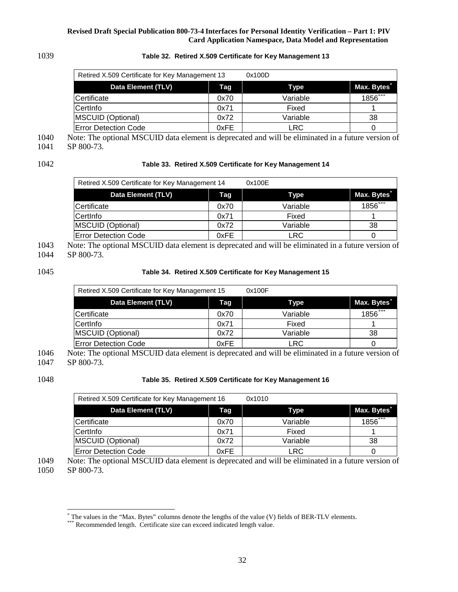### 1039 **Table 32. Retired X.509 Certificate for Key Management 13**

| Retired X.509 Certificate for Key Management 13 |      | 0x100D   |            |
|-------------------------------------------------|------|----------|------------|
| Data Element (TLV)                              | Tag  | Type     | Max. Bytes |
| Certificate                                     | 0x70 | Variable | $1856***$  |
| CertInfo                                        | 0x71 | Fixed    |            |
| MSCUID (Optional)                               | 0x72 | Variable | 38         |
| <b>Error Detection Code</b>                     | 0xFE | LRC      |            |

1040 Note: The optional MSCUID data element is deprecated and will be eliminated in a future version of 1041 SP 800-73.

### 1042 **Table 33. Retired X.509 Certificate for Key Management 14**

| Retired X.509 Certificate for Key Management 14 |      | 0x100E   |                         |
|-------------------------------------------------|------|----------|-------------------------|
| Data Element (TLV)                              | Taq  | Type     | Max. Bytes <sup>®</sup> |
| Certificate                                     | 0x70 | Variable | $1856***$               |
| CertInfo                                        | 0x71 | Fixed    |                         |
| MSCUID (Optional)                               | 0x72 | Variable | 38                      |
| <b>Error Detection Code</b>                     | 0xFE | LRC      |                         |

1043 Note: The optional MSCUID data element is deprecated and will be eliminated in a future version of 1044 SP 800-73.

### 1045 **Table 34. Retired X.509 Certificate for Key Management 15**

| Retired X.509 Certificate for Key Management 15 | 0x100F |          |            |
|-------------------------------------------------|--------|----------|------------|
| Data Element (TLV)                              | Tag    | Type     | Max. Bytes |
| Certificate                                     | 0x70   | Variable | $1856***$  |
| CertInfo                                        | 0x71   | Fixed    |            |
| MSCUID (Optional)                               | 0x72   | Variable | 38         |
| <b>Error Detection Code</b>                     | 0xFE   | LRC      |            |

1046 Note: The optional MSCUID data element is deprecated and will be eliminated in a future version of 1047 SP 800-73.

## 1048 **Table 35. Retired X.509 Certificate for Key Management 16**

| Retired X.509 Certificate for Key Management 16 |      | 0x1010   |                         |
|-------------------------------------------------|------|----------|-------------------------|
| Data Element (TLV)                              | Tag  | Type     | Max. Bytes <sup>*</sup> |
| Certificate                                     | 0x70 | Variable | 1856***                 |
| CertInfo                                        | 0x71 | Fixed    |                         |
| MSCUID (Optional)                               | 0x72 | Variable | 38                      |
| <b>Error Detection Code</b>                     | 0xFE | LRC      |                         |

1049 Note: The optional MSCUID data element is deprecated and will be eliminated in a future version of 1050 SP 800-73.

<span id="page-42-1"></span><span id="page-42-0"></span><sup>\*</sup> The values in the "Max. Bytes" columns denote the lengths of the value (V) fields of BER-TLV elements. \*\*\* Recommended length. Certificate size can exceed indicated length value.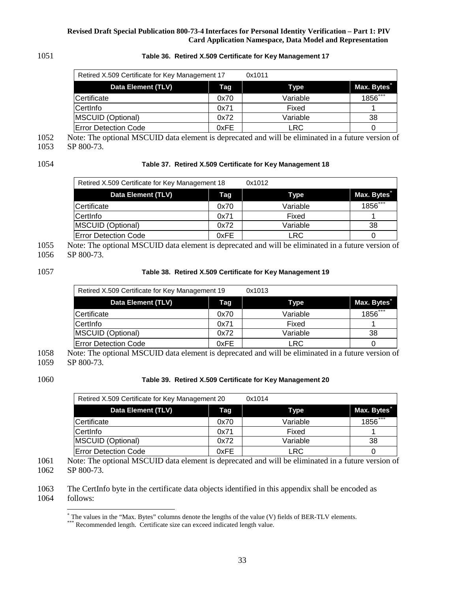### 1051 **Table 36. Retired X.509 Certificate for Key Management 17**

| Retired X.509 Certificate for Key Management 17 | 0x1011 |          |                         |
|-------------------------------------------------|--------|----------|-------------------------|
| Data Element (TLV)                              | Tag    | Type     | Max. Bytes <sup>*</sup> |
| <b>ICertificate</b>                             | 0x70   | Variable | 1856***                 |
| CertInfo                                        | 0x71   | Fixed    |                         |
| MSCUID (Optional)                               | 0x72   | Variable | 38                      |
| <b>IError Detection Code</b>                    | 0xFE   | LRC      |                         |

1052 Note: The optional MSCUID data element is deprecated and will be eliminated in a future version of 1053 SP 800-73.

### 1054 **Table 37. Retired X.509 Certificate for Key Management 18**

| Retired X.509 Certificate for Key Management 18 | 0x1012 |          |                         |
|-------------------------------------------------|--------|----------|-------------------------|
| Data Element (TLV)                              | Taq    | Type     | Max. Bytes <sup>®</sup> |
| <b>Certificate</b>                              | 0x70   | Variable | $1856***$               |
| CertInfo                                        | 0x71   | Fixed    |                         |
| MSCUID (Optional)                               | 0x72   | Variable | 38                      |
| <b>Error Detection Code</b>                     | 0xFE   | LRC      |                         |

1055 Note: The optional MSCUID data element is deprecated and will be eliminated in a future version of 1056 SP 800-73.

### 1057 **Table 38. Retired X.509 Certificate for Key Management 19**

| Retired X.509 Certificate for Key Management 19 | 0x1013 |            |                         |
|-------------------------------------------------|--------|------------|-------------------------|
| Data Element (TLV)                              | Tag    | Type       | Max. Bytes <sup>®</sup> |
| Certificate                                     | 0x70   | Variable   | $1856***$               |
| CertInfo                                        | 0x71   | Fixed      |                         |
| MSCUID (Optional)                               | 0x72   | Variable   | 38                      |
| <b>Error Detection Code</b>                     | 0xFE   | <b>LRC</b> |                         |

1058 Note: The optional MSCUID data element is deprecated and will be eliminated in a future version of 1059 SP 800-73.

## 1060 **Table 39. Retired X.509 Certificate for Key Management 20**

| Retired X.509 Certificate for Key Management 20 |      | 0x1014     |                         |
|-------------------------------------------------|------|------------|-------------------------|
| Data Element (TLV)                              | Tag  | Type       | Max. Bytes <sup>®</sup> |
| Certificate                                     | 0x70 | Variable   | 1856***                 |
| CertInfo                                        | 0x71 | Fixed      |                         |
| MSCUID (Optional)                               | 0x72 | Variable   | 38                      |
| <b>Error Detection Code</b>                     | 0xFE | <b>LRC</b> |                         |

1061 Note: The optional MSCUID data element is deprecated and will be eliminated in a future version of 1062 SP 800-73.

### <span id="page-43-1"></span><span id="page-43-0"></span>1063 The CertInfo byte in the certificate data objects identified in this appendix shall be encoded as 1064 follows:

<sup>\*</sup> The values in the "Max. Bytes" columns denote the lengths of the value (V) fields of BER-TLV elements. \*\*\* Recommended length. Certificate size can exceed indicated length value.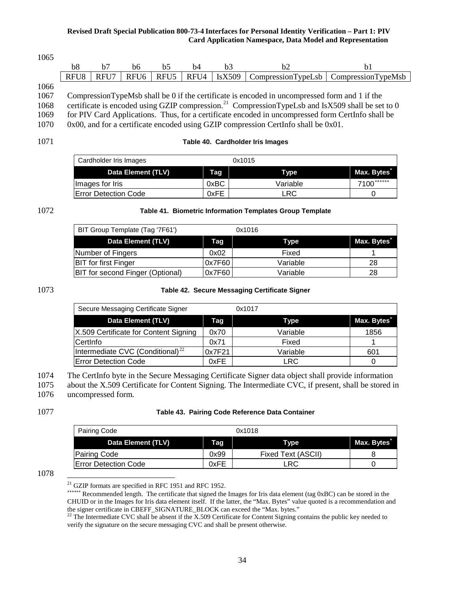| 1065 |                  |      |                  |                  |      |                |                                                                                                              |                    |
|------|------------------|------|------------------|------------------|------|----------------|--------------------------------------------------------------------------------------------------------------|--------------------|
|      | b8               | h7   | b6               | h <sub>5</sub>   | b4   | b <sub>3</sub> | b2                                                                                                           | b1                 |
|      | RFU <sub>8</sub> | RFU7 | RFU <sub>6</sub> | RFU <sub>5</sub> | RFU4 | IsX509         | CompressionTypeLsb                                                                                           | CompressionTypeMsb |
| 1066 |                  |      |                  |                  |      |                |                                                                                                              |                    |
| 1067 |                  |      |                  |                  |      |                | CompressionTypeMsb shall be 0 if the certificate is encoded in uncompressed form and 1 if the                |                    |
| 1068 |                  |      |                  |                  |      |                | certificate is encoded using GZIP compression. <sup>21</sup> CompressionTypeLsb and IsX509 shall be set to 0 |                    |
| 1069 |                  |      |                  |                  |      |                | for PIV Card Applications. Thus, for a certificate encoded in uncompressed form CertInfo shall be            |                    |
| 1070 |                  |      |                  |                  |      |                | $0x00$ , and for a certificate encoded using GZIP compression CertInfo shall be $0x01$ .                     |                    |
|      |                  |      |                  |                  |      |                |                                                                                                              |                    |

## 1071 **Table 40. Cardholder Iris Images**

| Cardholder Iris Images       |      | 0x1015   |             |
|------------------------------|------|----------|-------------|
| Data Element (TLV)           | Tag  | Tvpe     | Max. Bytes® |
| Images for Iris              | 0xBC | Variable | 7100******  |
| <b>IError Detection Code</b> | 0xFE | LRC      |             |

### 1072 **Table 41. Biometric Information Templates Group Template**

| BIT Group Template (Tag '7F61')         |        | 0x1016   |                         |
|-----------------------------------------|--------|----------|-------------------------|
| Data Element (TLV)                      | Tag    | Type     | Max. Bytes <sup>*</sup> |
| Number of Fingers                       | 0x02   | Fixed    |                         |
| <b>BIT</b> for first Finger             | 0x7F60 | Variable | 28                      |
| <b>BIT</b> for second Finger (Optional) | 0x7F60 | Variable | 28                      |

### 1073 **Table 42. Secure Messaging Certificate Signer**

| Secure Messaging Certificate Signer    |        | 0x1017   |                         |
|----------------------------------------|--------|----------|-------------------------|
| Data Element (TLV)                     | Tag    | Type     | Max. Bytes <sup>®</sup> |
| X.509 Certificate for Content Signing  | 0x70   | Variable | 1856                    |
| CertInfo                               | 0x71   | Fixed    |                         |
| Intermediate CVC (Conditional) $^{22}$ | 0x7F21 | Variable | 601                     |
| <b>Error Detection Code</b>            | 0xFE   | LRC      |                         |

1074 The CertInfo byte in the Secure Messaging Certificate Signer data object shall provide information

1075 about the X.509 Certificate for Content Signing. The Intermediate CVC, if present, shall be stored in 1076 uncompressed form.

## 1077 **Table 43. Pairing Code Reference Data Container**

| Pairing Code                 |      | 0x1018             |                         |  |
|------------------------------|------|--------------------|-------------------------|--|
| Data Element (TLV)           | Tag  | Type               | Max. Bytes <sup>®</sup> |  |
| Pairing Code                 | 0x99 | Fixed Text (ASCII) |                         |  |
| <b>IError Detection Code</b> | 0xFE | ∟RC                |                         |  |

<span id="page-44-2"></span><span id="page-44-1"></span><span id="page-44-0"></span>1078 <sup>21</sup> GZIP formats are specified in RFC 1951 and RFC 1952.

∗∗∗∗∗∗ Recommended length. The certificate that signed the Images for Iris data element (tag 0xBC) can be stored in the CHUID or in the Images for Iris data element itself. If the latter, the "Max. Bytes" value quoted is a recommendation and the signer certificate in CBEFF\_SIGNATURE\_BLOCK can exceed the "Max. bytes."<br><sup>22</sup> The Intermediate CVC shall be absent if the X.509 Certificate for Content Signing contains the public key needed to

verify the signature on the secure messaging CVC and shall be present otherwise.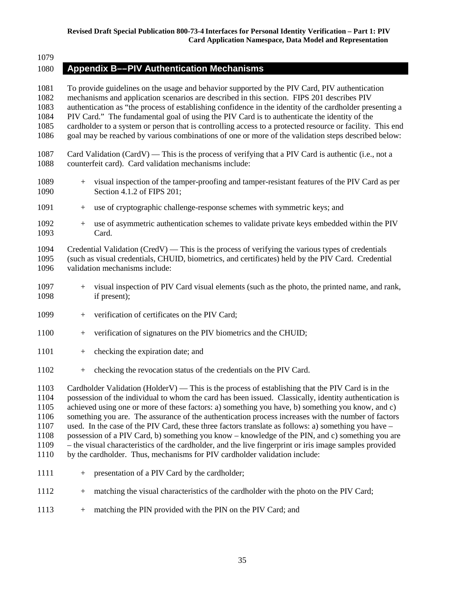# **Appendix B––PIV Authentication Mechanisms**

| 1081<br>1082<br>1083<br>1084<br>1085<br>1086                 | To provide guidelines on the usage and behavior supported by the PIV Card, PIV authentication<br>mechanisms and application scenarios are described in this section. FIPS 201 describes PIV<br>authentication as "the process of establishing confidence in the identity of the cardholder presenting a<br>PIV Card." The fundamental goal of using the PIV Card is to authenticate the identity of the<br>cardholder to a system or person that is controlling access to a protected resource or facility. This end<br>goal may be reached by various combinations of one or more of the validation steps described below:                                                                                                                                                                                                  |
|--------------------------------------------------------------|------------------------------------------------------------------------------------------------------------------------------------------------------------------------------------------------------------------------------------------------------------------------------------------------------------------------------------------------------------------------------------------------------------------------------------------------------------------------------------------------------------------------------------------------------------------------------------------------------------------------------------------------------------------------------------------------------------------------------------------------------------------------------------------------------------------------------|
| 1087<br>1088                                                 | Card Validation (CardV) — This is the process of verifying that a PIV Card is authentic (i.e., not a<br>counterfeit card). Card validation mechanisms include:                                                                                                                                                                                                                                                                                                                                                                                                                                                                                                                                                                                                                                                               |
| 1089<br>1090                                                 | visual inspection of the tamper-proofing and tamper-resistant features of the PIV Card as per<br>$+$<br>Section 4.1.2 of FIPS 201;                                                                                                                                                                                                                                                                                                                                                                                                                                                                                                                                                                                                                                                                                           |
| 1091                                                         | use of cryptographic challenge-response schemes with symmetric keys; and<br>$^{+}$                                                                                                                                                                                                                                                                                                                                                                                                                                                                                                                                                                                                                                                                                                                                           |
| 1092<br>1093                                                 | use of asymmetric authentication schemes to validate private keys embedded within the PIV<br>$+$<br>Card.                                                                                                                                                                                                                                                                                                                                                                                                                                                                                                                                                                                                                                                                                                                    |
| 1094<br>1095<br>1096                                         | Credential Validation (CredV) — This is the process of verifying the various types of credentials<br>(such as visual credentials, CHUID, biometrics, and certificates) held by the PIV Card. Credential<br>validation mechanisms include:                                                                                                                                                                                                                                                                                                                                                                                                                                                                                                                                                                                    |
| 1097<br>1098                                                 | visual inspection of PIV Card visual elements (such as the photo, the printed name, and rank,<br>$+$<br>if present);                                                                                                                                                                                                                                                                                                                                                                                                                                                                                                                                                                                                                                                                                                         |
| 1099                                                         | verification of certificates on the PIV Card;<br>$+$                                                                                                                                                                                                                                                                                                                                                                                                                                                                                                                                                                                                                                                                                                                                                                         |
| 1100                                                         | verification of signatures on the PIV biometrics and the CHUID;<br>$+$                                                                                                                                                                                                                                                                                                                                                                                                                                                                                                                                                                                                                                                                                                                                                       |
| 1101                                                         | checking the expiration date; and<br>$^{+}$                                                                                                                                                                                                                                                                                                                                                                                                                                                                                                                                                                                                                                                                                                                                                                                  |
| 1102                                                         | checking the revocation status of the credentials on the PIV Card.<br>$+$                                                                                                                                                                                                                                                                                                                                                                                                                                                                                                                                                                                                                                                                                                                                                    |
| 1103<br>1104<br>1105<br>1106<br>1107<br>1108<br>1109<br>1110 | Cardholder Validation (HolderV) — This is the process of establishing that the PIV Card is in the<br>possession of the individual to whom the card has been issued. Classically, identity authentication is<br>achieved using one or more of these factors: a) something you have, b) something you know, and c)<br>something you are. The assurance of the authentication process increases with the number of factors<br>used. In the case of the PIV Card, these three factors translate as follows: a) something you have -<br>possession of a PIV Card, b) something you know – knowledge of the PIN, and c) something you are<br>- the visual characteristics of the cardholder, and the live fingerprint or iris image samples provided<br>by the cardholder. Thus, mechanisms for PIV cardholder validation include: |
| 1111                                                         | presentation of a PIV Card by the cardholder;<br>$^+$                                                                                                                                                                                                                                                                                                                                                                                                                                                                                                                                                                                                                                                                                                                                                                        |
| 1112                                                         | matching the visual characteristics of the cardholder with the photo on the PIV Card;<br>$^{+}$                                                                                                                                                                                                                                                                                                                                                                                                                                                                                                                                                                                                                                                                                                                              |

1113 + matching the PIN provided with the PIN on the PIV Card; and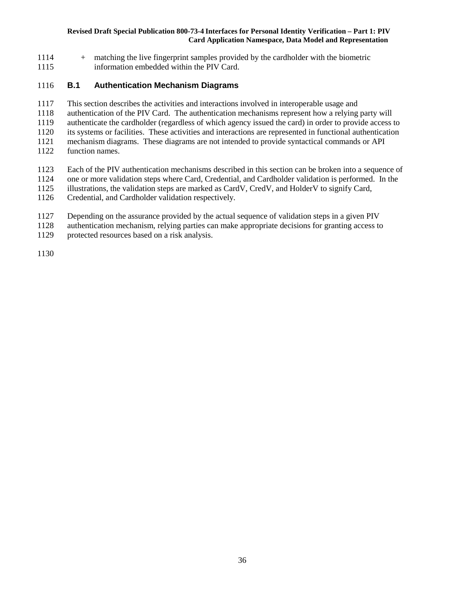+ matching the live fingerprint samples provided by the cardholder with the biometric information embedded within the PIV Card.

## **B.1 Authentication Mechanism Diagrams**

This section describes the activities and interactions involved in interoperable usage and

authentication of the PIV Card. The authentication mechanisms represent how a relying party will

 authenticate the cardholder (regardless of which agency issued the card) in order to provide access to its systems or facilities. These activities and interactions are represented in functional authentication

mechanism diagrams. These diagrams are not intended to provide syntactical commands or API

- function names.
- Each of the PIV authentication mechanisms described in this section can be broken into a sequence of one or more validation steps where Card, Credential, and Cardholder validation is performed. In the illustrations, the validation steps are marked as CardV, CredV, and HolderV to signify Card,
- Credential, and Cardholder validation respectively.
- Depending on the assurance provided by the actual sequence of validation steps in a given PIV
- authentication mechanism, relying parties can make appropriate decisions for granting access to
- protected resources based on a risk analysis.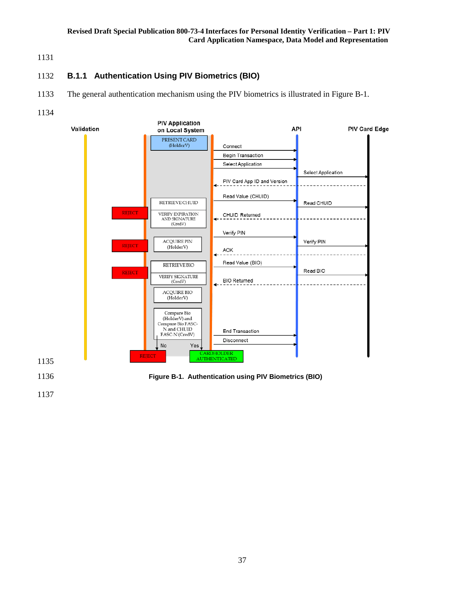# **B.1.1 Authentication Using PIV Biometrics (BIO)**

- The general authentication mechanism using the PIV biometrics is illustrated in Figure B-1.
- 

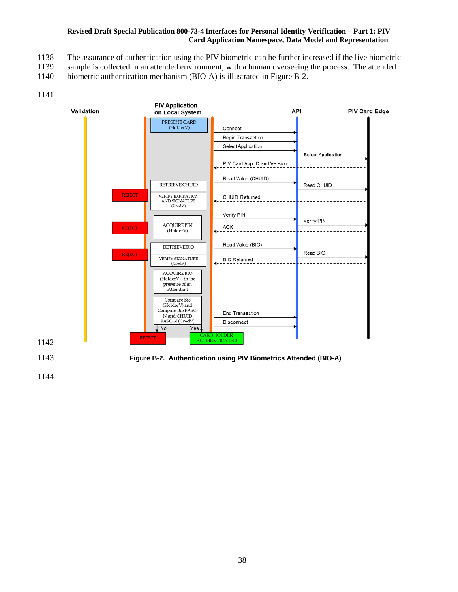- 1138 The assurance of authentication using the PIV biometric can be further increased if the live biometric<br>1139 sample is collected in an attended environment, with a human overseeing the process. The attended
- sample is collected in an attended environment, with a human overseeing the process. The attended
- 1140 biometric authentication mechanism (BIO-A) is illustrated in Figure B-2.
- 1141



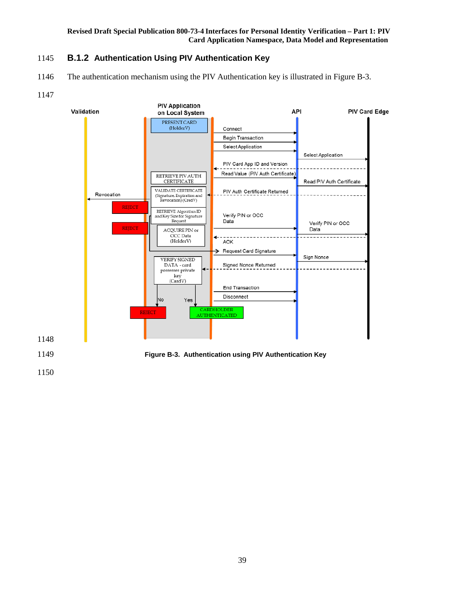## **B.1.2 Authentication Using PIV Authentication Key**

- The authentication mechanism using the PIV Authentication key is illustrated in Figure B-3.
- 

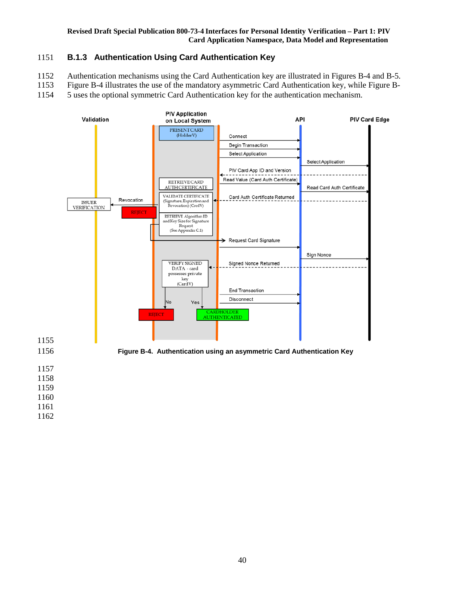## **B.1.3 Authentication Using Card Authentication Key**

Authentication mechanisms using the Card Authentication key are illustrated in Figures B-4 and B-5.

 Figure B-4 illustrates the use of the mandatory asymmetric Card Authentication key, while Figure B-5 uses the optional symmetric Card Authentication key for the authentication mechanism.

![](_page_50_Figure_4.jpeg)

- 
- 
-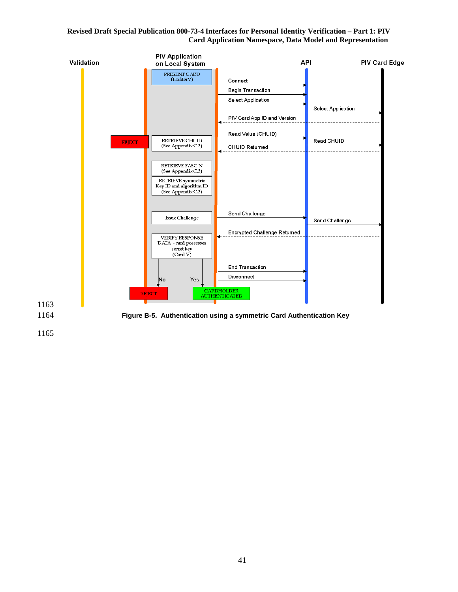![](_page_51_Figure_1.jpeg)

**Figure B-5. Authentication using a symmetric Card Authentication Key**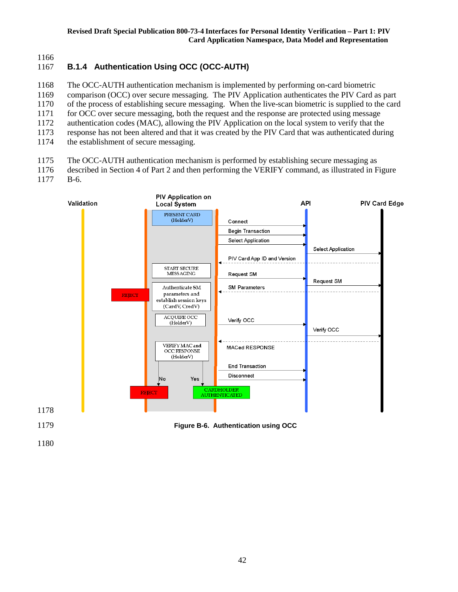# **B.1.4 Authentication Using OCC (OCC-AUTH)**

 The OCC-AUTH authentication mechanism is implemented by performing on-card biometric comparison (OCC) over secure messaging. The PIV Application authenticates the PIV Card as part of the process of establishing secure messaging. When the live-scan biometric is supplied to the card 1171 for OCC over secure messaging, both the request and the response are protected using message<br>1172 authentication codes (MAC), allowing the PIV Application on the local system to verify that the authentication codes (MAC), allowing the PIV Application on the local system to verify that the response has not been altered and that it was created by the PIV Card that was authenticated during the establishment of secure messaging.

 The OCC-AUTH authentication mechanism is performed by establishing secure messaging as described in Section 4 of Part 2 and then performing the VERIFY command, as illustrated in Figure B-6.

![](_page_52_Figure_5.jpeg)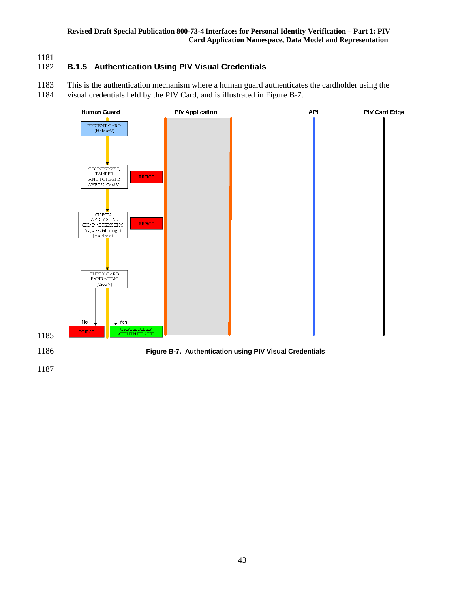1181<br>1182

# **B.1.5** Authentication Using PIV Visual Credentials

1183 This is the authentication mechanism where a human guard authenticates the cardholder using the 1184 visual credentials held by the PIV Card, and is illustrated in Figure B-7.

![](_page_53_Figure_4.jpeg)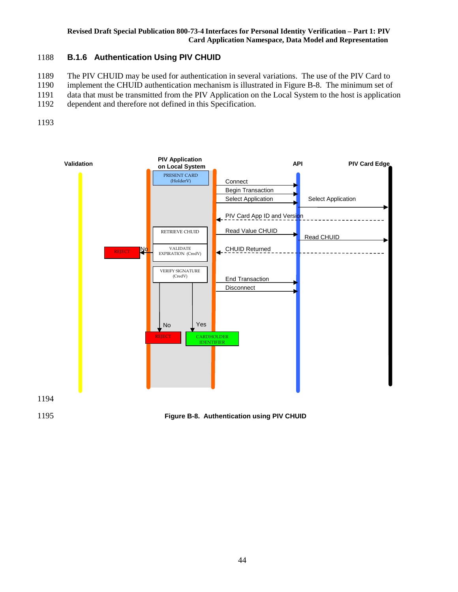## 1188 **B.1.6 Authentication Using PIV CHUID**

1189 The PIV CHUID may be used for authentication in several variations. The use of the PIV Card to

1190 implement the CHUID authentication mechanism is illustrated in Figure B-8. The minimum set of

- 1191 data that must be transmitted from the PIV Application on the Local System to the host is application
- 1192 dependent and therefore not defined in this Specification.
- 1193

![](_page_54_Figure_7.jpeg)

![](_page_54_Figure_8.jpeg)

1195 **Figure B-8. Authentication using PIV CHUID**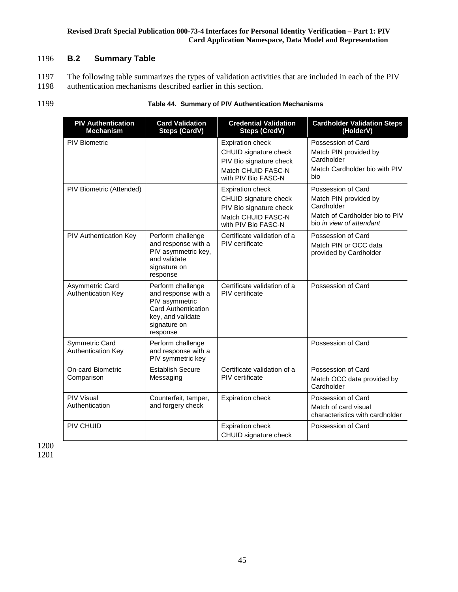## 1196 **B.2 Summary Table**

1197 The following table summarizes the types of validation activities that are included in each of the PIV authentication mechanisms described earlier in this section. authentication mechanisms described earlier in this section.

## 1199 **Table 44. Summary of PIV Authentication Mechanisms**

| <b>PIV Authentication</b><br><b>Mechanism</b> | <b>Card Validation</b><br><b>Steps (CardV)</b>                                                                                            | <b>Credential Validation</b><br><b>Steps (CredV)</b>                                                                     | <b>Cardholder Validation Steps</b><br>(HolderV)                                                                         |
|-----------------------------------------------|-------------------------------------------------------------------------------------------------------------------------------------------|--------------------------------------------------------------------------------------------------------------------------|-------------------------------------------------------------------------------------------------------------------------|
| <b>PIV Biometric</b>                          |                                                                                                                                           | <b>Expiration check</b><br>CHUID signature check<br>PIV Bio signature check<br>Match CHUID FASC-N<br>with PIV Bio FASC-N | Possession of Card<br>Match PIN provided by<br>Cardholder<br>Match Cardholder bio with PIV<br>bio                       |
| PIV Biometric (Attended)                      |                                                                                                                                           | <b>Expiration check</b><br>CHUID signature check<br>PIV Bio signature check<br>Match CHUID FASC-N<br>with PIV Bio FASC-N | Possession of Card<br>Match PIN provided by<br>Cardholder<br>Match of Cardholder bio to PIV<br>bio in view of attendant |
| <b>PIV Authentication Key</b>                 | Perform challenge<br>and response with a<br>PIV asymmetric key,<br>and validate<br>signature on<br>response                               | Certificate validation of a<br>PIV certificate                                                                           | Possession of Card<br>Match PIN or OCC data<br>provided by Cardholder                                                   |
| Asymmetric Card<br><b>Authentication Key</b>  | Perform challenge<br>and response with a<br>PIV asymmetric<br><b>Card Authentication</b><br>key, and validate<br>signature on<br>response | Certificate validation of a<br>PIV certificate                                                                           | Possession of Card                                                                                                      |
| Symmetric Card<br>Authentication Key          | Perform challenge<br>and response with a<br>PIV symmetric key                                                                             |                                                                                                                          | Possession of Card                                                                                                      |
| <b>On-card Biometric</b><br>Comparison        | <b>Establish Secure</b><br>Messaging                                                                                                      | Certificate validation of a<br>PIV certificate                                                                           | Possession of Card<br>Match OCC data provided by<br>Cardholder                                                          |
| <b>PIV Visual</b><br>Authentication           | Counterfeit, tamper,<br>and forgery check                                                                                                 | <b>Expiration check</b>                                                                                                  | Possession of Card<br>Match of card visual<br>characteristics with cardholder                                           |
| PIV CHUID                                     |                                                                                                                                           | <b>Expiration check</b><br>CHUID signature check                                                                         | Possession of Card                                                                                                      |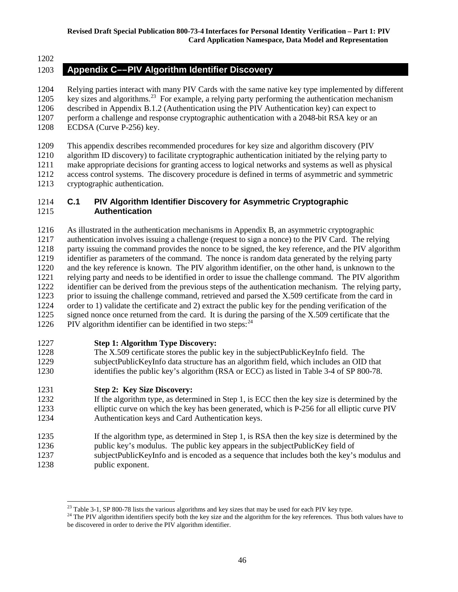# **Appendix C––PIV Algorithm Identifier Discovery**

 Relying parties interact with many PIV Cards with the same native key type implemented by different 1205 key sizes and algorithms.<sup>[23](#page-56-0)</sup> For example, a relying party performing the authentication mechanism described in Appendix B.1.2 (Authentication using the PIV Authentication key) can expect to perform a challenge and response cryptographic authentication with a 2048-bit RSA key or an ECDSA (Curve P-256) key.

This appendix describes recommended procedures for key size and algorithm discovery (PIV

- algorithm ID discovery) to facilitate cryptographic authentication initiated by the relying party to
- make appropriate decisions for granting access to logical networks and systems as well as physical access control systems. The discovery procedure is defined in terms of asymmetric and symmetric cryptographic authentication.

## **C.1 PIV Algorithm Identifier Discovery for Asymmetric Cryptographic Authentication**

- As illustrated in the authentication mechanisms in Appendix B, an asymmetric cryptographic authentication involves issuing a challenge (request to sign a nonce) to the PIV Card. The relying party issuing the command provides the nonce to be signed, the key reference, and the PIV algorithm identifier as parameters of the command. The nonce is random data generated by the relying party and the key reference is known. The PIV algorithm identifier, on the other hand, is unknown to the relying party and needs to be identified in order to issue the challenge command. The PIV algorithm identifier can be derived from the previous steps of the authentication mechanism. The relying party, prior to issuing the challenge command, retrieved and parsed the X.509 certificate from the card in order to 1) validate the certificate and 2) extract the public key for the pending verification of the signed nonce once returned from the card. It is during the parsing of the X.509 certificate that the 1226 PIV algorithm identifier can be identified in two steps:<sup>[24](#page-56-1)</sup>
- **Step 1: Algorithm Type Discovery:**
- The X.509 certificate stores the public key in the subjectPublicKeyInfo field. The subjectPublicKeyInfo data structure has an algorithm field, which includes an OID that 1230 identifies the public key's algorithm (RSA or ECC) as listed in Table 3-4 of SP 800-78.
- **Step 2: Key Size Discovery:**
- If the algorithm type, as determined in Step 1, is ECC then the key size is determined by the elliptic curve on which the key has been generated, which is P-256 for all elliptic curve PIV Authentication keys and Card Authentication keys.
- If the algorithm type, as determined in Step 1, is RSA then the key size is determined by the public key's modulus. The public key appears in the subjectPublicKey field of subjectPublicKeyInfo and is encoded as a sequence that includes both the key's modulus and
- <span id="page-56-1"></span><span id="page-56-0"></span>public exponent.

<sup>&</sup>lt;sup>23</sup> Table 3-1, SP 800-78 lists the various algorithms and key sizes that may be used for each PIV key type.<br><sup>24</sup> The PIV algorithm identifiers specify both the key size and the algorithm for the key references. Thus both be discovered in order to derive the PIV algorithm identifier.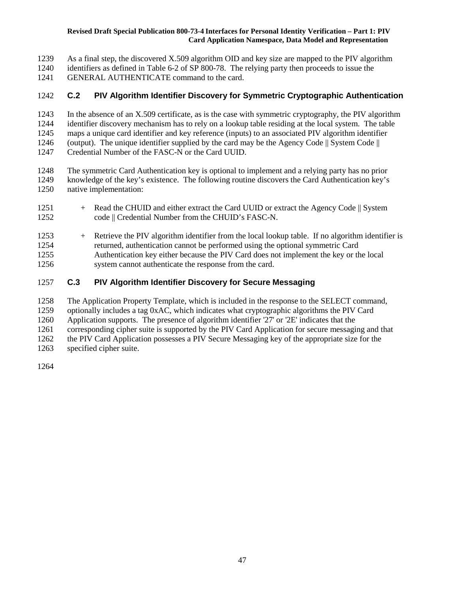- As a final step, the discovered X.509 algorithm OID and key size are mapped to the PIV algorithm identifiers as defined in Table 6-2 of SP 800-78. The relying party then proceeds to issue the GENERAL AUTHENTICATE command to the card.
- 

## **C.2 PIV Algorithm Identifier Discovery for Symmetric Cryptographic Authentication**

 In the absence of an X.509 certificate, as is the case with symmetric cryptography, the PIV algorithm identifier discovery mechanism has to rely on a lookup table residing at the local system. The table maps a unique card identifier and key reference (inputs) to an associated PIV algorithm identifier (output). The unique identifier supplied by the card may be the Agency Code || System Code || Credential Number of the FASC-N or the Card UUID.

- The symmetric Card Authentication key is optional to implement and a relying party has no prior knowledge of the key's existence. The following routine discovers the Card Authentication key's native implementation:
- + Read the CHUID and either extract the Card UUID or extract the Agency Code || System 1252 code || Credential Number from the CHUID's FASC-N.
- + Retrieve the PIV algorithm identifier from the local lookup table. If no algorithm identifier is returned, authentication cannot be performed using the optional symmetric Card Authentication key either because the PIV Card does not implement the key or the local 1256 system cannot authenticate the response from the card.

## **C.3 PIV Algorithm Identifier Discovery for Secure Messaging**

The Application Property Template, which is included in the response to the SELECT command,

optionally includes a tag 0xAC, which indicates what cryptographic algorithms the PIV Card

Application supports. The presence of algorithm identifier '27' or '2E' indicates that the

corresponding cipher suite is supported by the PIV Card Application for secure messaging and that

 the PIV Card Application possesses a PIV Secure Messaging key of the appropriate size for the specified cipher suite.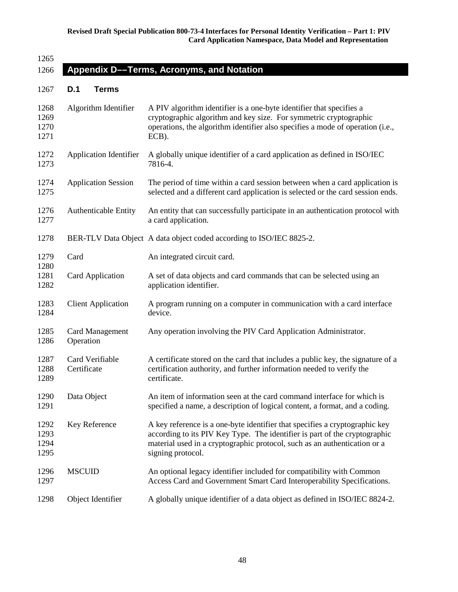# **Appendix D––Terms, Acronyms, and Notation**

## **D.1 Terms**

| 1268<br>1269<br>1270<br>1271 | Algorithm Identifier                | A PIV algorithm identifier is a one-byte identifier that specifies a<br>cryptographic algorithm and key size. For symmetric cryptographic<br>operations, the algorithm identifier also specifies a mode of operation (i.e.,<br>$ECB$ ).                     |
|------------------------------|-------------------------------------|-------------------------------------------------------------------------------------------------------------------------------------------------------------------------------------------------------------------------------------------------------------|
| 1272<br>1273                 | <b>Application Identifier</b>       | A globally unique identifier of a card application as defined in ISO/IEC<br>7816-4.                                                                                                                                                                         |
| 1274<br>1275                 | <b>Application Session</b>          | The period of time within a card session between when a card application is<br>selected and a different card application is selected or the card session ends.                                                                                              |
| 1276<br>1277                 | <b>Authenticable Entity</b>         | An entity that can successfully participate in an authentication protocol with<br>a card application.                                                                                                                                                       |
| 1278                         |                                     | BER-TLV Data Object A data object coded according to ISO/IEC 8825-2.                                                                                                                                                                                        |
| 1279<br>1280                 | Card                                | An integrated circuit card.                                                                                                                                                                                                                                 |
| 1281<br>1282                 | Card Application                    | A set of data objects and card commands that can be selected using an<br>application identifier.                                                                                                                                                            |
| 1283<br>1284                 | <b>Client Application</b>           | A program running on a computer in communication with a card interface<br>device.                                                                                                                                                                           |
| 1285<br>1286                 | <b>Card Management</b><br>Operation | Any operation involving the PIV Card Application Administrator.                                                                                                                                                                                             |
| 1287<br>1288<br>1289         | Card Verifiable<br>Certificate      | A certificate stored on the card that includes a public key, the signature of a<br>certification authority, and further information needed to verify the<br>certificate.                                                                                    |
| 1290<br>1291                 | Data Object                         | An item of information seen at the card command interface for which is<br>specified a name, a description of logical content, a format, and a coding.                                                                                                       |
| 1292<br>1293<br>1294<br>1295 | Key Reference                       | A key reference is a one-byte identifier that specifies a cryptographic key<br>according to its PIV Key Type. The identifier is part of the cryptographic<br>material used in a cryptographic protocol, such as an authentication or a<br>signing protocol. |
| 1296<br>1297                 | <b>MSCUID</b>                       | An optional legacy identifier included for compatibility with Common<br>Access Card and Government Smart Card Interoperability Specifications.                                                                                                              |
| 1298                         | Object Identifier                   | A globally unique identifier of a data object as defined in ISO/IEC 8824-2.                                                                                                                                                                                 |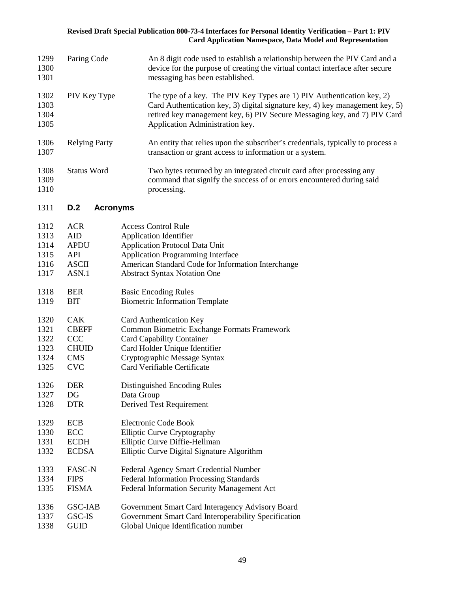| 1299<br>1300<br>1301         | Paring Code            | An 8 digit code used to establish a relationship between the PIV Card and a<br>device for the purpose of creating the virtual contact interface after secure<br>messaging has been established.                                                                       |  |
|------------------------------|------------------------|-----------------------------------------------------------------------------------------------------------------------------------------------------------------------------------------------------------------------------------------------------------------------|--|
| 1302<br>1303<br>1304<br>1305 | PIV Key Type           | The type of a key. The PIV Key Types are 1) PIV Authentication key, 2)<br>Card Authentication key, 3) digital signature key, 4) key management key, 5)<br>retired key management key, 6) PIV Secure Messaging key, and 7) PIV Card<br>Application Administration key. |  |
| 1306<br>1307                 | <b>Relying Party</b>   | An entity that relies upon the subscriber's credentials, typically to process a<br>transaction or grant access to information or a system.                                                                                                                            |  |
| 1308<br>1309<br>1310         | <b>Status Word</b>     | Two bytes returned by an integrated circuit card after processing any<br>command that signify the success of or errors encountered during said<br>processing.                                                                                                         |  |
| 1311                         | D.2<br><b>Acronyms</b> |                                                                                                                                                                                                                                                                       |  |
| 1312                         | <b>ACR</b>             | <b>Access Control Rule</b>                                                                                                                                                                                                                                            |  |
| 1313                         | AID                    | <b>Application Identifier</b>                                                                                                                                                                                                                                         |  |
| 1314                         | <b>APDU</b>            | <b>Application Protocol Data Unit</b>                                                                                                                                                                                                                                 |  |
| 1315                         | API                    | <b>Application Programming Interface</b>                                                                                                                                                                                                                              |  |
| 1316                         | <b>ASCII</b>           | American Standard Code for Information Interchange                                                                                                                                                                                                                    |  |
| 1317                         | ASN.1                  | <b>Abstract Syntax Notation One</b>                                                                                                                                                                                                                                   |  |
| 1318                         | <b>BER</b>             | <b>Basic Encoding Rules</b>                                                                                                                                                                                                                                           |  |
| 1319                         | <b>BIT</b>             | <b>Biometric Information Template</b>                                                                                                                                                                                                                                 |  |
| 1320                         | <b>CAK</b>             | Card Authentication Key                                                                                                                                                                                                                                               |  |
| 1321                         | <b>CBEFF</b>           | Common Biometric Exchange Formats Framework                                                                                                                                                                                                                           |  |
| 1322                         | <b>CCC</b>             | <b>Card Capability Container</b>                                                                                                                                                                                                                                      |  |
| 1323                         | <b>CHUID</b>           | Card Holder Unique Identifier                                                                                                                                                                                                                                         |  |
| 1324                         | <b>CMS</b>             | Cryptographic Message Syntax                                                                                                                                                                                                                                          |  |
| 1325                         | <b>CVC</b>             | Card Verifiable Certificate                                                                                                                                                                                                                                           |  |
| 1326                         | <b>DER</b>             | Distinguished Encoding Rules                                                                                                                                                                                                                                          |  |
| 1327                         | DG                     | Data Group                                                                                                                                                                                                                                                            |  |
| 1328                         | <b>DTR</b>             | Derived Test Requirement                                                                                                                                                                                                                                              |  |
| 1329                         | <b>ECB</b>             | Electronic Code Book                                                                                                                                                                                                                                                  |  |
| 1330                         | ECC                    | <b>Elliptic Curve Cryptography</b>                                                                                                                                                                                                                                    |  |
| 1331                         | <b>ECDH</b>            | Elliptic Curve Diffie-Hellman                                                                                                                                                                                                                                         |  |
| 1332                         | <b>ECDSA</b>           | Elliptic Curve Digital Signature Algorithm                                                                                                                                                                                                                            |  |
| 1333                         | FASC-N                 | Federal Agency Smart Credential Number                                                                                                                                                                                                                                |  |
| 1334                         | <b>FIPS</b>            | <b>Federal Information Processing Standards</b>                                                                                                                                                                                                                       |  |
| 1335                         | <b>FISMA</b>           | Federal Information Security Management Act                                                                                                                                                                                                                           |  |
| 1336                         | <b>GSC-IAB</b>         | Government Smart Card Interagency Advisory Board                                                                                                                                                                                                                      |  |
| 1337                         | GSC-IS                 | Government Smart Card Interoperability Specification                                                                                                                                                                                                                  |  |
| 1338                         | <b>GUID</b>            | Global Unique Identification number                                                                                                                                                                                                                                   |  |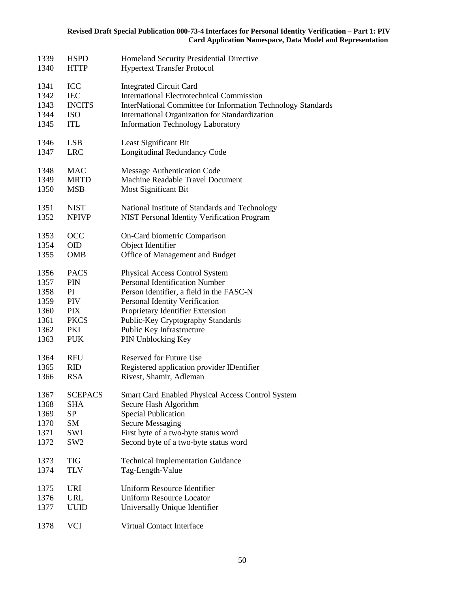| 1339<br>1340         | <b>HSPD</b><br><b>HTTP</b>         | Homeland Security Presidential Directive<br><b>Hypertext Transfer Protocol</b>                                                                     |
|----------------------|------------------------------------|----------------------------------------------------------------------------------------------------------------------------------------------------|
| 1341<br>1342<br>1343 | ICC<br><b>IEC</b><br><b>INCITS</b> | <b>Integrated Circuit Card</b><br><b>International Electrotechnical Commission</b><br>InterNational Committee for Information Technology Standards |
| 1344<br>1345         | <b>ISO</b><br><b>ITL</b>           | International Organization for Standardization<br><b>Information Technology Laboratory</b>                                                         |
| 1346<br>1347         | <b>LSB</b><br><b>LRC</b>           | Least Significant Bit<br>Longitudinal Redundancy Code                                                                                              |
| 1348                 | <b>MAC</b>                         | Message Authentication Code                                                                                                                        |
| 1349<br>1350         | <b>MRTD</b><br><b>MSB</b>          | Machine Readable Travel Document<br><b>Most Significant Bit</b>                                                                                    |
| 1351<br>1352         | <b>NIST</b><br><b>NPIVP</b>        | National Institute of Standards and Technology<br>NIST Personal Identity Verification Program                                                      |
| 1353                 | OCC                                | On-Card biometric Comparison                                                                                                                       |
| 1354                 | <b>OID</b>                         | Object Identifier                                                                                                                                  |
| 1355                 | <b>OMB</b>                         | Office of Management and Budget                                                                                                                    |
| 1356                 | <b>PACS</b>                        | Physical Access Control System                                                                                                                     |
| 1357                 | PIN                                | <b>Personal Identification Number</b>                                                                                                              |
| 1358                 | PI                                 | Person Identifier, a field in the FASC-N                                                                                                           |
| 1359                 | <b>PIV</b>                         | Personal Identity Verification                                                                                                                     |
| 1360                 | <b>PIX</b>                         | Proprietary Identifier Extension                                                                                                                   |
| 1361                 | <b>PKCS</b>                        | Public-Key Cryptography Standards                                                                                                                  |
| 1362                 | PKI                                | Public Key Infrastructure                                                                                                                          |
| 1363                 | <b>PUK</b>                         | PIN Unblocking Key                                                                                                                                 |
| 1364                 | <b>RFU</b>                         | <b>Reserved for Future Use</b>                                                                                                                     |
| 1365                 | <b>RID</b>                         | Registered application provider IDentifier                                                                                                         |
| 1366                 | <b>RSA</b>                         | Rivest, Shamir, Adleman                                                                                                                            |
| 1367                 | <b>SCEPACS</b>                     | <b>Smart Card Enabled Physical Access Control System</b>                                                                                           |
| 1368                 | <b>SHA</b>                         | Secure Hash Algorithm                                                                                                                              |
| 1369                 | <b>SP</b>                          | <b>Special Publication</b>                                                                                                                         |
| 1370                 | SM                                 | <b>Secure Messaging</b>                                                                                                                            |
| 1371                 | SW1                                | First byte of a two-byte status word                                                                                                               |
| 1372                 | SW <sub>2</sub>                    | Second byte of a two-byte status word                                                                                                              |
| 1373                 | TIG                                | <b>Technical Implementation Guidance</b>                                                                                                           |
| 1374                 | <b>TLV</b>                         | Tag-Length-Value                                                                                                                                   |
| 1375                 | <b>URI</b>                         | Uniform Resource Identifier                                                                                                                        |
| 1376                 | <b>URL</b>                         | <b>Uniform Resource Locator</b>                                                                                                                    |
| 1377                 | <b>UUID</b>                        | Universally Unique Identifier                                                                                                                      |
| 1378                 | <b>VCI</b>                         | Virtual Contact Interface                                                                                                                          |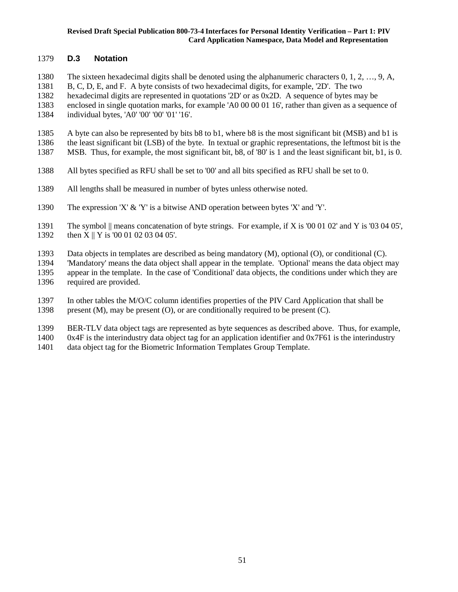## **D.3 Notation**

The sixteen hexadecimal digits shall be denoted using the alphanumeric characters 0, 1, 2, …, 9, A,

B, C, D, E, and F. A byte consists of two hexadecimal digits, for example, '2D'. The two

hexadecimal digits are represented in quotations '2D' or as 0x2D. A sequence of bytes may be

 enclosed in single quotation marks, for example 'A0 00 00 01 16', rather than given as a sequence of individual bytes, 'A0' '00' '00' '01' '16'.

 A byte can also be represented by bits b8 to b1, where b8 is the most significant bit (MSB) and b1 is the least significant bit (LSB) of the byte. In textual or graphic representations, the leftmost bit is the MSB. Thus, for example, the most significant bit, b8, of '80' is 1 and the least significant bit, b1, is 0.

- All bytes specified as RFU shall be set to '00' and all bits specified as RFU shall be set to 0.
- All lengths shall be measured in number of bytes unless otherwise noted.
- The expression 'X' & 'Y' is a bitwise AND operation between bytes 'X' and 'Y'.

Data objects in templates are described as being mandatory (M), optional (O), or conditional (C).

 'Mandatory' means the data object shall appear in the template. 'Optional' means the data object may appear in the template. In the case of 'Conditional' data objects, the conditions under which they are required are provided.

 In other tables the M/O/C column identifies properties of the PIV Card Application that shall be present (M), may be present (O), or are conditionally required to be present (C).

BER-TLV data object tags are represented as byte sequences as described above. Thus, for example,

0x4F is the interindustry data object tag for an application identifier and 0x7F61 is the interindustry

data object tag for the Biometric Information Templates Group Template.

<sup>1391</sup> The symbol  $\parallel$  means concatenation of byte strings. For example, if X is '00 01 02' and Y is '03 04 05', 1392 then X || Y is '00 01 02 03 04 05'.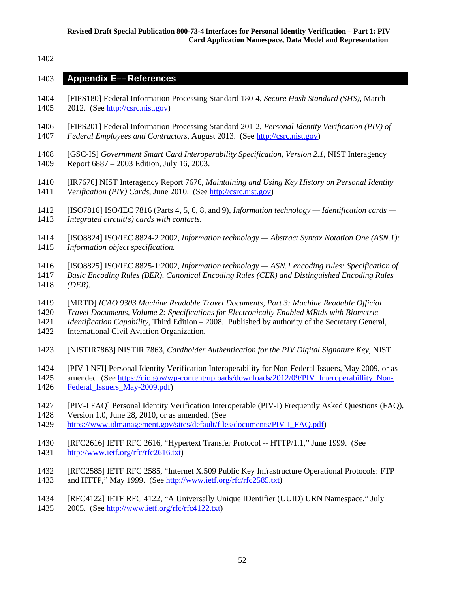## **Appendix E––References**

- [FIPS180] Federal Information Processing Standard 180-4, *Secure Hash Standard (SHS)*, March 2012. (See [http://csrc.nist.gov\)](http://csrc.nist.gov/)
- [FIPS201] Federal Information Processing Standard 201-2, *Personal Identity Verification (PIV) of Federal Employees and Contractors*, August 2013. (See [http://csrc.nist.gov\)](http://csrc.nist.gov/)
- [GSC-IS] *Government Smart Card Interoperability Specification, Version 2.1*, NIST Interagency Report 6887 – 2003 Edition, July 16, 2003.
- [IR7676] NIST Interagency Report 7676, *Maintaining and Using Key History on Personal Identity Verification (PIV) Cards*, June 2010. (See [http://csrc.nist.gov\)](http://csrc.nist.gov/)
- [ISO7816] ISO/IEC 7816 (Parts 4, 5, 6, 8, and 9), *Information technology — Identification cards — Integrated circuit(s) cards with contacts.*
- [ISO8824] ISO/IEC 8824-2:2002, *Information technology — Abstract Syntax Notation One (ASN.1): Information object specification.*
- [ISO8825] ISO/IEC 8825-1:2002, *Information technology — ASN.1 encoding rules: Specification of Basic Encoding Rules (BER), Canonical Encoding Rules (CER) and Distinguished Encoding Rules (DER).*
- [MRTD] *ICAO 9303 Machine Readable Travel Documents, Part 3: Machine Readable Official*
- *Travel Documents, Volume 2: Specifications for Electronically Enabled MRtds with Biometric*
- *Identification Capability*, Third Edition 2008. Published by authority of the Secretary General,
- International Civil Aviation Organization.
- [NISTIR7863] NISTIR 7863, *Cardholder Authentication for the PIV Digital Signature Key*, NIST.
- [PIV-I NFI] Personal Identity Verification Interoperability for Non-Federal Issuers, May 2009, or as
- amended. (See [https://cio.gov/wp-content/uploads/downloads/2012/09/PIV\\_Interoperabillity\\_Non-](https://cio.gov/wp-content/uploads/downloads/2012/09/PIV_Interoperabillity_Non-Federal_Issuers_May-2009.pdf)[Federal\\_Issuers\\_May-2009.pdf\)](https://cio.gov/wp-content/uploads/downloads/2012/09/PIV_Interoperabillity_Non-Federal_Issuers_May-2009.pdf)
- [PIV-I FAQ] Personal Identity Verification Interoperable (PIV-I) Frequently Asked Questions (FAQ),
- Version 1.0, June 28, 2010, or as amended. (See
- [https://www.idmanagement.gov/sites/default/files/documents/PIV-I\\_FAQ.pdf\)](https://www.idmanagement.gov/sites/default/files/documents/PIV-I_FAQ.pdf)
- [RFC2616] IETF RFC 2616, "Hypertext Transfer Protocol -- HTTP/1.1," June 1999. (See [http://www.ietf.org/rfc/rfc2616.txt\)](http://www.ietf.org/rfc/rfc2616.txt)
- [RFC2585] IETF RFC 2585, "Internet X.509 Public Key Infrastructure Operational Protocols: FTP and HTTP," May 1999. (See [http://www.ietf.org/rfc/rfc2585.txt\)](http://www.ietf.org/rfc/rfc2585.txt)
- [RFC4122] IETF RFC 4122, "A Universally Unique IDentifier (UUID) URN Namespace," July 2005. (See [http://www.ietf.org/rfc/rfc4122.txt\)](http://www.ietf.org/rfc/rfc4122.txt)